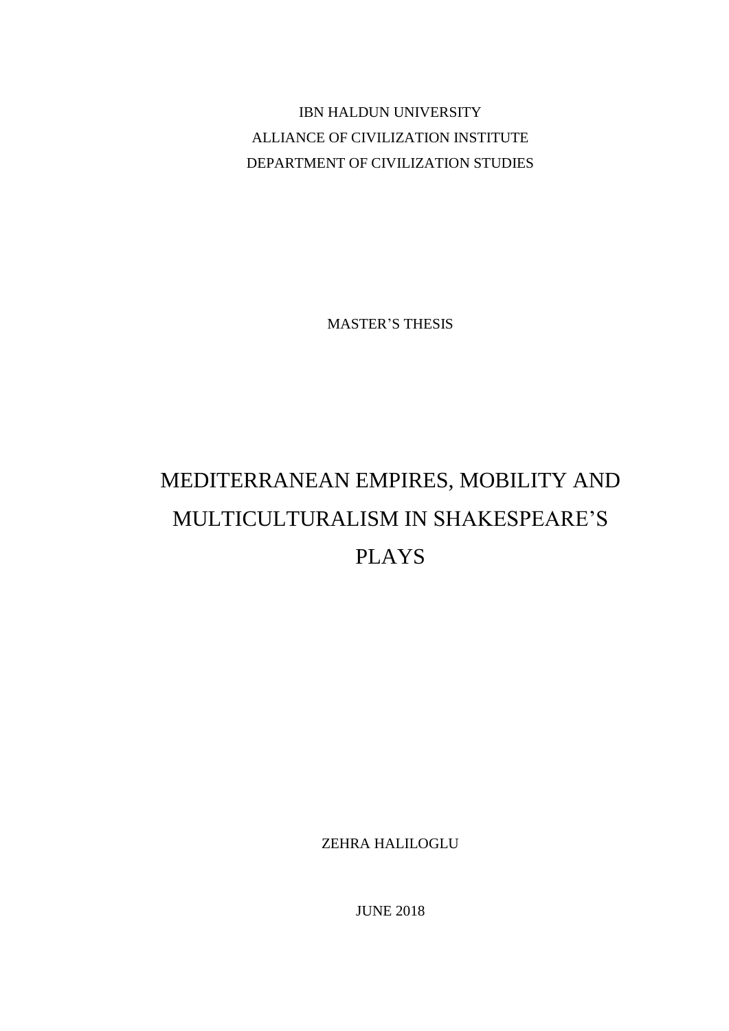IBN HALDUN UNIVERSITY ALLIANCE OF CIVILIZATION INSTITUTE DEPARTMENT OF CIVILIZATION STUDIES

MASTER'S THESIS

# MEDITERRANEAN EMPIRES, MOBILITY AND MULTICULTURALISM IN SHAKESPEARE'S PLAYS

ZEHRA HALILOGLU

JUNE 2018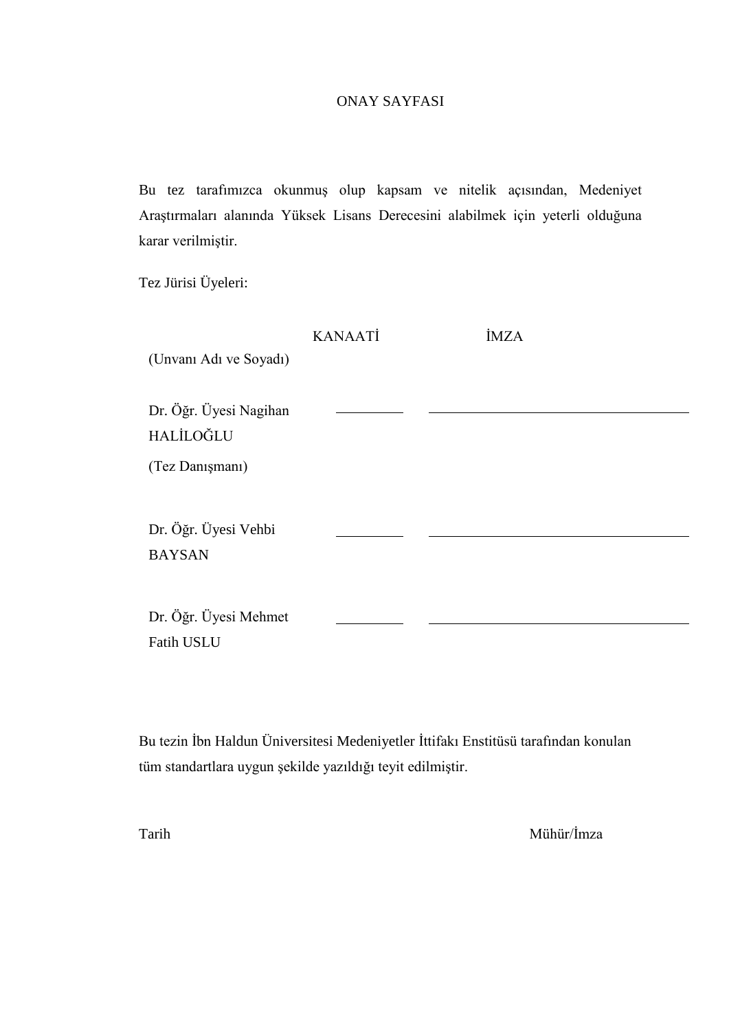#### ONAY SAYFASI

Bu tez tarafımızca okunmuş olup kapsam ve nitelik açısından, Medeniyet Araştırmaları alanında Yüksek Lisans Derecesini alabilmek için yeterli olduğuna karar verilmiştir.

Tez Jürisi Üyeleri:

|                        | <b>KANAATİ</b> | <b>İMZA</b> |  |
|------------------------|----------------|-------------|--|
| (Unvani Adı ve Soyadı) |                |             |  |
|                        |                |             |  |
| Dr. Öğr. Üyesi Nagihan |                |             |  |
| HALİLOĞLU              |                |             |  |
| (Tez Danışmanı)        |                |             |  |
|                        |                |             |  |
| Dr. Öğr. Üyesi Vehbi   |                |             |  |
| <b>BAYSAN</b>          |                |             |  |
|                        |                |             |  |
| Dr. Öğr. Üyesi Mehmet  |                |             |  |
| <b>Fatih USLU</b>      |                |             |  |

Bu tezin İbn Haldun Üniversitesi Medeniyetler İttifakı Enstitüsü tarafından konulan tüm standartlara uygun şekilde yazıldığı teyit edilmiştir.

Tarih Mühür/İmza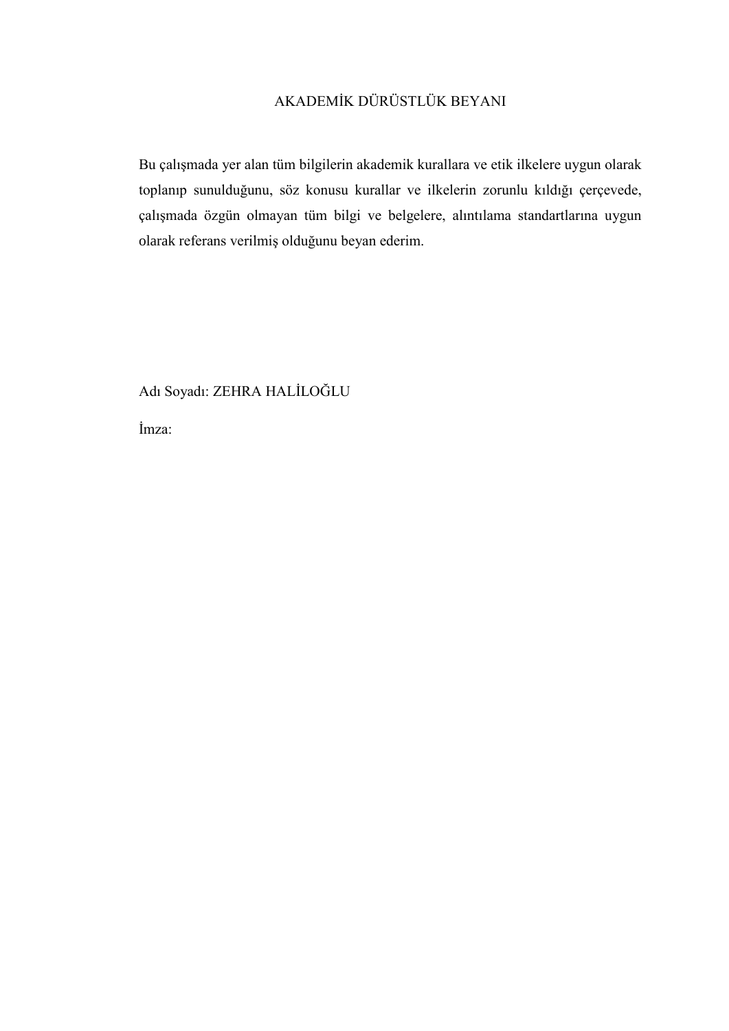## AKADEMİK DÜRÜSTLÜK BEYANI

Bu çalışmada yer alan tüm bilgilerin akademik kurallara ve etik ilkelere uygun olarak toplanıp sunulduğunu, söz konusu kurallar ve ilkelerin zorunlu kıldığı çerçevede, çalışmada özgün olmayan tüm bilgi ve belgelere, alıntılama standartlarına uygun olarak referans verilmiş olduğunu beyan ederim.

Adı Soyadı: ZEHRA HALİLOĞLU

İmza: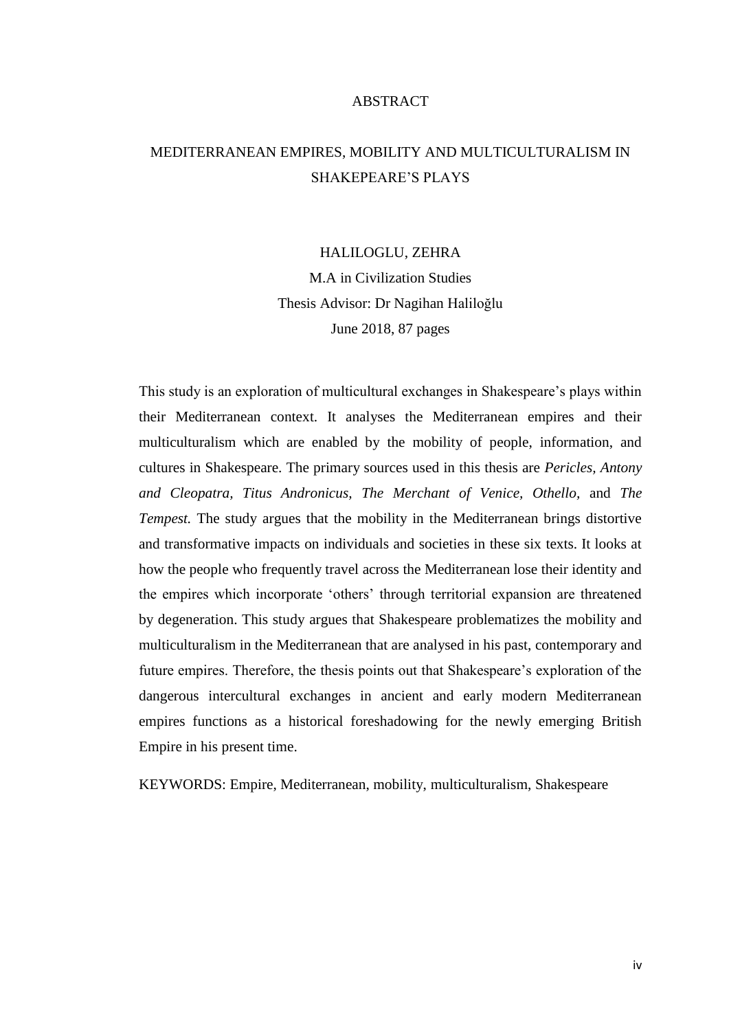#### ABSTRACT

## <span id="page-3-0"></span>MEDITERRANEAN EMPIRES, MOBILITY AND MULTICULTURALISM IN SHAKEPEARE'S PLAYS

#### HALILOGLU, ZEHRA

M.A in Civilization Studies Thesis Advisor: Dr Nagihan Haliloğlu June 2018, 87 pages

This study is an exploration of multicultural exchanges in Shakespeare's plays within their Mediterranean context. It analyses the Mediterranean empires and their multiculturalism which are enabled by the mobility of people, information, and cultures in Shakespeare. The primary sources used in this thesis are *Pericles, Antony and Cleopatra, Titus Andronicus, The Merchant of Venice, Othello,* and *The Tempest.* The study argues that the mobility in the Mediterranean brings distortive and transformative impacts on individuals and societies in these six texts. It looks at how the people who frequently travel across the Mediterranean lose their identity and the empires which incorporate 'others' through territorial expansion are threatened by degeneration. This study argues that Shakespeare problematizes the mobility and multiculturalism in the Mediterranean that are analysed in his past, contemporary and future empires. Therefore, the thesis points out that Shakespeare's exploration of the dangerous intercultural exchanges in ancient and early modern Mediterranean empires functions as a historical foreshadowing for the newly emerging British Empire in his present time.

KEYWORDS: Empire, Mediterranean, mobility, multiculturalism, Shakespeare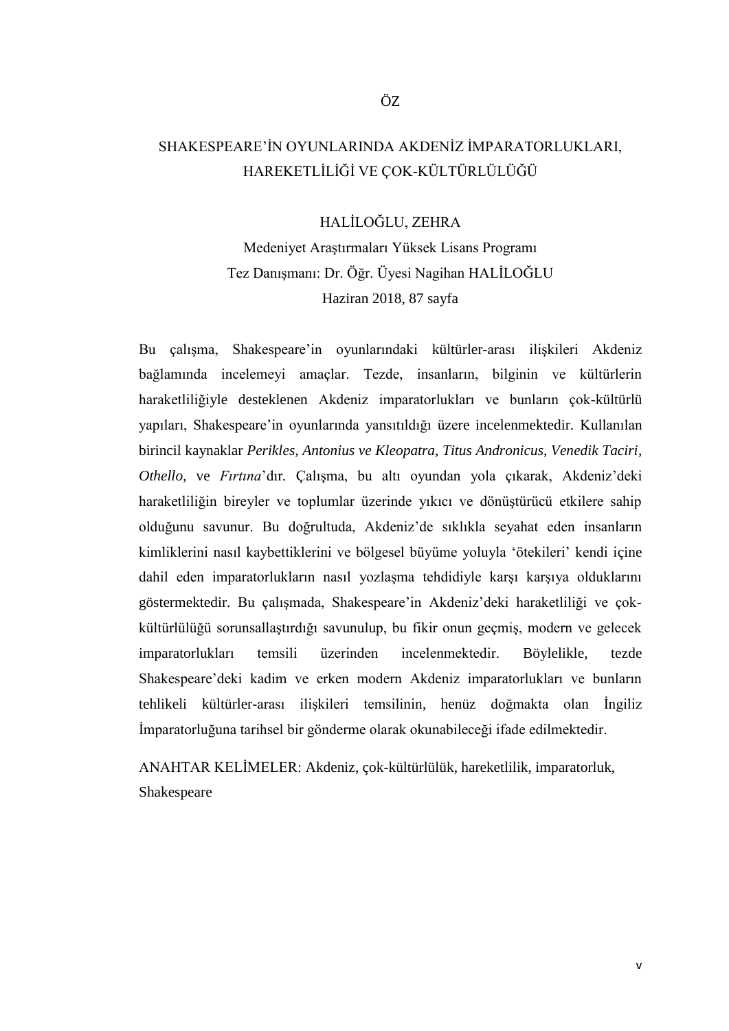## <span id="page-4-0"></span>SHAKESPEARE'İN OYUNLARINDA AKDENİZ İMPARATORLUKLARI, HAREKETLİLİĞİ VE ÇOK-KÜLTÜRLÜLÜĞÜ

HALİLOĞLU, ZEHRA

Medeniyet Araştırmaları Yüksek Lisans Programı Tez Danışmanı: Dr. Öğr. Üyesi Nagihan HALİLOĞLU Haziran 2018, 87 sayfa

Bu çalışma, Shakespeare'in oyunlarındaki kültürler-arası ilişkileri Akdeniz bağlamında incelemeyi amaçlar. Tezde, insanların, bilginin ve kültürlerin haraketliliğiyle desteklenen Akdeniz imparatorlukları ve bunların çok-kültürlü yapıları, Shakespeare'in oyunlarında yansıtıldığı üzere incelenmektedir. Kullanılan birincil kaynaklar *Perikles, Antonius ve Kleopatra, Titus Andronicus, Venedik Taciri, Othello,* ve *Fırtına*'dır*.* Çalışma, bu altı oyundan yola çıkarak, Akdeniz'deki haraketliliğin bireyler ve toplumlar üzerinde yıkıcı ve dönüştürücü etkilere sahip olduğunu savunur. Bu doğrultuda, Akdeniz'de sıklıkla seyahat eden insanların kimliklerini nasıl kaybettiklerini ve bölgesel büyüme yoluyla 'ötekileri' kendi içine dahil eden imparatorlukların nasıl yozlaşma tehdidiyle karşı karşıya olduklarını göstermektedir. Bu çalışmada, Shakespeare'in Akdeniz'deki haraketliliği ve çokkültürlülüğü sorunsallaştırdığı savunulup, bu fikir onun geçmiş, modern ve gelecek imparatorlukları temsili üzerinden incelenmektedir. Böylelikle, tezde Shakespeare'deki kadim ve erken modern Akdeniz imparatorlukları ve bunların tehlikeli kültürler-arası ilişkileri temsilinin, henüz doğmakta olan İngiliz İmparatorluğuna tarihsel bir gönderme olarak okunabileceği ifade edilmektedir.

ANAHTAR KELİMELER: Akdeniz, çok-kültürlülük, hareketlilik, imparatorluk, Shakespeare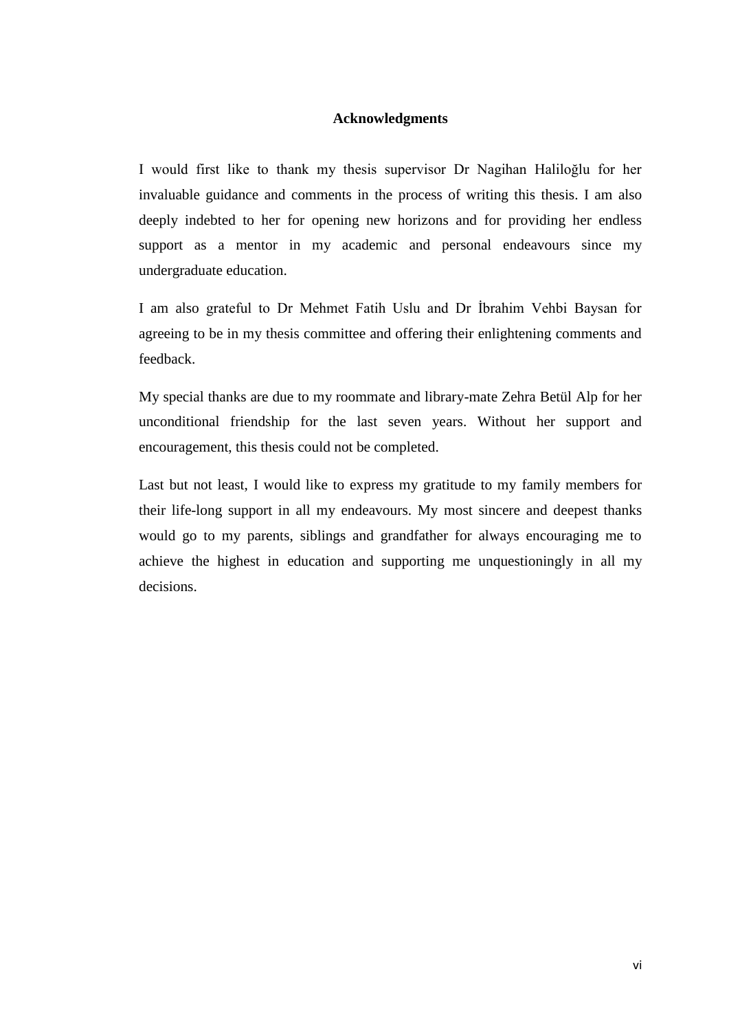#### **Acknowledgments**

<span id="page-5-0"></span>I would first like to thank my thesis supervisor Dr Nagihan Haliloğlu for her invaluable guidance and comments in the process of writing this thesis. I am also deeply indebted to her for opening new horizons and for providing her endless support as a mentor in my academic and personal endeavours since my undergraduate education.

I am also grateful to Dr Mehmet Fatih Uslu and Dr İbrahim Vehbi Baysan for agreeing to be in my thesis committee and offering their enlightening comments and feedback.

My special thanks are due to my roommate and library-mate Zehra Betül Alp for her unconditional friendship for the last seven years. Without her support and encouragement, this thesis could not be completed.

Last but not least, I would like to express my gratitude to my family members for their life-long support in all my endeavours. My most sincere and deepest thanks would go to my parents, siblings and grandfather for always encouraging me to achieve the highest in education and supporting me unquestioningly in all my decisions.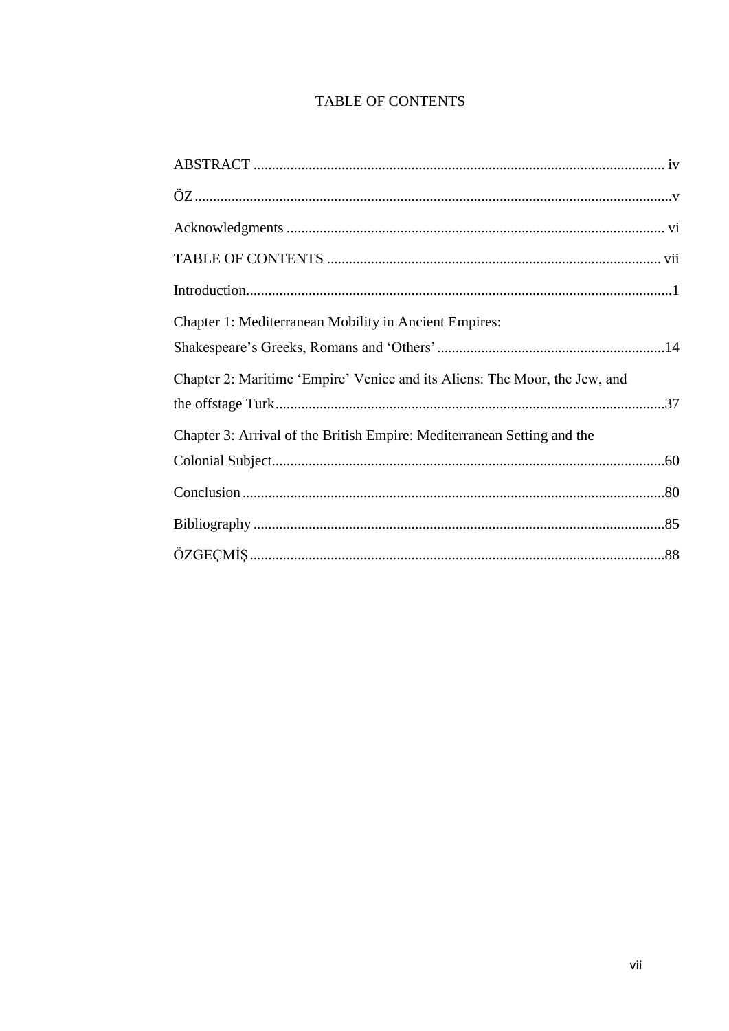### **TABLE OF CONTENTS**

<span id="page-6-0"></span>

| Chapter 1: Mediterranean Mobility in Ancient Empires:                      |  |
|----------------------------------------------------------------------------|--|
| Chapter 2: Maritime 'Empire' Venice and its Aliens: The Moor, the Jew, and |  |
| Chapter 3: Arrival of the British Empire: Mediterranean Setting and the    |  |
|                                                                            |  |
|                                                                            |  |
|                                                                            |  |
|                                                                            |  |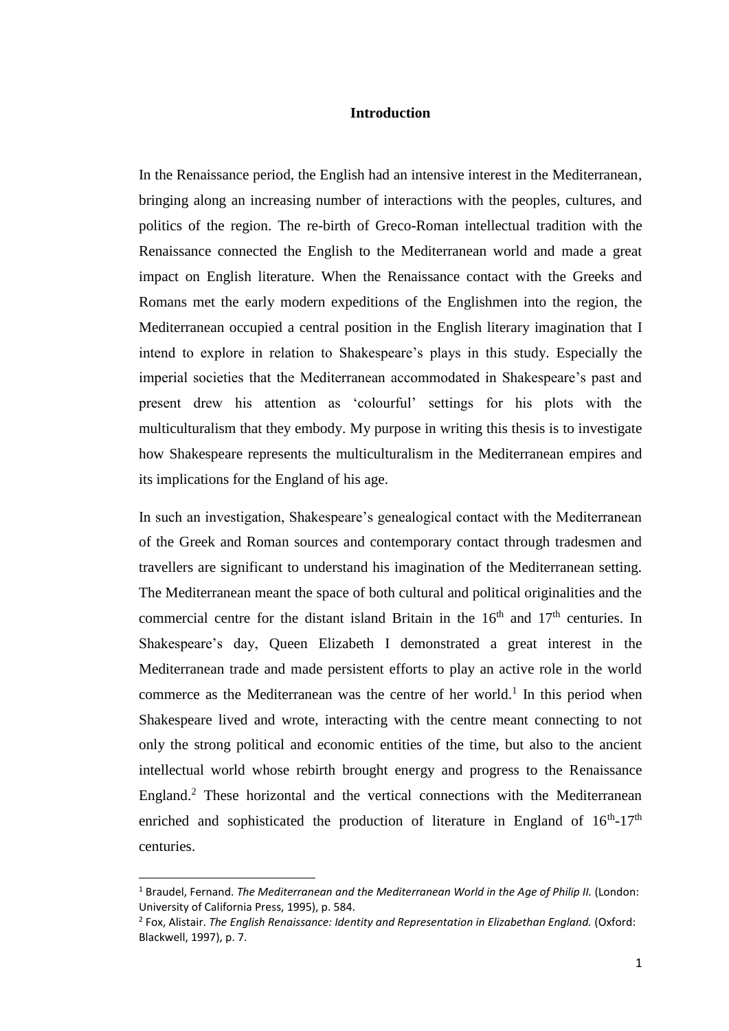#### **Introduction**

<span id="page-7-0"></span>In the Renaissance period, the English had an intensive interest in the Mediterranean, bringing along an increasing number of interactions with the peoples, cultures, and politics of the region. The re-birth of Greco-Roman intellectual tradition with the Renaissance connected the English to the Mediterranean world and made a great impact on English literature. When the Renaissance contact with the Greeks and Romans met the early modern expeditions of the Englishmen into the region, the Mediterranean occupied a central position in the English literary imagination that I intend to explore in relation to Shakespeare's plays in this study. Especially the imperial societies that the Mediterranean accommodated in Shakespeare's past and present drew his attention as 'colourful' settings for his plots with the multiculturalism that they embody. My purpose in writing this thesis is to investigate how Shakespeare represents the multiculturalism in the Mediterranean empires and its implications for the England of his age.

In such an investigation, Shakespeare's genealogical contact with the Mediterranean of the Greek and Roman sources and contemporary contact through tradesmen and travellers are significant to understand his imagination of the Mediterranean setting. The Mediterranean meant the space of both cultural and political originalities and the commercial centre for the distant island Britain in the  $16<sup>th</sup>$  and  $17<sup>th</sup>$  centuries. In Shakespeare's day, Queen Elizabeth I demonstrated a great interest in the Mediterranean trade and made persistent efforts to play an active role in the world commerce as the Mediterranean was the centre of her world.<sup>1</sup> In this period when Shakespeare lived and wrote, interacting with the centre meant connecting to not only the strong political and economic entities of the time, but also to the ancient intellectual world whose rebirth brought energy and progress to the Renaissance England.<sup>2</sup> These horizontal and the vertical connections with the Mediterranean enriched and sophisticated the production of literature in England of  $16<sup>th</sup>$ -17<sup>th</sup> centuries.

<sup>&</sup>lt;sup>1</sup> Braudel, Fernand. *The Mediterranean and the Mediterranean World in the Age of Philip II. (London:* University of California Press, 1995), p. 584.

<sup>&</sup>lt;sup>2</sup> Fox, Alistair. *The English Renaissance: Identity and Representation in Elizabethan England. (Oxford:* Blackwell, 1997), p. 7.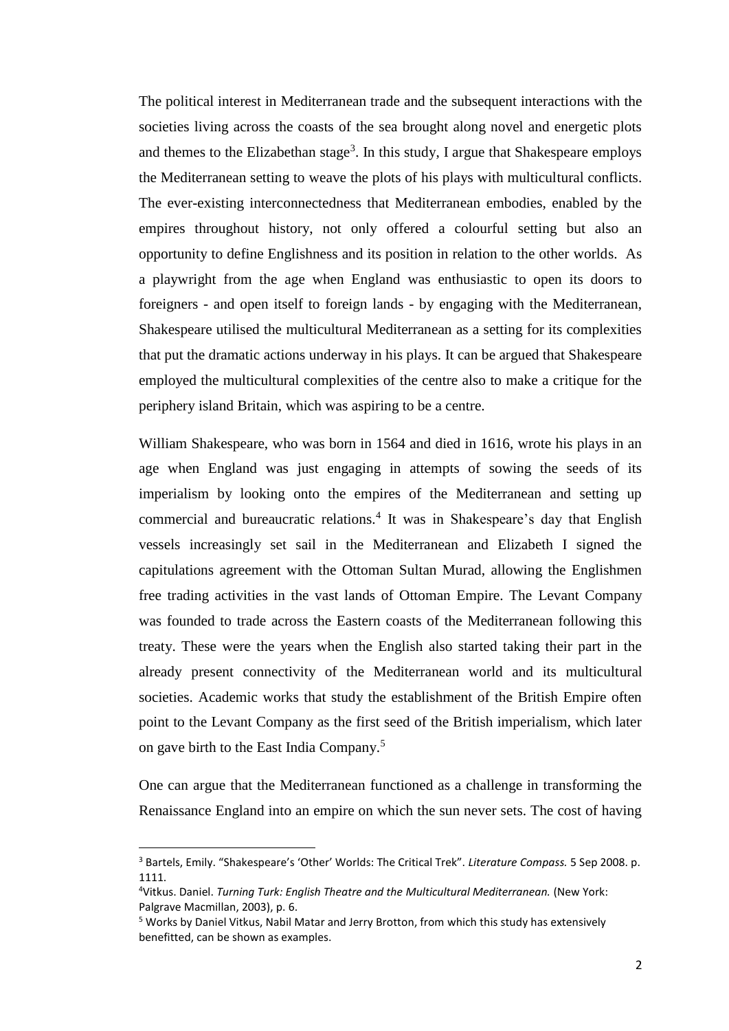The political interest in Mediterranean trade and the subsequent interactions with the societies living across the coasts of the sea brought along novel and energetic plots and themes to the Elizabethan stage<sup>3</sup>. In this study, I argue that Shakespeare employs the Mediterranean setting to weave the plots of his plays with multicultural conflicts. The ever-existing interconnectedness that Mediterranean embodies, enabled by the empires throughout history, not only offered a colourful setting but also an opportunity to define Englishness and its position in relation to the other worlds. As a playwright from the age when England was enthusiastic to open its doors to foreigners - and open itself to foreign lands - by engaging with the Mediterranean, Shakespeare utilised the multicultural Mediterranean as a setting for its complexities that put the dramatic actions underway in his plays. It can be argued that Shakespeare employed the multicultural complexities of the centre also to make a critique for the periphery island Britain, which was aspiring to be a centre.

William Shakespeare, who was born in 1564 and died in 1616, wrote his plays in an age when England was just engaging in attempts of sowing the seeds of its imperialism by looking onto the empires of the Mediterranean and setting up commercial and bureaucratic relations.<sup>4</sup> It was in Shakespeare's day that English vessels increasingly set sail in the Mediterranean and Elizabeth I signed the capitulations agreement with the Ottoman Sultan Murad, allowing the Englishmen free trading activities in the vast lands of Ottoman Empire. The Levant Company was founded to trade across the Eastern coasts of the Mediterranean following this treaty. These were the years when the English also started taking their part in the already present connectivity of the Mediterranean world and its multicultural societies. Academic works that study the establishment of the British Empire often point to the Levant Company as the first seed of the British imperialism, which later on gave birth to the East India Company.<sup>5</sup>

One can argue that the Mediterranean functioned as a challenge in transforming the Renaissance England into an empire on which the sun never sets. The cost of having

<sup>3</sup> Bartels, Emily. "Shakespeare's 'Other' Worlds: The Critical Trek". *Literature Compass.* 5 Sep 2008. p. 1111.

<sup>4</sup>Vitkus. Daniel. *Turning Turk: English Theatre and the Multicultural Mediterranean.* (New York: Palgrave Macmillan, 2003), p. 6.

<sup>5</sup> Works by Daniel Vitkus, Nabil Matar and Jerry Brotton, from which this study has extensively benefitted, can be shown as examples.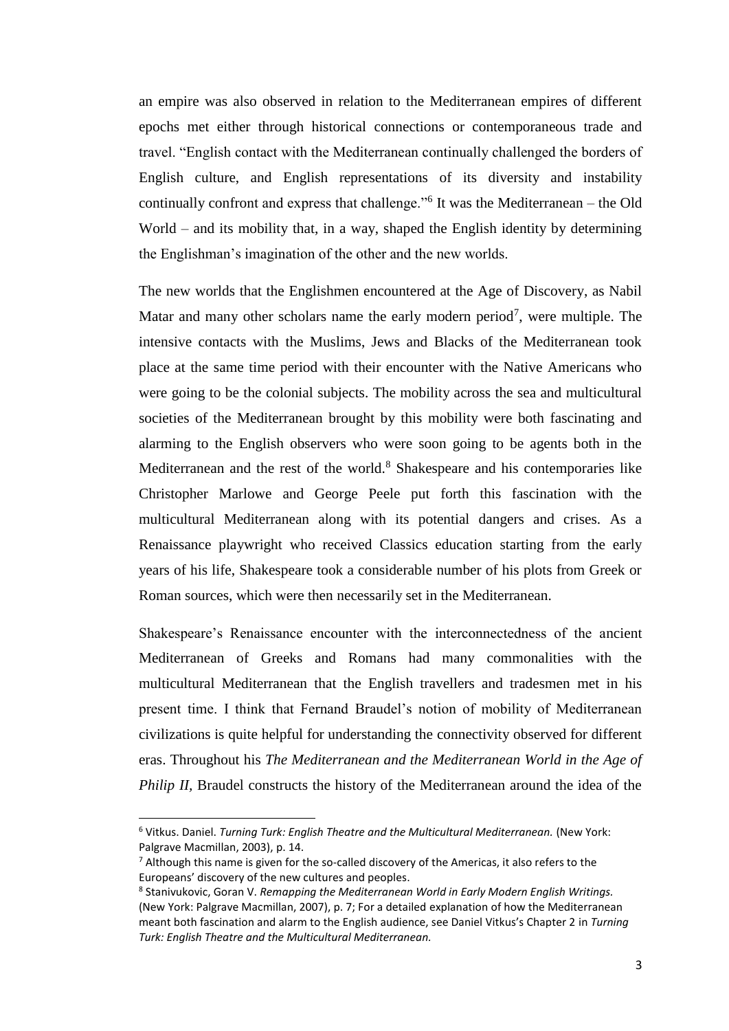an empire was also observed in relation to the Mediterranean empires of different epochs met either through historical connections or contemporaneous trade and travel. "English contact with the Mediterranean continually challenged the borders of English culture, and English representations of its diversity and instability continually confront and express that challenge."<sup>6</sup> It was the Mediterranean – the Old World – and its mobility that, in a way, shaped the English identity by determining the Englishman's imagination of the other and the new worlds.

The new worlds that the Englishmen encountered at the Age of Discovery, as Nabil Matar and many other scholars name the early modern period<sup>7</sup>, were multiple. The intensive contacts with the Muslims, Jews and Blacks of the Mediterranean took place at the same time period with their encounter with the Native Americans who were going to be the colonial subjects. The mobility across the sea and multicultural societies of the Mediterranean brought by this mobility were both fascinating and alarming to the English observers who were soon going to be agents both in the Mediterranean and the rest of the world.<sup>8</sup> Shakespeare and his contemporaries like Christopher Marlowe and George Peele put forth this fascination with the multicultural Mediterranean along with its potential dangers and crises. As a Renaissance playwright who received Classics education starting from the early years of his life, Shakespeare took a considerable number of his plots from Greek or Roman sources, which were then necessarily set in the Mediterranean.

Shakespeare's Renaissance encounter with the interconnectedness of the ancient Mediterranean of Greeks and Romans had many commonalities with the multicultural Mediterranean that the English travellers and tradesmen met in his present time. I think that Fernand Braudel's notion of mobility of Mediterranean civilizations is quite helpful for understanding the connectivity observed for different eras. Throughout his *The Mediterranean and the Mediterranean World in the Age of Philip II,* Braudel constructs the history of the Mediterranean around the idea of the

<sup>6</sup> Vitkus. Daniel. *Turning Turk: English Theatre and the Multicultural Mediterranean.* (New York: Palgrave Macmillan, 2003), p. 14.

 $<sup>7</sup>$  Although this name is given for the so-called discovery of the Americas, it also refers to the</sup> Europeans' discovery of the new cultures and peoples.

<sup>&</sup>lt;sup>8</sup> Stanivukovic, Goran V. *Remapping the Mediterranean World in Early Modern English Writings.* (New York: Palgrave Macmillan, 2007), p. 7; For a detailed explanation of how the Mediterranean meant both fascination and alarm to the English audience, see Daniel Vitkus's Chapter 2 in *Turning Turk: English Theatre and the Multicultural Mediterranean.*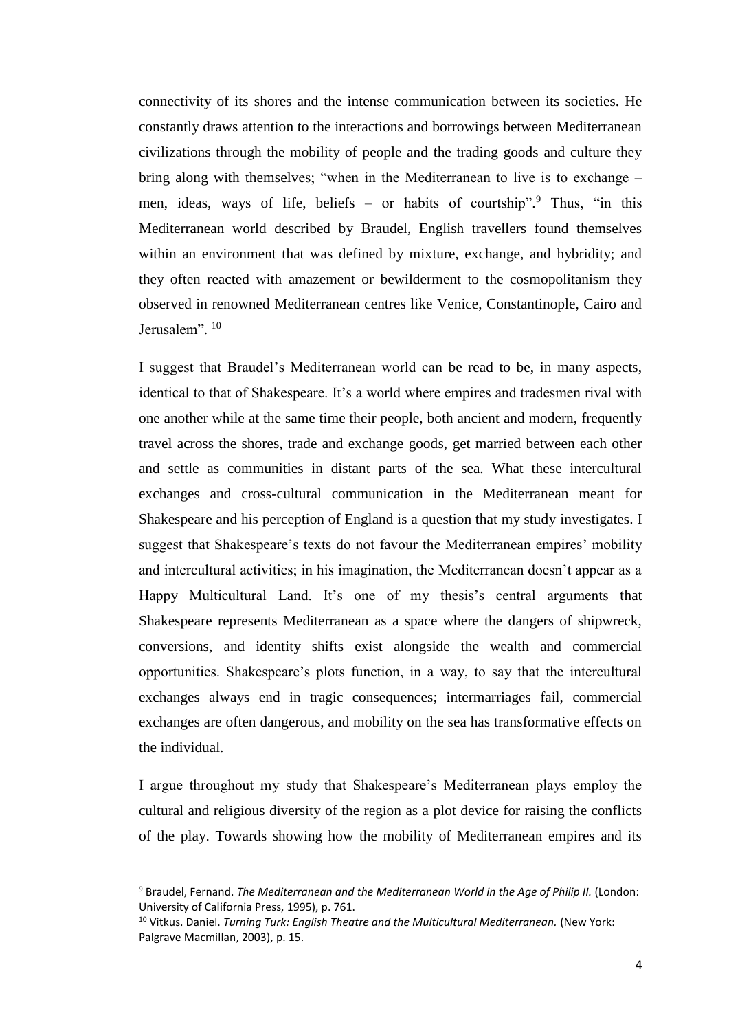connectivity of its shores and the intense communication between its societies. He constantly draws attention to the interactions and borrowings between Mediterranean civilizations through the mobility of people and the trading goods and culture they bring along with themselves; "when in the Mediterranean to live is to exchange – men, ideas, ways of life, beliefs – or habits of courtship". <sup>9</sup> Thus, "in this Mediterranean world described by Braudel, English travellers found themselves within an environment that was defined by mixture, exchange, and hybridity; and they often reacted with amazement or bewilderment to the cosmopolitanism they observed in renowned Mediterranean centres like Venice, Constantinople, Cairo and Jerusalem". <sup>10</sup>

I suggest that Braudel's Mediterranean world can be read to be, in many aspects, identical to that of Shakespeare. It's a world where empires and tradesmen rival with one another while at the same time their people, both ancient and modern, frequently travel across the shores, trade and exchange goods, get married between each other and settle as communities in distant parts of the sea. What these intercultural exchanges and cross-cultural communication in the Mediterranean meant for Shakespeare and his perception of England is a question that my study investigates. I suggest that Shakespeare's texts do not favour the Mediterranean empires' mobility and intercultural activities; in his imagination, the Mediterranean doesn't appear as a Happy Multicultural Land. It's one of my thesis's central arguments that Shakespeare represents Mediterranean as a space where the dangers of shipwreck, conversions, and identity shifts exist alongside the wealth and commercial opportunities. Shakespeare's plots function, in a way, to say that the intercultural exchanges always end in tragic consequences; intermarriages fail, commercial exchanges are often dangerous, and mobility on the sea has transformative effects on the individual.

I argue throughout my study that Shakespeare's Mediterranean plays employ the cultural and religious diversity of the region as a plot device for raising the conflicts of the play. Towards showing how the mobility of Mediterranean empires and its

<sup>&</sup>lt;sup>9</sup> Braudel, Fernand. *The Mediterranean and the Mediterranean World in the Age of Philip II. (London:* University of California Press, 1995), p. 761.

<sup>&</sup>lt;sup>10</sup> Vitkus. Daniel. *Turning Turk: English Theatre and the Multicultural Mediterranean.* (New York: Palgrave Macmillan, 2003), p. 15.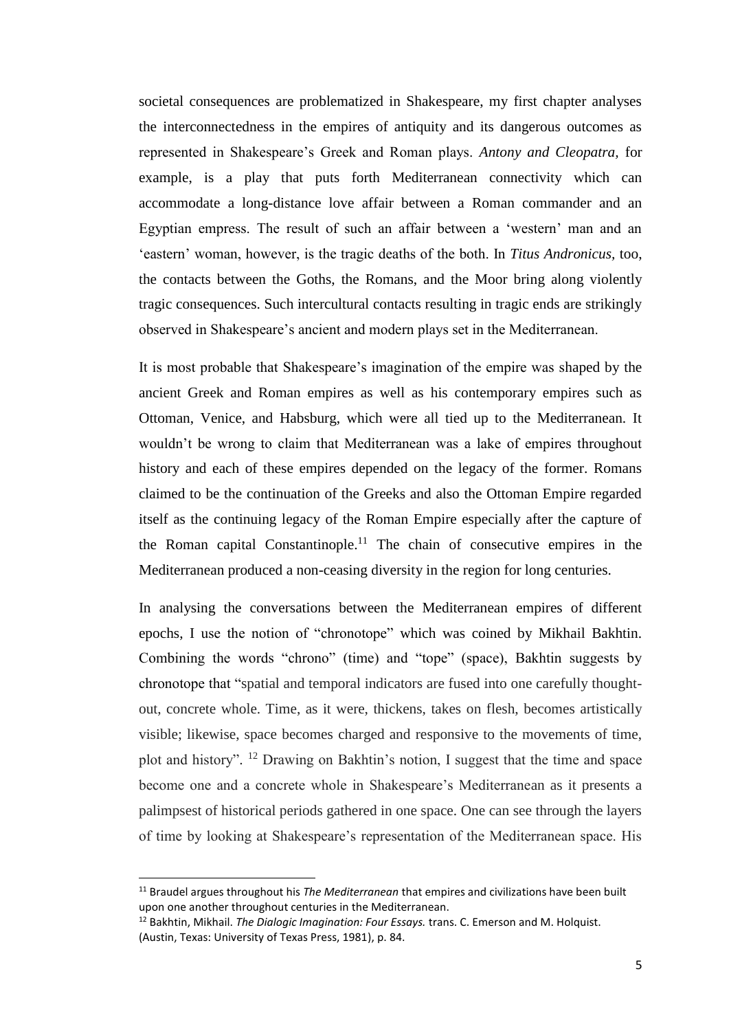societal consequences are problematized in Shakespeare, my first chapter analyses the interconnectedness in the empires of antiquity and its dangerous outcomes as represented in Shakespeare's Greek and Roman plays. *Antony and Cleopatra,* for example, is a play that puts forth Mediterranean connectivity which can accommodate a long-distance love affair between a Roman commander and an Egyptian empress. The result of such an affair between a 'western' man and an 'eastern' woman, however, is the tragic deaths of the both. In *Titus Andronicus,* too, the contacts between the Goths, the Romans, and the Moor bring along violently tragic consequences. Such intercultural contacts resulting in tragic ends are strikingly observed in Shakespeare's ancient and modern plays set in the Mediterranean.

It is most probable that Shakespeare's imagination of the empire was shaped by the ancient Greek and Roman empires as well as his contemporary empires such as Ottoman, Venice, and Habsburg, which were all tied up to the Mediterranean. It wouldn't be wrong to claim that Mediterranean was a lake of empires throughout history and each of these empires depended on the legacy of the former. Romans claimed to be the continuation of the Greeks and also the Ottoman Empire regarded itself as the continuing legacy of the Roman Empire especially after the capture of the Roman capital Constantinople.<sup>11</sup> The chain of consecutive empires in the Mediterranean produced a non-ceasing diversity in the region for long centuries.

In analysing the conversations between the Mediterranean empires of different epochs, I use the notion of "chronotope" which was coined by Mikhail Bakhtin. Combining the words "chrono" (time) and "tope" (space), Bakhtin suggests by chronotope that "spatial and temporal indicators are fused into one carefully thoughtout, concrete whole. Time, as it were, thickens, takes on flesh, becomes artistically visible; likewise, space becomes charged and responsive to the movements of time, plot and history". <sup>12</sup> Drawing on Bakhtin's notion, I suggest that the time and space become one and a concrete whole in Shakespeare's Mediterranean as it presents a palimpsest of historical periods gathered in one space. One can see through the layers of time by looking at Shakespeare's representation of the Mediterranean space. His

<sup>11</sup> Braudel argues throughout his *The Mediterranean* that empires and civilizations have been built upon one another throughout centuries in the Mediterranean.

<sup>12</sup> Bakhtin, Mikhail. *The Dialogic Imagination: Four Essays.* trans. C. Emerson and M. Holquist. (Austin, Texas: University of Texas Press, 1981), p. 84.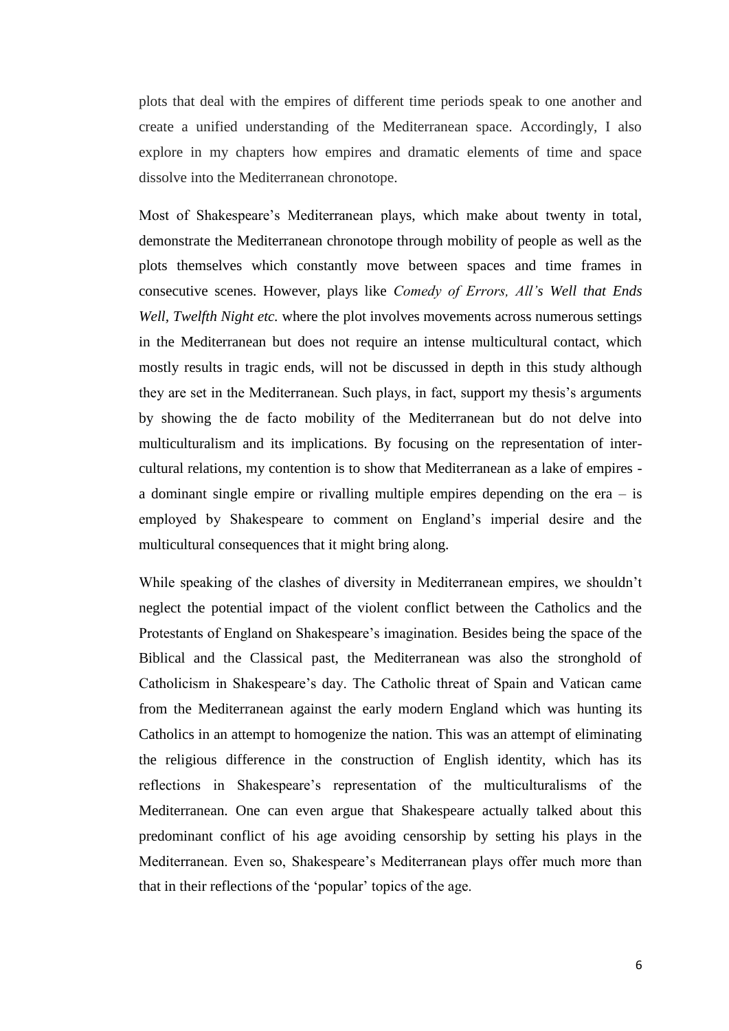plots that deal with the empires of different time periods speak to one another and create a unified understanding of the Mediterranean space. Accordingly, I also explore in my chapters how empires and dramatic elements of time and space dissolve into the Mediterranean chronotope.

Most of Shakespeare's Mediterranean plays, which make about twenty in total, demonstrate the Mediterranean chronotope through mobility of people as well as the plots themselves which constantly move between spaces and time frames in consecutive scenes. However, plays like *Comedy of Errors, All's Well that Ends Well, Twelfth Night etc.* where the plot involves movements across numerous settings in the Mediterranean but does not require an intense multicultural contact, which mostly results in tragic ends, will not be discussed in depth in this study although they are set in the Mediterranean. Such plays, in fact, support my thesis's arguments by showing the de facto mobility of the Mediterranean but do not delve into multiculturalism and its implications. By focusing on the representation of intercultural relations, my contention is to show that Mediterranean as a lake of empires a dominant single empire or rivalling multiple empires depending on the era – is employed by Shakespeare to comment on England's imperial desire and the multicultural consequences that it might bring along.

While speaking of the clashes of diversity in Mediterranean empires, we shouldn't neglect the potential impact of the violent conflict between the Catholics and the Protestants of England on Shakespeare's imagination. Besides being the space of the Biblical and the Classical past, the Mediterranean was also the stronghold of Catholicism in Shakespeare's day. The Catholic threat of Spain and Vatican came from the Mediterranean against the early modern England which was hunting its Catholics in an attempt to homogenize the nation. This was an attempt of eliminating the religious difference in the construction of English identity, which has its reflections in Shakespeare's representation of the multiculturalisms of the Mediterranean. One can even argue that Shakespeare actually talked about this predominant conflict of his age avoiding censorship by setting his plays in the Mediterranean. Even so, Shakespeare's Mediterranean plays offer much more than that in their reflections of the 'popular' topics of the age.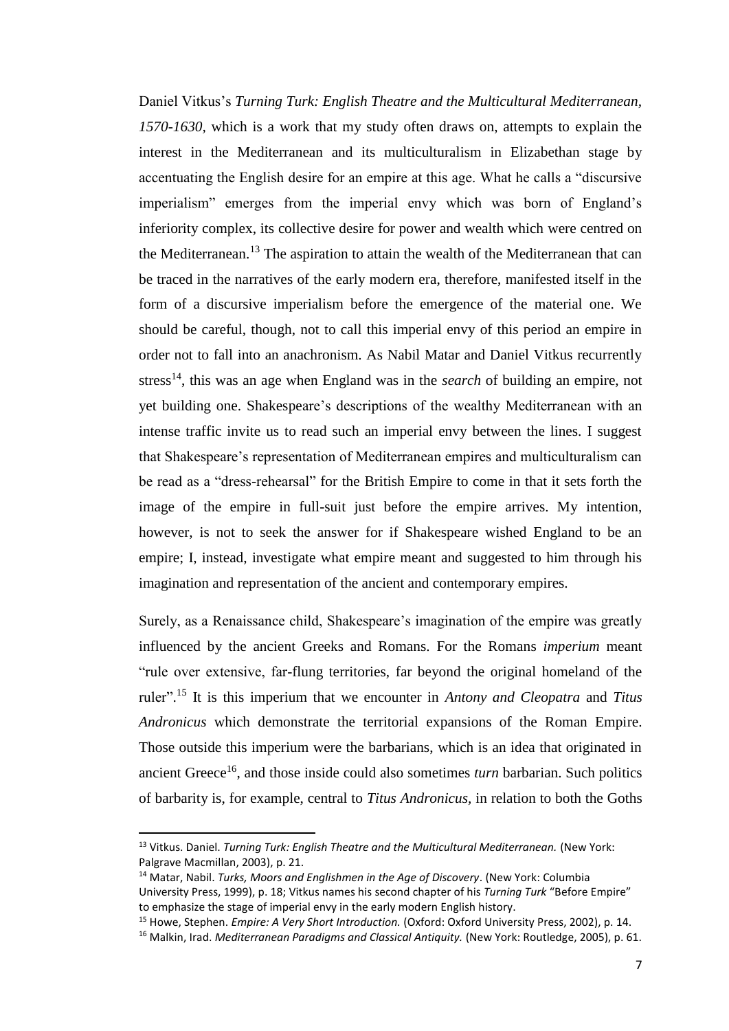Daniel Vitkus's *Turning Turk: English Theatre and the Multicultural Mediterranean, 1570-1630,* which is a work that my study often draws on, attempts to explain the interest in the Mediterranean and its multiculturalism in Elizabethan stage by accentuating the English desire for an empire at this age. What he calls a "discursive imperialism" emerges from the imperial envy which was born of England's inferiority complex, its collective desire for power and wealth which were centred on the Mediterranean.<sup>13</sup> The aspiration to attain the wealth of the Mediterranean that can be traced in the narratives of the early modern era, therefore, manifested itself in the form of a discursive imperialism before the emergence of the material one. We should be careful, though, not to call this imperial envy of this period an empire in order not to fall into an anachronism. As Nabil Matar and Daniel Vitkus recurrently stress<sup>14</sup>, this was an age when England was in the *search* of building an empire, not yet building one. Shakespeare's descriptions of the wealthy Mediterranean with an intense traffic invite us to read such an imperial envy between the lines. I suggest that Shakespeare's representation of Mediterranean empires and multiculturalism can be read as a "dress-rehearsal" for the British Empire to come in that it sets forth the image of the empire in full-suit just before the empire arrives. My intention, however, is not to seek the answer for if Shakespeare wished England to be an empire; I, instead, investigate what empire meant and suggested to him through his imagination and representation of the ancient and contemporary empires.

Surely, as a Renaissance child, Shakespeare's imagination of the empire was greatly influenced by the ancient Greeks and Romans. For the Romans *imperium* meant "rule over extensive, far-flung territories, far beyond the original homeland of the ruler". <sup>15</sup> It is this imperium that we encounter in *Antony and Cleopatra* and *Titus Andronicus* which demonstrate the territorial expansions of the Roman Empire. Those outside this imperium were the barbarians, which is an idea that originated in ancient Greece<sup>16</sup>, and those inside could also sometimes *turn* barbarian. Such politics of barbarity is, for example, central to *Titus Andronicus,* in relation to both the Goths

<sup>&</sup>lt;sup>13</sup> Vitkus. Daniel. *Turning Turk: English Theatre and the Multicultural Mediterranean.* (New York: Palgrave Macmillan, 2003), p. 21.

<sup>14</sup> Matar, Nabil. *Turks, Moors and Englishmen in the Age of Discovery*. (New York: Columbia University Press, 1999), p. 18; Vitkus names his second chapter of his *Turning Turk* "Before Empire" to emphasize the stage of imperial envy in the early modern English history.

<sup>15</sup> Howe, Stephen. *Empire: A Very Short Introduction.* (Oxford: Oxford University Press, 2002), p. 14.

<sup>16</sup> Malkin, Irad. *Mediterranean Paradigms and Classical Antiquity.* (New York: Routledge, 2005), p. 61.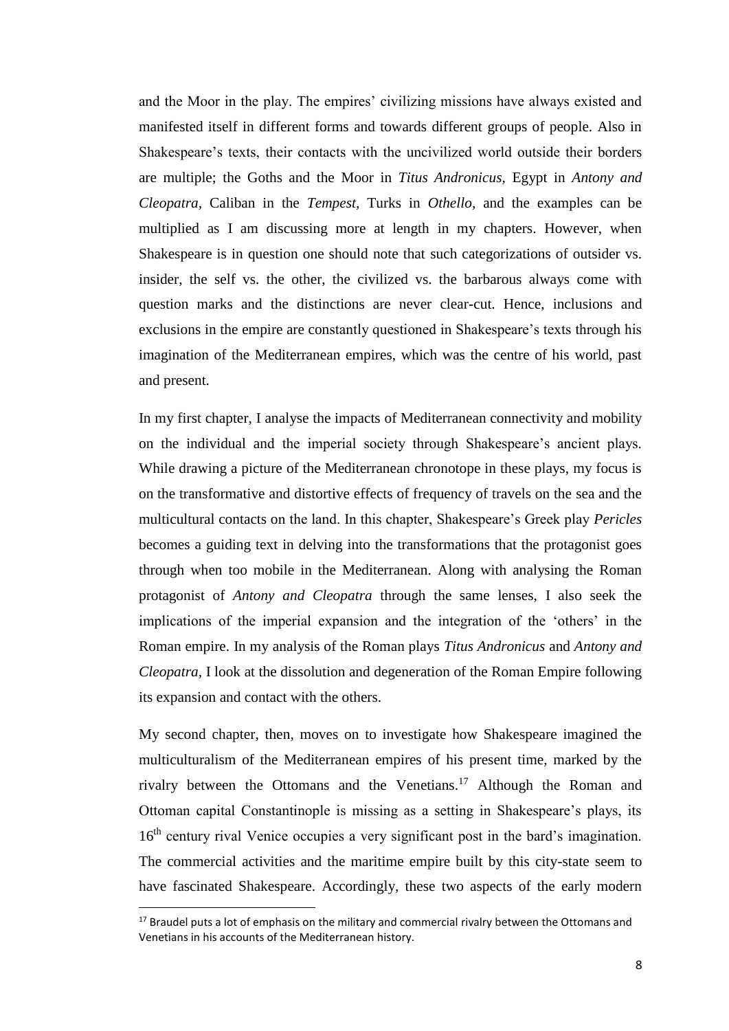and the Moor in the play. The empires' civilizing missions have always existed and manifested itself in different forms and towards different groups of people. Also in Shakespeare's texts, their contacts with the uncivilized world outside their borders are multiple; the Goths and the Moor in *Titus Andronicus,* Egypt in *Antony and Cleopatra,* Caliban in the *Tempest,* Turks in *Othello,* and the examples can be multiplied as I am discussing more at length in my chapters. However, when Shakespeare is in question one should note that such categorizations of outsider vs. insider, the self vs. the other, the civilized vs. the barbarous always come with question marks and the distinctions are never clear-cut. Hence, inclusions and exclusions in the empire are constantly questioned in Shakespeare's texts through his imagination of the Mediterranean empires, which was the centre of his world, past and present.

In my first chapter, I analyse the impacts of Mediterranean connectivity and mobility on the individual and the imperial society through Shakespeare's ancient plays. While drawing a picture of the Mediterranean chronotope in these plays, my focus is on the transformative and distortive effects of frequency of travels on the sea and the multicultural contacts on the land. In this chapter, Shakespeare's Greek play *Pericles*  becomes a guiding text in delving into the transformations that the protagonist goes through when too mobile in the Mediterranean. Along with analysing the Roman protagonist of *Antony and Cleopatra* through the same lenses, I also seek the implications of the imperial expansion and the integration of the 'others' in the Roman empire. In my analysis of the Roman plays *Titus Andronicus* and *Antony and Cleopatra,* I look at the dissolution and degeneration of the Roman Empire following its expansion and contact with the others.

My second chapter, then, moves on to investigate how Shakespeare imagined the multiculturalism of the Mediterranean empires of his present time, marked by the rivalry between the Ottomans and the Venetians.<sup>17</sup> Although the Roman and Ottoman capital Constantinople is missing as a setting in Shakespeare's plays, its 16<sup>th</sup> century rival Venice occupies a very significant post in the bard's imagination. The commercial activities and the maritime empire built by this city-state seem to have fascinated Shakespeare. Accordingly, these two aspects of the early modern

<sup>&</sup>lt;sup>17</sup> Braudel puts a lot of emphasis on the military and commercial rivalry between the Ottomans and Venetians in his accounts of the Mediterranean history.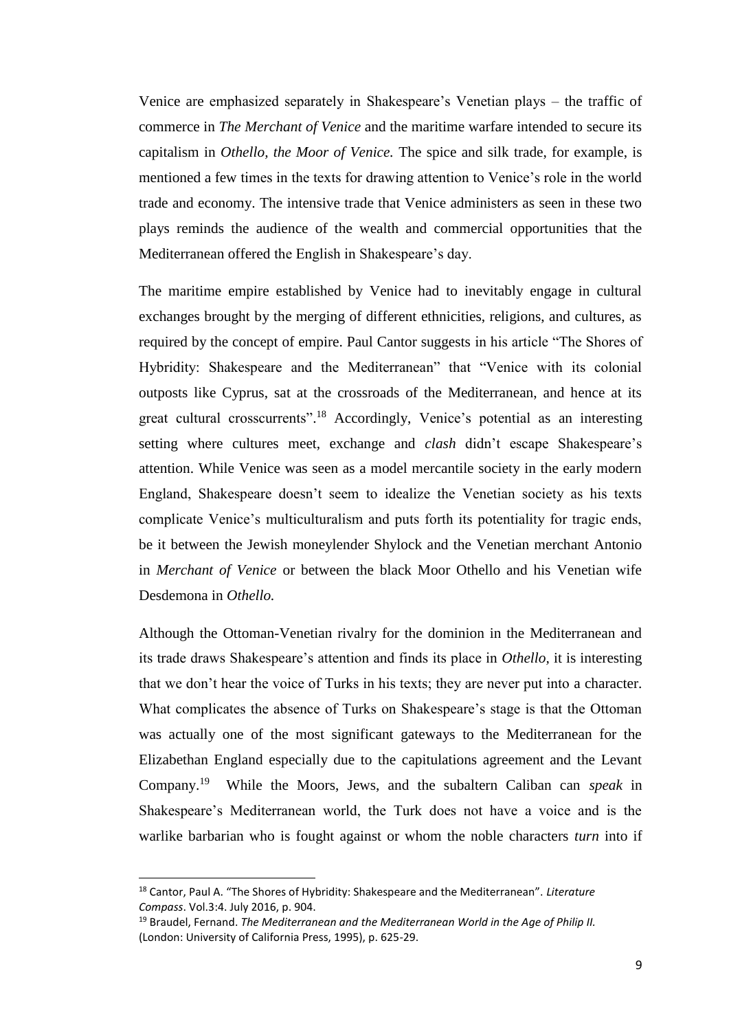Venice are emphasized separately in Shakespeare's Venetian plays – the traffic of commerce in *The Merchant of Venice* and the maritime warfare intended to secure its capitalism in *Othello, the Moor of Venice.* The spice and silk trade, for example, is mentioned a few times in the texts for drawing attention to Venice's role in the world trade and economy. The intensive trade that Venice administers as seen in these two plays reminds the audience of the wealth and commercial opportunities that the Mediterranean offered the English in Shakespeare's day.

The maritime empire established by Venice had to inevitably engage in cultural exchanges brought by the merging of different ethnicities, religions, and cultures, as required by the concept of empire. Paul Cantor suggests in his article "The Shores of Hybridity: Shakespeare and the Mediterranean" that "Venice with its colonial outposts like Cyprus, sat at the crossroads of the Mediterranean, and hence at its great cultural crosscurrents".<sup>18</sup> Accordingly, Venice's potential as an interesting setting where cultures meet, exchange and *clash* didn't escape Shakespeare's attention. While Venice was seen as a model mercantile society in the early modern England, Shakespeare doesn't seem to idealize the Venetian society as his texts complicate Venice's multiculturalism and puts forth its potentiality for tragic ends, be it between the Jewish moneylender Shylock and the Venetian merchant Antonio in *Merchant of Venice* or between the black Moor Othello and his Venetian wife Desdemona in *Othello.* 

Although the Ottoman-Venetian rivalry for the dominion in the Mediterranean and its trade draws Shakespeare's attention and finds its place in *Othello,* it is interesting that we don't hear the voice of Turks in his texts; they are never put into a character. What complicates the absence of Turks on Shakespeare's stage is that the Ottoman was actually one of the most significant gateways to the Mediterranean for the Elizabethan England especially due to the capitulations agreement and the Levant Company.<sup>19</sup> While the Moors, Jews, and the subaltern Caliban can *speak* in Shakespeare's Mediterranean world, the Turk does not have a voice and is the warlike barbarian who is fought against or whom the noble characters *turn* into if

<sup>18</sup> Cantor, Paul A. "The Shores of Hybridity: Shakespeare and the Mediterranean". *Literature Compass*. Vol.3:4. July 2016, p. 904.

<sup>19</sup> Braudel, Fernand. *The Mediterranean and the Mediterranean World in the Age of Philip II.*  (London: University of California Press, 1995), p. 625-29.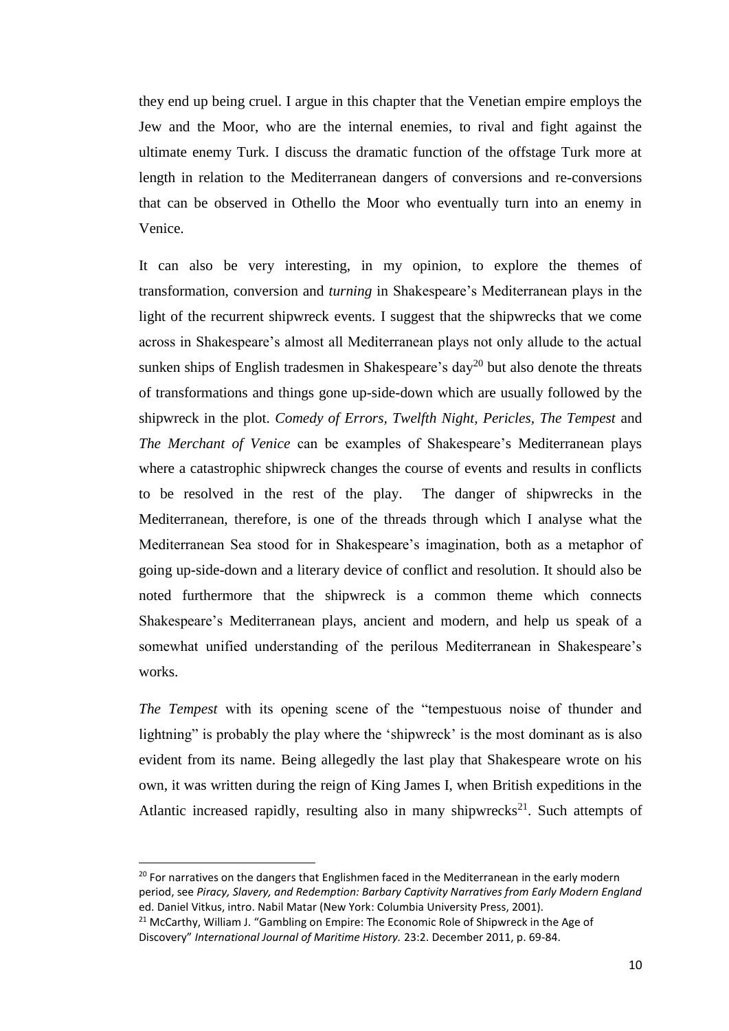they end up being cruel. I argue in this chapter that the Venetian empire employs the Jew and the Moor, who are the internal enemies, to rival and fight against the ultimate enemy Turk. I discuss the dramatic function of the offstage Turk more at length in relation to the Mediterranean dangers of conversions and re-conversions that can be observed in Othello the Moor who eventually turn into an enemy in Venice.

It can also be very interesting, in my opinion, to explore the themes of transformation, conversion and *turning* in Shakespeare's Mediterranean plays in the light of the recurrent shipwreck events. I suggest that the shipwrecks that we come across in Shakespeare's almost all Mediterranean plays not only allude to the actual sunken ships of English tradesmen in Shakespeare's day<sup>20</sup> but also denote the threats of transformations and things gone up-side-down which are usually followed by the shipwreck in the plot. *Comedy of Errors, Twelfth Night, Pericles, The Tempest* and *The Merchant of Venice* can be examples of Shakespeare's Mediterranean plays where a catastrophic shipwreck changes the course of events and results in conflicts to be resolved in the rest of the play. The danger of shipwrecks in the Mediterranean, therefore, is one of the threads through which I analyse what the Mediterranean Sea stood for in Shakespeare's imagination, both as a metaphor of going up-side-down and a literary device of conflict and resolution. It should also be noted furthermore that the shipwreck is a common theme which connects Shakespeare's Mediterranean plays, ancient and modern, and help us speak of a somewhat unified understanding of the perilous Mediterranean in Shakespeare's works.

*The Tempest* with its opening scene of the "tempestuous noise of thunder and lightning" is probably the play where the 'shipwreck' is the most dominant as is also evident from its name. Being allegedly the last play that Shakespeare wrote on his own, it was written during the reign of King James I, when British expeditions in the Atlantic increased rapidly, resulting also in many shipwrecks<sup>21</sup>. Such attempts of

 $20$  For narratives on the dangers that Englishmen faced in the Mediterranean in the early modern period, see *Piracy, Slavery, and Redemption: Barbary Captivity Narratives from Early Modern England*  ed. Daniel Vitkus, intro. Nabil Matar (New York: Columbia University Press, 2001).

<sup>&</sup>lt;sup>21</sup> McCarthy, William J. "Gambling on Empire: The Economic Role of Shipwreck in the Age of Discovery" *International Journal of Maritime History.* 23:2. December 2011, p. 69-84.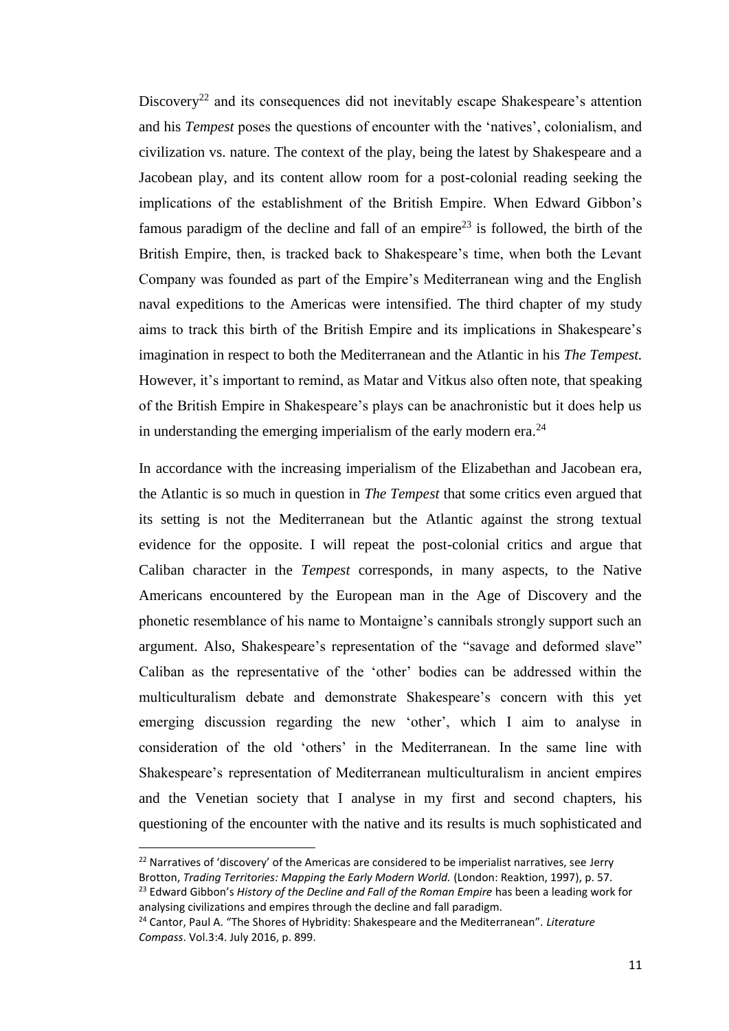Discovery<sup>22</sup> and its consequences did not inevitably escape Shakespeare's attention and his *Tempest* poses the questions of encounter with the 'natives', colonialism, and civilization vs. nature. The context of the play, being the latest by Shakespeare and a Jacobean play, and its content allow room for a post-colonial reading seeking the implications of the establishment of the British Empire. When Edward Gibbon's famous paradigm of the decline and fall of an empire<sup>23</sup> is followed, the birth of the British Empire, then, is tracked back to Shakespeare's time, when both the Levant Company was founded as part of the Empire's Mediterranean wing and the English naval expeditions to the Americas were intensified. The third chapter of my study aims to track this birth of the British Empire and its implications in Shakespeare's imagination in respect to both the Mediterranean and the Atlantic in his *The Tempest.*  However, it's important to remind, as Matar and Vitkus also often note, that speaking of the British Empire in Shakespeare's plays can be anachronistic but it does help us in understanding the emerging imperialism of the early modern era.<sup>24</sup>

In accordance with the increasing imperialism of the Elizabethan and Jacobean era, the Atlantic is so much in question in *The Tempest* that some critics even argued that its setting is not the Mediterranean but the Atlantic against the strong textual evidence for the opposite. I will repeat the post-colonial critics and argue that Caliban character in the *Tempest* corresponds, in many aspects, to the Native Americans encountered by the European man in the Age of Discovery and the phonetic resemblance of his name to Montaigne's cannibals strongly support such an argument. Also, Shakespeare's representation of the "savage and deformed slave" Caliban as the representative of the 'other' bodies can be addressed within the multiculturalism debate and demonstrate Shakespeare's concern with this yet emerging discussion regarding the new 'other', which I aim to analyse in consideration of the old 'others' in the Mediterranean. In the same line with Shakespeare's representation of Mediterranean multiculturalism in ancient empires and the Venetian society that I analyse in my first and second chapters, his questioning of the encounter with the native and its results is much sophisticated and

 $22$  Narratives of 'discovery' of the Americas are considered to be imperialist narratives, see Jerry Brotton, *Trading Territories: Mapping the Early Modern World.* (London: Reaktion, 1997), p. 57. <sup>23</sup> Edward Gibbon's *History of the Decline and Fall of the Roman Empire* has been a leading work for analysing civilizations and empires through the decline and fall paradigm.

<sup>24</sup> Cantor, Paul A. "The Shores of Hybridity: Shakespeare and the Mediterranean". *Literature Compass*. Vol.3:4. July 2016, p. 899.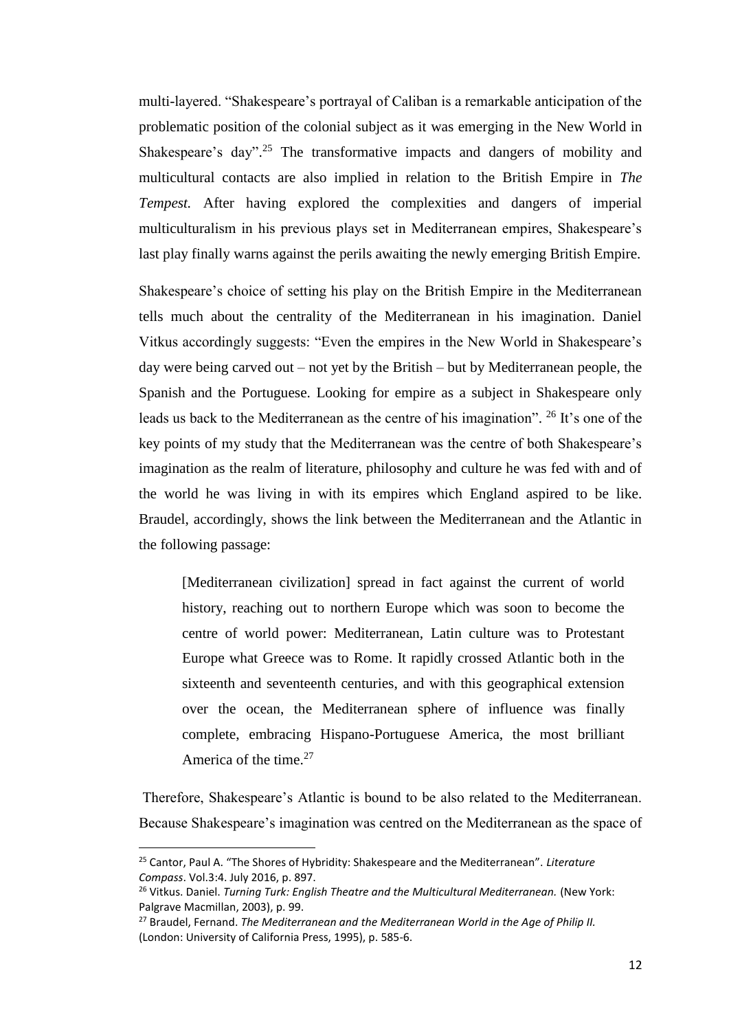multi-layered. "Shakespeare's portrayal of Caliban is a remarkable anticipation of the problematic position of the colonial subject as it was emerging in the New World in Shakespeare's day".<sup>25</sup> The transformative impacts and dangers of mobility and multicultural contacts are also implied in relation to the British Empire in *The Tempest.* After having explored the complexities and dangers of imperial multiculturalism in his previous plays set in Mediterranean empires, Shakespeare's last play finally warns against the perils awaiting the newly emerging British Empire.

Shakespeare's choice of setting his play on the British Empire in the Mediterranean tells much about the centrality of the Mediterranean in his imagination. Daniel Vitkus accordingly suggests: "Even the empires in the New World in Shakespeare's day were being carved out – not yet by the British – but by Mediterranean people, the Spanish and the Portuguese. Looking for empire as a subject in Shakespeare only leads us back to the Mediterranean as the centre of his imagination". <sup>26</sup> It's one of the key points of my study that the Mediterranean was the centre of both Shakespeare's imagination as the realm of literature, philosophy and culture he was fed with and of the world he was living in with its empires which England aspired to be like. Braudel, accordingly, shows the link between the Mediterranean and the Atlantic in the following passage:

[Mediterranean civilization] spread in fact against the current of world history, reaching out to northern Europe which was soon to become the centre of world power: Mediterranean, Latin culture was to Protestant Europe what Greece was to Rome. It rapidly crossed Atlantic both in the sixteenth and seventeenth centuries, and with this geographical extension over the ocean, the Mediterranean sphere of influence was finally complete, embracing Hispano-Portuguese America, the most brilliant America of the time.<sup>27</sup>

Therefore, Shakespeare's Atlantic is bound to be also related to the Mediterranean. Because Shakespeare's imagination was centred on the Mediterranean as the space of

<sup>25</sup> Cantor, Paul A. "The Shores of Hybridity: Shakespeare and the Mediterranean". *Literature Compass*. Vol.3:4. July 2016, p. 897.

<sup>&</sup>lt;sup>26</sup> Vitkus. Daniel. *Turning Turk: English Theatre and the Multicultural Mediterranean.* (New York: Palgrave Macmillan, 2003), p. 99.

<sup>27</sup> Braudel, Fernand. *The Mediterranean and the Mediterranean World in the Age of Philip II.*  (London: University of California Press, 1995), p. 585-6.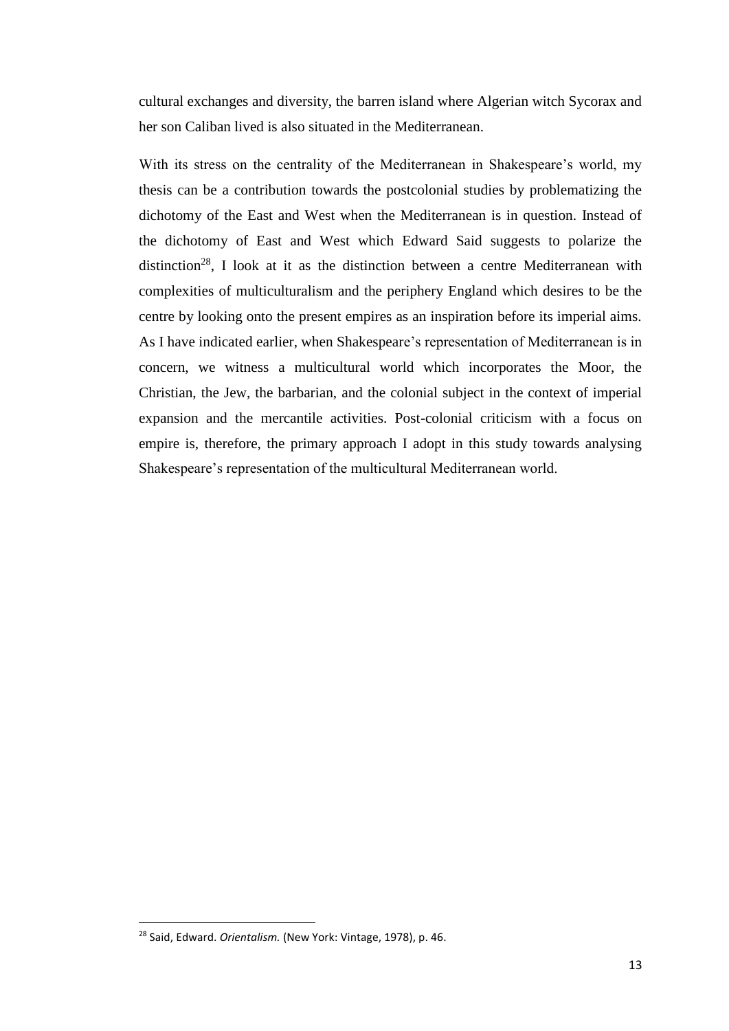cultural exchanges and diversity, the barren island where Algerian witch Sycorax and her son Caliban lived is also situated in the Mediterranean.

With its stress on the centrality of the Mediterranean in Shakespeare's world, my thesis can be a contribution towards the postcolonial studies by problematizing the dichotomy of the East and West when the Mediterranean is in question. Instead of the dichotomy of East and West which Edward Said suggests to polarize the distinction<sup>28</sup>, I look at it as the distinction between a centre Mediterranean with complexities of multiculturalism and the periphery England which desires to be the centre by looking onto the present empires as an inspiration before its imperial aims. As I have indicated earlier, when Shakespeare's representation of Mediterranean is in concern, we witness a multicultural world which incorporates the Moor, the Christian, the Jew, the barbarian, and the colonial subject in the context of imperial expansion and the mercantile activities. Post-colonial criticism with a focus on empire is, therefore, the primary approach I adopt in this study towards analysing Shakespeare's representation of the multicultural Mediterranean world.

<sup>28</sup> Said, Edward. *Orientalism.* (New York: Vintage, 1978), p. 46.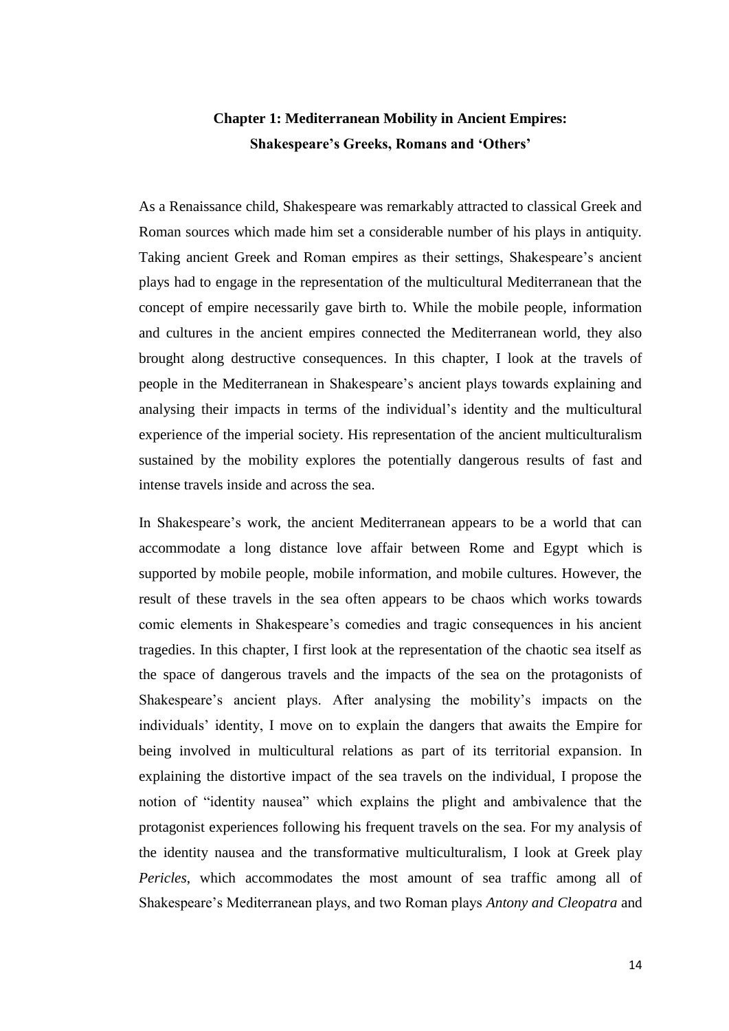## <span id="page-20-0"></span>**Chapter 1: Mediterranean Mobility in Ancient Empires: Shakespeare's Greeks, Romans and 'Others'**

As a Renaissance child, Shakespeare was remarkably attracted to classical Greek and Roman sources which made him set a considerable number of his plays in antiquity. Taking ancient Greek and Roman empires as their settings, Shakespeare's ancient plays had to engage in the representation of the multicultural Mediterranean that the concept of empire necessarily gave birth to. While the mobile people, information and cultures in the ancient empires connected the Mediterranean world, they also brought along destructive consequences. In this chapter, I look at the travels of people in the Mediterranean in Shakespeare's ancient plays towards explaining and analysing their impacts in terms of the individual's identity and the multicultural experience of the imperial society. His representation of the ancient multiculturalism sustained by the mobility explores the potentially dangerous results of fast and intense travels inside and across the sea.

In Shakespeare's work, the ancient Mediterranean appears to be a world that can accommodate a long distance love affair between Rome and Egypt which is supported by mobile people, mobile information, and mobile cultures. However, the result of these travels in the sea often appears to be chaos which works towards comic elements in Shakespeare's comedies and tragic consequences in his ancient tragedies. In this chapter, I first look at the representation of the chaotic sea itself as the space of dangerous travels and the impacts of the sea on the protagonists of Shakespeare's ancient plays. After analysing the mobility's impacts on the individuals' identity, I move on to explain the dangers that awaits the Empire for being involved in multicultural relations as part of its territorial expansion. In explaining the distortive impact of the sea travels on the individual, I propose the notion of "identity nausea" which explains the plight and ambivalence that the protagonist experiences following his frequent travels on the sea. For my analysis of the identity nausea and the transformative multiculturalism, I look at Greek play *Pericles*, which accommodates the most amount of sea traffic among all of Shakespeare's Mediterranean plays, and two Roman plays *Antony and Cleopatra* and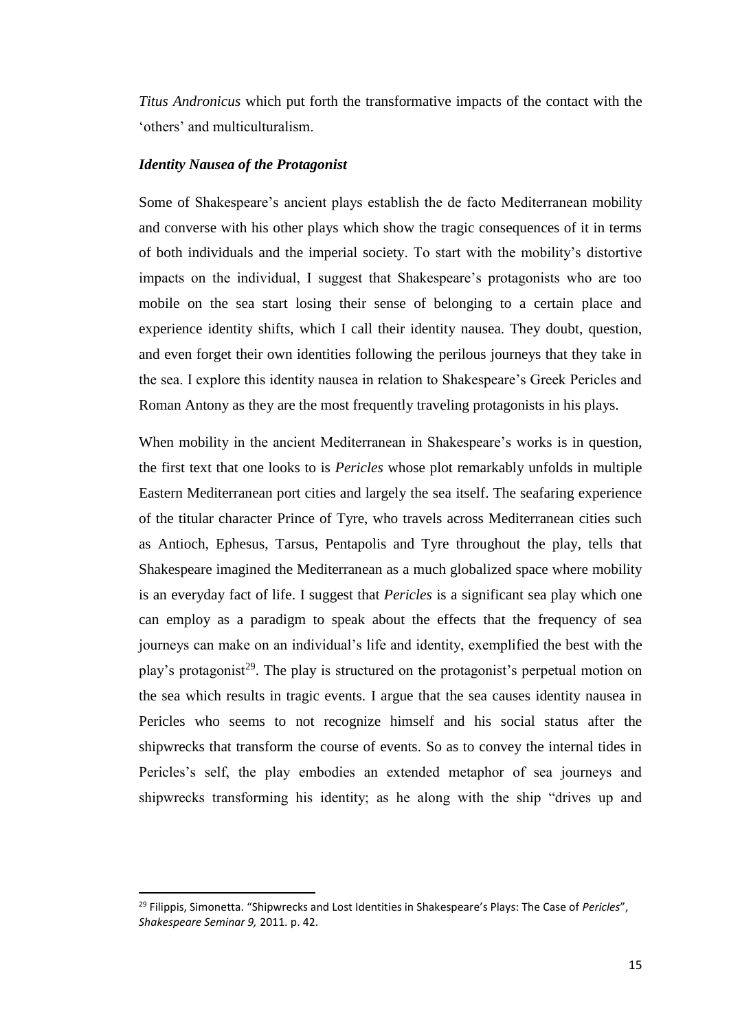*Titus Andronicus* which put forth the transformative impacts of the contact with the 'others' and multiculturalism.

#### *Identity Nausea of the Protagonist*

 $\overline{\phantom{a}}$ 

Some of Shakespeare's ancient plays establish the de facto Mediterranean mobility and converse with his other plays which show the tragic consequences of it in terms of both individuals and the imperial society. To start with the mobility's distortive impacts on the individual, I suggest that Shakespeare's protagonists who are too mobile on the sea start losing their sense of belonging to a certain place and experience identity shifts, which I call their identity nausea. They doubt, question, and even forget their own identities following the perilous journeys that they take in the sea. I explore this identity nausea in relation to Shakespeare's Greek Pericles and Roman Antony as they are the most frequently traveling protagonists in his plays.

When mobility in the ancient Mediterranean in Shakespeare's works is in question, the first text that one looks to is *Pericles* whose plot remarkably unfolds in multiple Eastern Mediterranean port cities and largely the sea itself. The seafaring experience of the titular character Prince of Tyre, who travels across Mediterranean cities such as Antioch, Ephesus, Tarsus, Pentapolis and Tyre throughout the play, tells that Shakespeare imagined the Mediterranean as a much globalized space where mobility is an everyday fact of life. I suggest that *Pericles* is a significant sea play which one can employ as a paradigm to speak about the effects that the frequency of sea journeys can make on an individual's life and identity, exemplified the best with the play's protagonist<sup>29</sup>. The play is structured on the protagonist's perpetual motion on the sea which results in tragic events. I argue that the sea causes identity nausea in Pericles who seems to not recognize himself and his social status after the shipwrecks that transform the course of events. So as to convey the internal tides in Pericles's self, the play embodies an extended metaphor of sea journeys and shipwrecks transforming his identity; as he along with the ship "drives up and

<sup>29</sup> Filippis, Simonetta. "Shipwrecks and Lost Identities in Shakespeare's Plays: The Case of *Pericles*", *Shakespeare Seminar 9,* 2011. p. 42.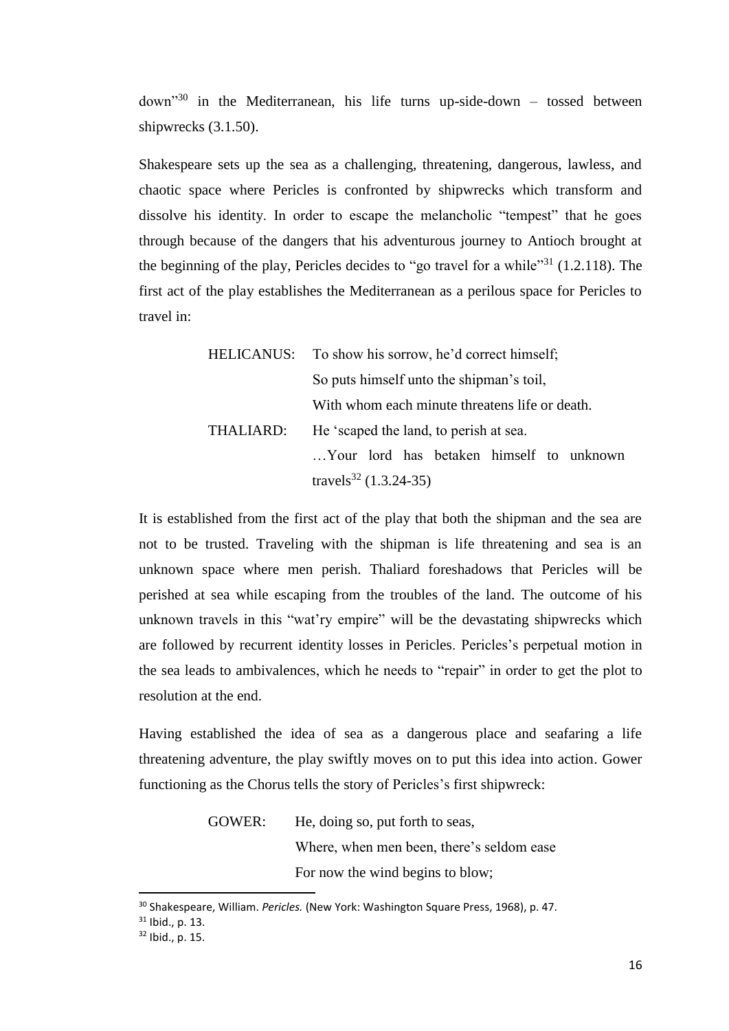$down<sup>30</sup>$  in the Mediterranean, his life turns up-side-down – tossed between shipwrecks (3.1.50).

Shakespeare sets up the sea as a challenging, threatening, dangerous, lawless, and chaotic space where Pericles is confronted by shipwrecks which transform and dissolve his identity. In order to escape the melancholic "tempest" that he goes through because of the dangers that his adventurous journey to Antioch brought at the beginning of the play, Pericles decides to "go travel for a while"<sup>31</sup> (1.2.118). The first act of the play establishes the Mediterranean as a perilous space for Pericles to travel in:

|           | HELICANUS: To show his sorrow, he'd correct himself; |
|-----------|------------------------------------------------------|
|           | So puts himself unto the shipman's toil,             |
|           | With whom each minute threatens life or death.       |
| THALIARD: | He 'scaped the land, to perish at sea.               |
|           | Your lord has betaken himself to unknown             |
|           | travels <sup>32</sup> $(1.3.24-35)$                  |

It is established from the first act of the play that both the shipman and the sea are not to be trusted. Traveling with the shipman is life threatening and sea is an unknown space where men perish. Thaliard foreshadows that Pericles will be perished at sea while escaping from the troubles of the land. The outcome of his unknown travels in this "wat'ry empire" will be the devastating shipwrecks which are followed by recurrent identity losses in Pericles. Pericles's perpetual motion in the sea leads to ambivalences, which he needs to "repair" in order to get the plot to resolution at the end.

Having established the idea of sea as a dangerous place and seafaring a life threatening adventure, the play swiftly moves on to put this idea into action. Gower functioning as the Chorus tells the story of Pericles's first shipwreck:

> GOWER: He, doing so, put forth to seas, Where, when men been, there's seldom ease For now the wind begins to blow;

<sup>30</sup> Shakespeare, William. *Pericles.* (New York: Washington Square Press, 1968), p. 47.

<sup>31</sup> Ibid., p. 13.

<sup>32</sup> Ibid., p. 15.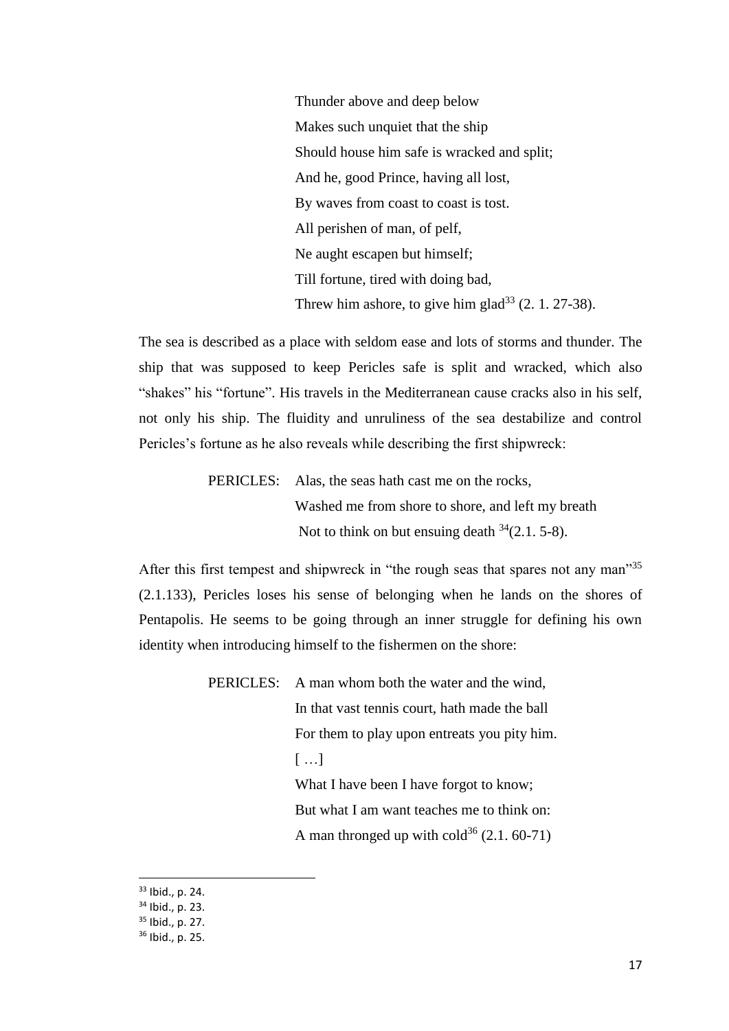Thunder above and deep below Makes such unquiet that the ship Should house him safe is wracked and split; And he, good Prince, having all lost, By waves from coast to coast is tost. All perishen of man, of pelf, Ne aught escapen but himself; Till fortune, tired with doing bad, Threw him ashore, to give him glad<sup>33</sup>  $(2, 1, 27-38)$ .

The sea is described as a place with seldom ease and lots of storms and thunder. The ship that was supposed to keep Pericles safe is split and wracked, which also "shakes" his "fortune". His travels in the Mediterranean cause cracks also in his self, not only his ship. The fluidity and unruliness of the sea destabilize and control Pericles's fortune as he also reveals while describing the first shipwreck:

> PERICLES: Alas, the seas hath cast me on the rocks, Washed me from shore to shore, and left my breath Not to think on but ensuing death  $34(2.1, 5-8)$ .

After this first tempest and shipwreck in "the rough seas that spares not any man"<sup>35</sup> (2.1.133), Pericles loses his sense of belonging when he lands on the shores of Pentapolis. He seems to be going through an inner struggle for defining his own identity when introducing himself to the fishermen on the shore:

PERICLES: A man whom both the water and the wind,

In that vast tennis court, hath made the ball For them to play upon entreats you pity him.

[ …]

What I have been I have forgot to know;

But what I am want teaches me to think on:

A man thronged up with  $\text{cold}^{36}$  (2.1. 60-71)

<sup>33</sup> Ibid., p. 24.

<sup>34</sup> Ibid., p. 23.

<sup>35</sup> Ibid., p. 27.

<sup>36</sup> Ibid., p. 25.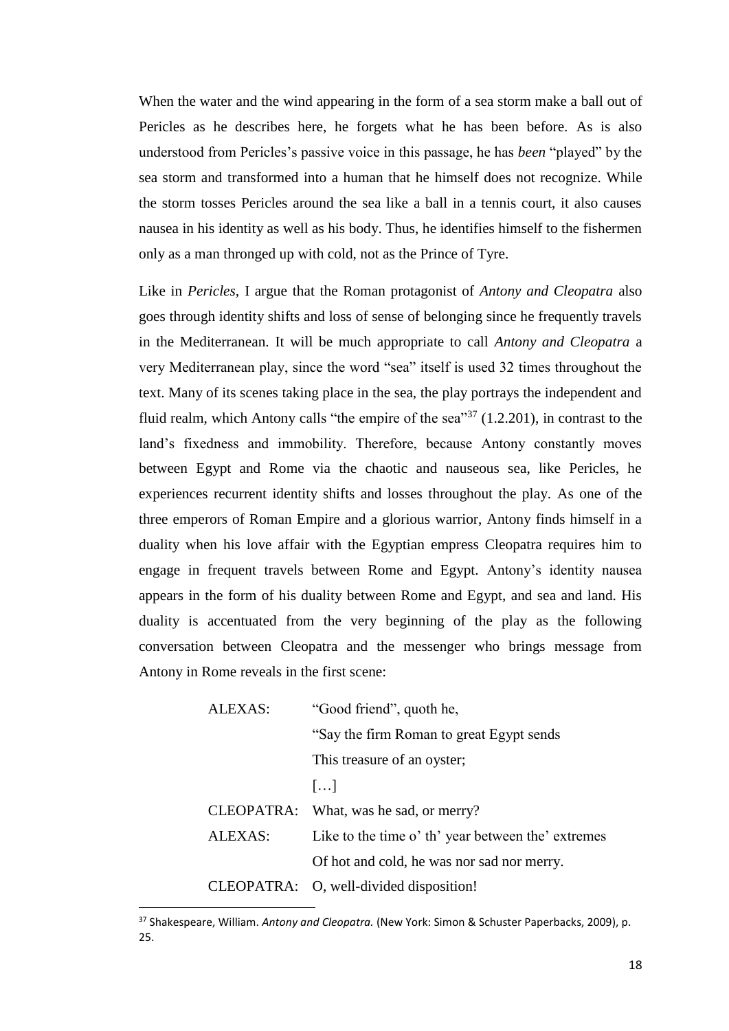When the water and the wind appearing in the form of a sea storm make a ball out of Pericles as he describes here, he forgets what he has been before. As is also understood from Pericles's passive voice in this passage, he has *been* "played" by the sea storm and transformed into a human that he himself does not recognize. While the storm tosses Pericles around the sea like a ball in a tennis court, it also causes nausea in his identity as well as his body. Thus, he identifies himself to the fishermen only as a man thronged up with cold, not as the Prince of Tyre.

Like in *Pericles,* I argue that the Roman protagonist of *Antony and Cleopatra* also goes through identity shifts and loss of sense of belonging since he frequently travels in the Mediterranean. It will be much appropriate to call *Antony and Cleopatra* a very Mediterranean play, since the word "sea" itself is used 32 times throughout the text. Many of its scenes taking place in the sea, the play portrays the independent and fluid realm, which Antony calls "the empire of the sea"<sup>37</sup> (1.2.201), in contrast to the land's fixedness and immobility. Therefore, because Antony constantly moves between Egypt and Rome via the chaotic and nauseous sea, like Pericles, he experiences recurrent identity shifts and losses throughout the play. As one of the three emperors of Roman Empire and a glorious warrior, Antony finds himself in a duality when his love affair with the Egyptian empress Cleopatra requires him to engage in frequent travels between Rome and Egypt. Antony's identity nausea appears in the form of his duality between Rome and Egypt, and sea and land. His duality is accentuated from the very beginning of the play as the following conversation between Cleopatra and the messenger who brings message from Antony in Rome reveals in the first scene:

| ALEXAS: | "Good friend", quoth he,                           |
|---------|----------------------------------------------------|
|         | "Say the firm Roman to great Egypt sends"          |
|         | This treasure of an oyster;                        |
|         | $\left[\ldots\right]$                              |
|         | CLEOPATRA: What, was he sad, or merry?             |
| ALEXAS: | Like to the time o' th' year between the' extremes |
|         | Of hot and cold, he was nor sad nor merry.         |
|         | CLEOPATRA: O, well-divided disposition!            |

<sup>37</sup> Shakespeare, William. *Antony and Cleopatra.* (New York: Simon & Schuster Paperbacks, 2009), p. 25.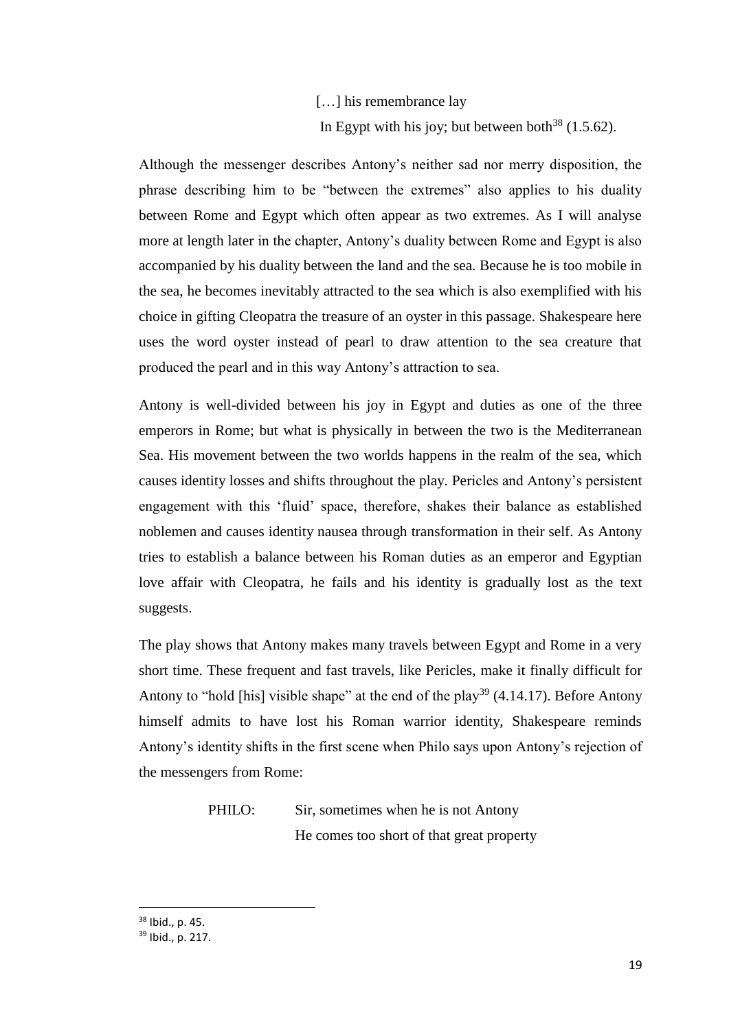## [...] his remembrance lay In Egypt with his joy; but between both<sup>38</sup> (1.5.62).

Although the messenger describes Antony's neither sad nor merry disposition, the phrase describing him to be "between the extremes" also applies to his duality between Rome and Egypt which often appear as two extremes. As I will analyse more at length later in the chapter, Antony's duality between Rome and Egypt is also accompanied by his duality between the land and the sea. Because he is too mobile in the sea, he becomes inevitably attracted to the sea which is also exemplified with his choice in gifting Cleopatra the treasure of an oyster in this passage. Shakespeare here uses the word oyster instead of pearl to draw attention to the sea creature that produced the pearl and in this way Antony's attraction to sea.

Antony is well-divided between his joy in Egypt and duties as one of the three emperors in Rome; but what is physically in between the two is the Mediterranean Sea. His movement between the two worlds happens in the realm of the sea, which causes identity losses and shifts throughout the play. Pericles and Antony's persistent engagement with this 'fluid' space, therefore, shakes their balance as established noblemen and causes identity nausea through transformation in their self. As Antony tries to establish a balance between his Roman duties as an emperor and Egyptian love affair with Cleopatra, he fails and his identity is gradually lost as the text suggests.

The play shows that Antony makes many travels between Egypt and Rome in a very short time. These frequent and fast travels, like Pericles, make it finally difficult for Antony to "hold [his] visible shape" at the end of the play<sup>39</sup> (4.14.17). Before Antony himself admits to have lost his Roman warrior identity, Shakespeare reminds Antony's identity shifts in the first scene when Philo says upon Antony's rejection of the messengers from Rome:

## PHILO: Sir, sometimes when he is not Antony He comes too short of that great property

<sup>38</sup> Ibid., p. 45.

<sup>39</sup> Ibid., p. 217.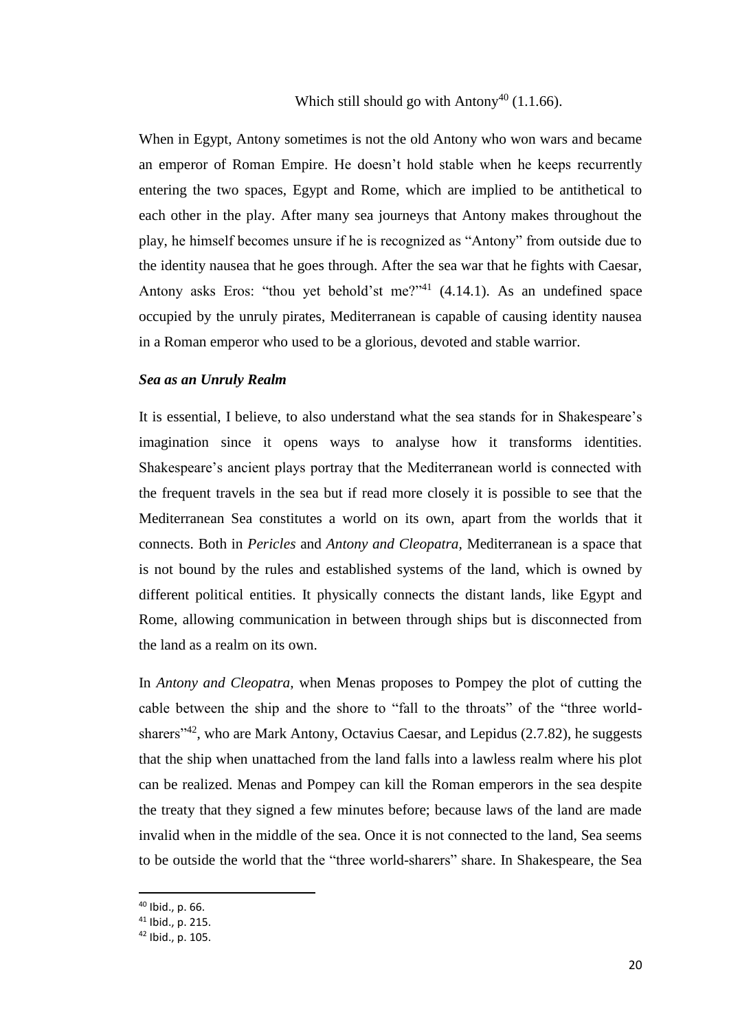When in Egypt, Antony sometimes is not the old Antony who won wars and became an emperor of Roman Empire. He doesn't hold stable when he keeps recurrently entering the two spaces, Egypt and Rome, which are implied to be antithetical to each other in the play. After many sea journeys that Antony makes throughout the play, he himself becomes unsure if he is recognized as "Antony" from outside due to the identity nausea that he goes through. After the sea war that he fights with Caesar, Antony asks Eros: "thou yet behold'st me?"<sup>41</sup>  $(4.14.1)$ . As an undefined space occupied by the unruly pirates, Mediterranean is capable of causing identity nausea in a Roman emperor who used to be a glorious, devoted and stable warrior.

#### *Sea as an Unruly Realm*

It is essential, I believe, to also understand what the sea stands for in Shakespeare's imagination since it opens ways to analyse how it transforms identities. Shakespeare's ancient plays portray that the Mediterranean world is connected with the frequent travels in the sea but if read more closely it is possible to see that the Mediterranean Sea constitutes a world on its own, apart from the worlds that it connects. Both in *Pericles* and *Antony and Cleopatra,* Mediterranean is a space that is not bound by the rules and established systems of the land, which is owned by different political entities. It physically connects the distant lands, like Egypt and Rome, allowing communication in between through ships but is disconnected from the land as a realm on its own.

In *Antony and Cleopatra,* when Menas proposes to Pompey the plot of cutting the cable between the ship and the shore to "fall to the throats" of the "three worldsharers<sup>"42</sup>, who are Mark Antony, Octavius Caesar, and Lepidus (2.7.82), he suggests that the ship when unattached from the land falls into a lawless realm where his plot can be realized. Menas and Pompey can kill the Roman emperors in the sea despite the treaty that they signed a few minutes before; because laws of the land are made invalid when in the middle of the sea. Once it is not connected to the land, Sea seems to be outside the world that the "three world-sharers" share. In Shakespeare, the Sea

<sup>40</sup> Ibid., p. 66.

<sup>41</sup> Ibid., p. 215.

<sup>42</sup> Ibid., p. 105.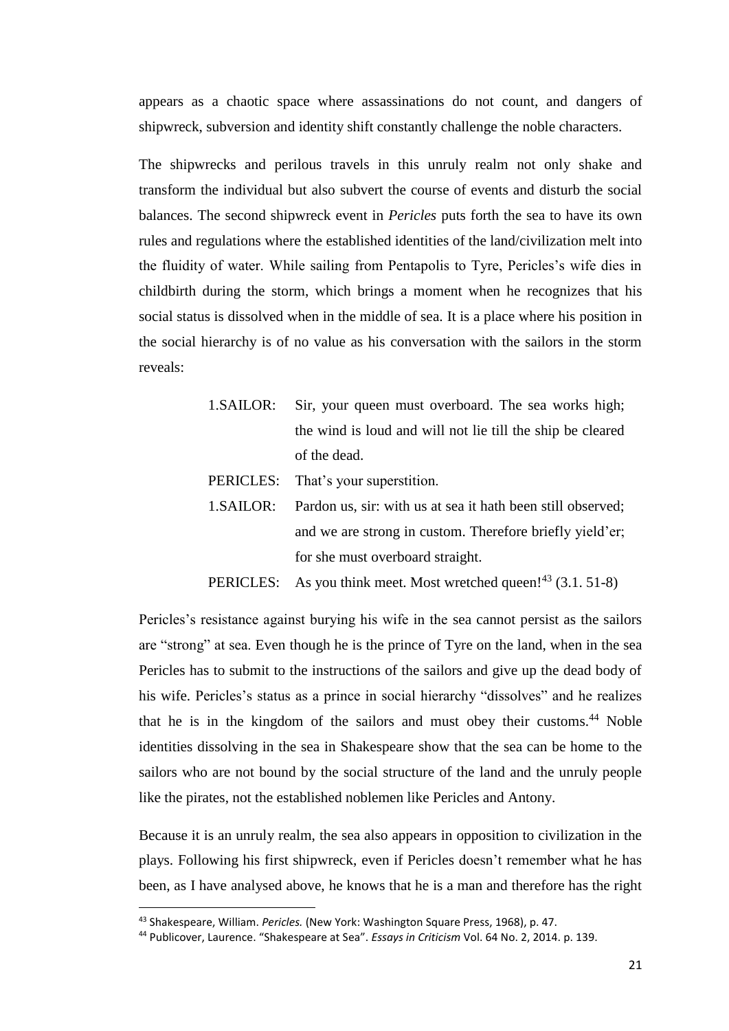appears as a chaotic space where assassinations do not count, and dangers of shipwreck, subversion and identity shift constantly challenge the noble characters.

The shipwrecks and perilous travels in this unruly realm not only shake and transform the individual but also subvert the course of events and disturb the social balances. The second shipwreck event in *Pericles* puts forth the sea to have its own rules and regulations where the established identities of the land/civilization melt into the fluidity of water. While sailing from Pentapolis to Tyre, Pericles's wife dies in childbirth during the storm, which brings a moment when he recognizes that his social status is dissolved when in the middle of sea. It is a place where his position in the social hierarchy is of no value as his conversation with the sailors in the storm reveals:

> 1.SAILOR: Sir, your queen must overboard. The sea works high; the wind is loud and will not lie till the ship be cleared of the dead.

PERICLES: That's your superstition.

- 1.SAILOR: Pardon us, sir: with us at sea it hath been still observed; and we are strong in custom. Therefore briefly yield'er; for she must overboard straight.
- PERICLES: As you think meet. Most wretched queen! $^{43}$  (3.1. 51-8)

Pericles's resistance against burying his wife in the sea cannot persist as the sailors are "strong" at sea. Even though he is the prince of Tyre on the land, when in the sea Pericles has to submit to the instructions of the sailors and give up the dead body of his wife. Pericles's status as a prince in social hierarchy "dissolves" and he realizes that he is in the kingdom of the sailors and must obey their customs. <sup>44</sup> Noble identities dissolving in the sea in Shakespeare show that the sea can be home to the sailors who are not bound by the social structure of the land and the unruly people like the pirates, not the established noblemen like Pericles and Antony.

Because it is an unruly realm, the sea also appears in opposition to civilization in the plays. Following his first shipwreck, even if Pericles doesn't remember what he has been, as I have analysed above, he knows that he is a man and therefore has the right

<sup>43</sup> Shakespeare, William. *Pericles.* (New York: Washington Square Press, 1968), p. 47.

<sup>44</sup> Publicover, Laurence. "Shakespeare at Sea". *Essays in Criticism* Vol. 64 No. 2, 2014. p. 139.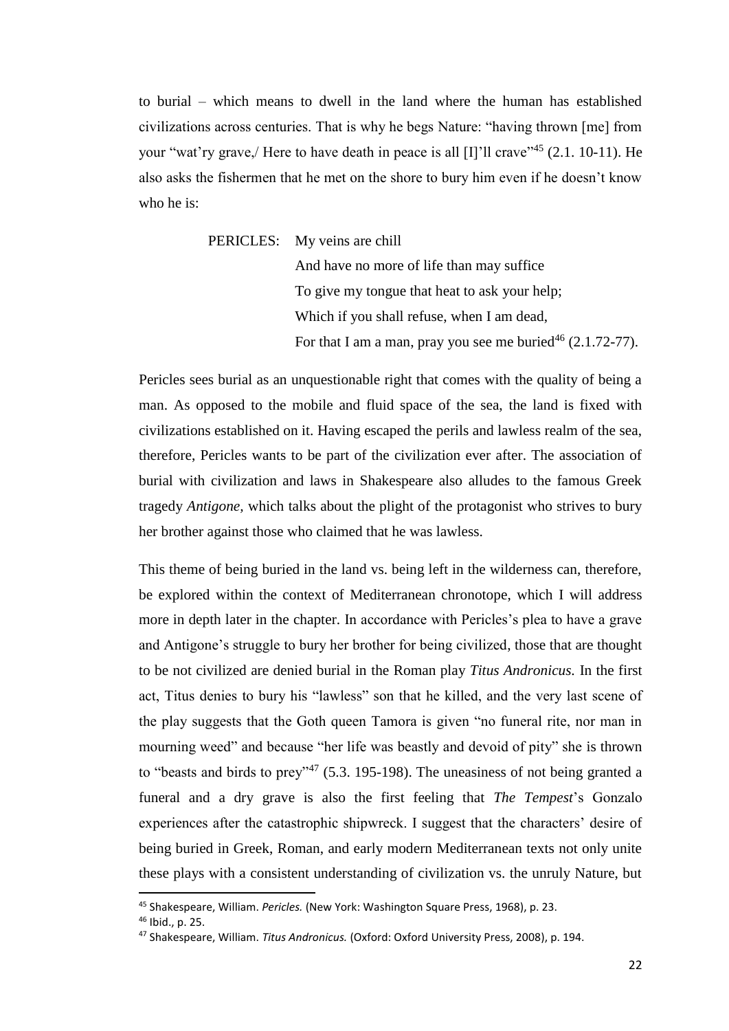to burial – which means to dwell in the land where the human has established civilizations across centuries. That is why he begs Nature: "having thrown [me] from your "wat'ry grave, Here to have death in peace is all [I]'ll crave"<sup>45</sup> (2.1. 10-11). He also asks the fishermen that he met on the shore to bury him even if he doesn't know who he is:

PERICLES: My veins are chill

And have no more of life than may suffice To give my tongue that heat to ask your help; Which if you shall refuse, when I am dead, For that I am a man, pray you see me buried<sup>46</sup>  $(2.1.72-77)$ .

Pericles sees burial as an unquestionable right that comes with the quality of being a man. As opposed to the mobile and fluid space of the sea, the land is fixed with civilizations established on it. Having escaped the perils and lawless realm of the sea, therefore, Pericles wants to be part of the civilization ever after. The association of burial with civilization and laws in Shakespeare also alludes to the famous Greek tragedy *Antigone,* which talks about the plight of the protagonist who strives to bury her brother against those who claimed that he was lawless.

This theme of being buried in the land vs. being left in the wilderness can, therefore, be explored within the context of Mediterranean chronotope, which I will address more in depth later in the chapter. In accordance with Pericles's plea to have a grave and Antigone's struggle to bury her brother for being civilized, those that are thought to be not civilized are denied burial in the Roman play *Titus Andronicus.* In the first act, Titus denies to bury his "lawless" son that he killed, and the very last scene of the play suggests that the Goth queen Tamora is given "no funeral rite, nor man in mourning weed" and because "her life was beastly and devoid of pity" she is thrown to "beasts and birds to prey"<sup>47</sup> (5.3. 195-198). The uneasiness of not being granted a funeral and a dry grave is also the first feeling that *The Tempest*'s Gonzalo experiences after the catastrophic shipwreck. I suggest that the characters' desire of being buried in Greek, Roman, and early modern Mediterranean texts not only unite these plays with a consistent understanding of civilization vs. the unruly Nature, but

<sup>45</sup> Shakespeare, William. *Pericles.* (New York: Washington Square Press, 1968), p. 23.

<sup>46</sup> Ibid., p. 25.

<sup>47</sup> Shakespeare, William. *Titus Andronicus.* (Oxford: Oxford University Press, 2008), p. 194.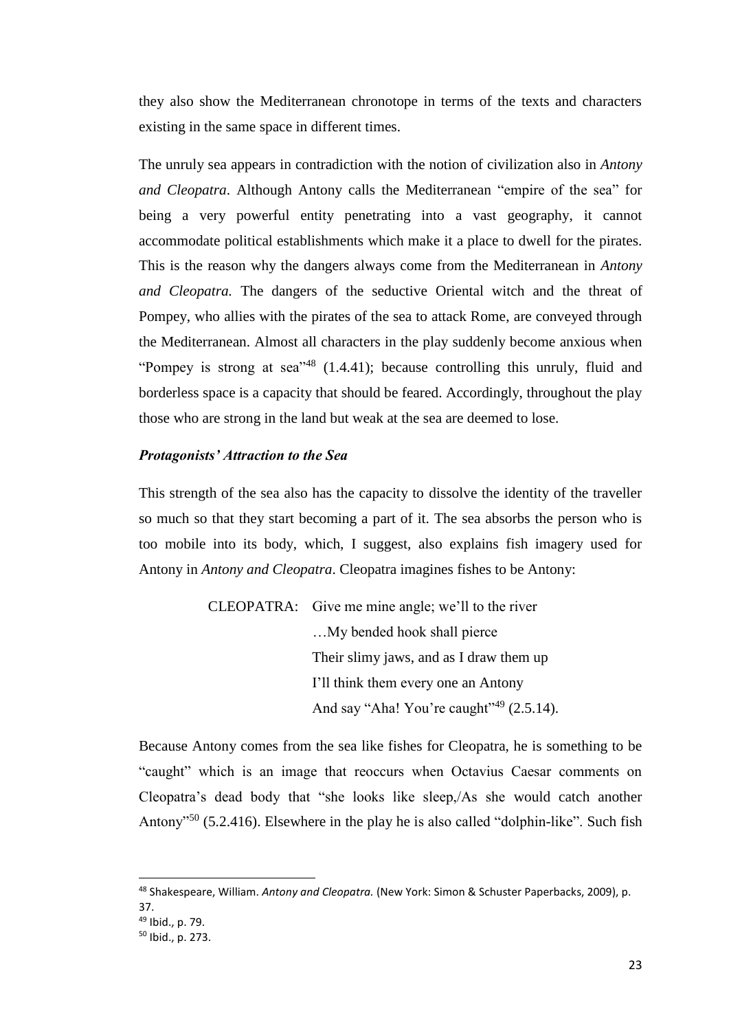they also show the Mediterranean chronotope in terms of the texts and characters existing in the same space in different times.

The unruly sea appears in contradiction with the notion of civilization also in *Antony and Cleopatra*. Although Antony calls the Mediterranean "empire of the sea" for being a very powerful entity penetrating into a vast geography, it cannot accommodate political establishments which make it a place to dwell for the pirates. This is the reason why the dangers always come from the Mediterranean in *Antony and Cleopatra.* The dangers of the seductive Oriental witch and the threat of Pompey, who allies with the pirates of the sea to attack Rome, are conveyed through the Mediterranean. Almost all characters in the play suddenly become anxious when "Pompey is strong at sea"<sup>48</sup>  $(1.4.41)$ ; because controlling this unruly, fluid and borderless space is a capacity that should be feared. Accordingly, throughout the play those who are strong in the land but weak at the sea are deemed to lose.

#### *Protagonists' Attraction to the Sea*

This strength of the sea also has the capacity to dissolve the identity of the traveller so much so that they start becoming a part of it. The sea absorbs the person who is too mobile into its body, which, I suggest, also explains fish imagery used for Antony in *Antony and Cleopatra*. Cleopatra imagines fishes to be Antony:

> CLEOPATRA: Give me mine angle; we'll to the river …My bended hook shall pierce Their slimy jaws, and as I draw them up I'll think them every one an Antony And say "Aha! You're caught"<sup>49</sup>  $(2.5.14)$ .

Because Antony comes from the sea like fishes for Cleopatra, he is something to be "caught" which is an image that reoccurs when Octavius Caesar comments on Cleopatra's dead body that "she looks like sleep,/As she would catch another Antony<sup>"50</sup> (5.2.416). Elsewhere in the play he is also called "dolphin-like". Such fish

<sup>48</sup> Shakespeare, William. *Antony and Cleopatra.* (New York: Simon & Schuster Paperbacks, 2009), p. 37.

<sup>49</sup> Ibid., p. 79.

<sup>50</sup> Ibid., p. 273.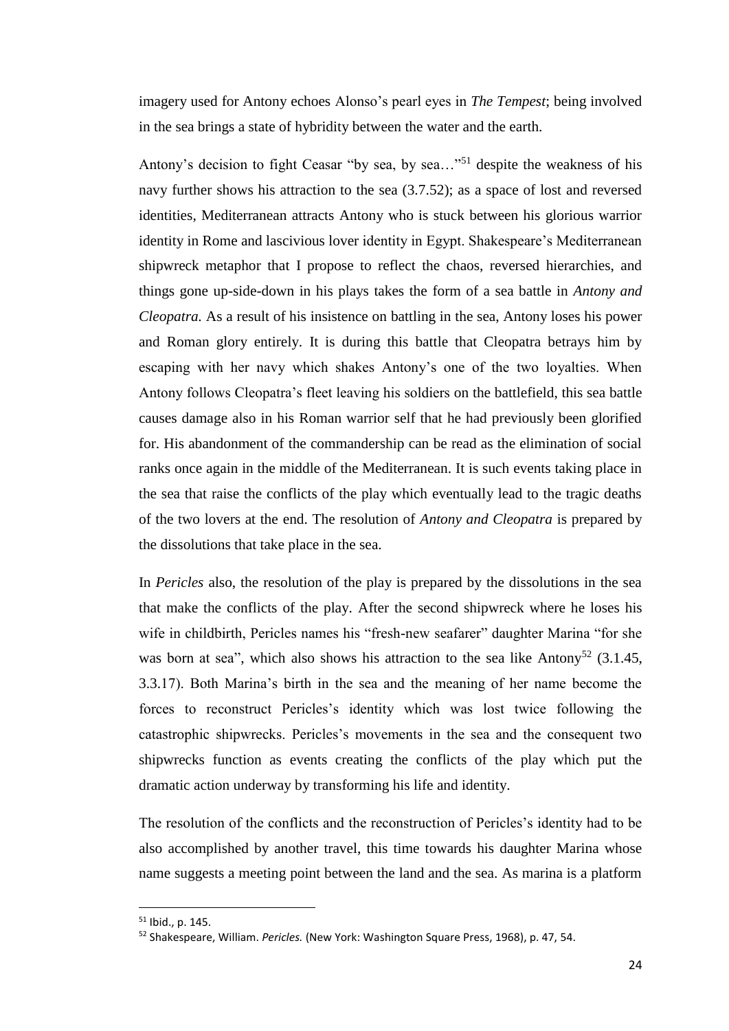imagery used for Antony echoes Alonso's pearl eyes in *The Tempest*; being involved in the sea brings a state of hybridity between the water and the earth.

Antony's decision to fight Ceasar "by sea, by sea..."<sup>51</sup> despite the weakness of his navy further shows his attraction to the sea (3.7.52); as a space of lost and reversed identities, Mediterranean attracts Antony who is stuck between his glorious warrior identity in Rome and lascivious lover identity in Egypt. Shakespeare's Mediterranean shipwreck metaphor that I propose to reflect the chaos, reversed hierarchies, and things gone up-side-down in his plays takes the form of a sea battle in *Antony and Cleopatra.* As a result of his insistence on battling in the sea, Antony loses his power and Roman glory entirely. It is during this battle that Cleopatra betrays him by escaping with her navy which shakes Antony's one of the two loyalties. When Antony follows Cleopatra's fleet leaving his soldiers on the battlefield, this sea battle causes damage also in his Roman warrior self that he had previously been glorified for. His abandonment of the commandership can be read as the elimination of social ranks once again in the middle of the Mediterranean. It is such events taking place in the sea that raise the conflicts of the play which eventually lead to the tragic deaths of the two lovers at the end. The resolution of *Antony and Cleopatra* is prepared by the dissolutions that take place in the sea.

In *Pericles* also, the resolution of the play is prepared by the dissolutions in the sea that make the conflicts of the play. After the second shipwreck where he loses his wife in childbirth, Pericles names his "fresh-new seafarer" daughter Marina "for she was born at sea", which also shows his attraction to the sea like Antony<sup>52</sup> (3.1.45, 3.3.17). Both Marina's birth in the sea and the meaning of her name become the forces to reconstruct Pericles's identity which was lost twice following the catastrophic shipwrecks. Pericles's movements in the sea and the consequent two shipwrecks function as events creating the conflicts of the play which put the dramatic action underway by transforming his life and identity.

The resolution of the conflicts and the reconstruction of Pericles's identity had to be also accomplished by another travel, this time towards his daughter Marina whose name suggests a meeting point between the land and the sea. As marina is a platform

<sup>51</sup> Ibid., p. 145.

<sup>52</sup> Shakespeare, William. *Pericles.* (New York: Washington Square Press, 1968), p. 47, 54.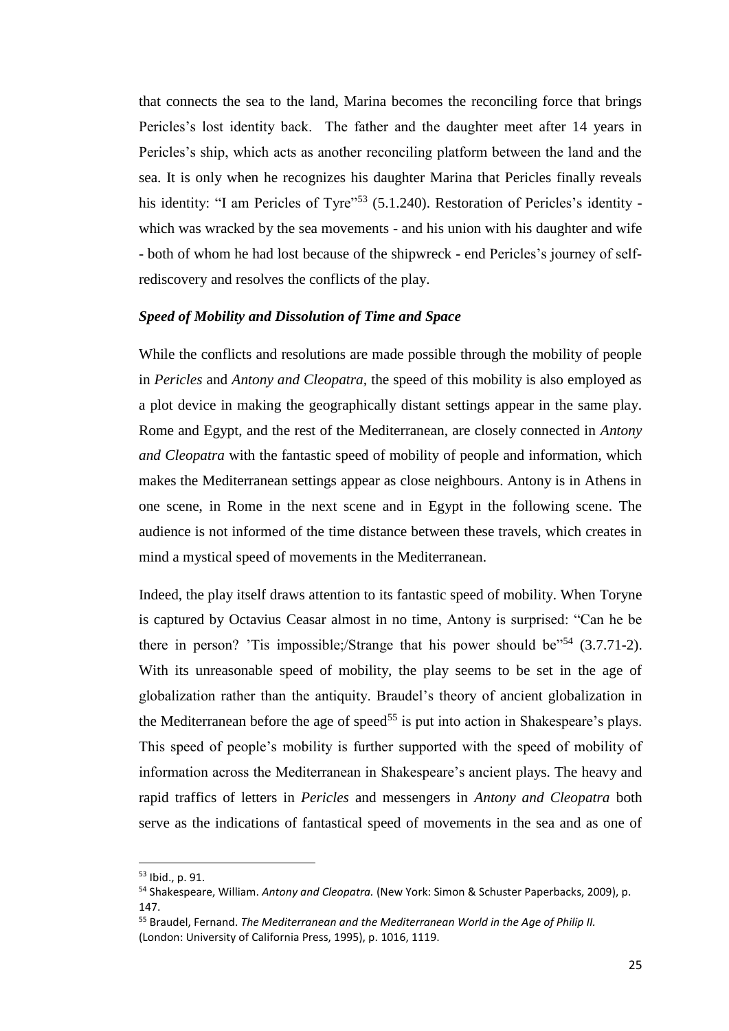that connects the sea to the land, Marina becomes the reconciling force that brings Pericles's lost identity back. The father and the daughter meet after 14 years in Pericles's ship, which acts as another reconciling platform between the land and the sea. It is only when he recognizes his daughter Marina that Pericles finally reveals his identity: "I am Pericles of Tyre"<sup>53</sup> (5.1.240). Restoration of Pericles's identity which was wracked by the sea movements - and his union with his daughter and wife - both of whom he had lost because of the shipwreck - end Pericles's journey of selfrediscovery and resolves the conflicts of the play.

#### *Speed of Mobility and Dissolution of Time and Space*

While the conflicts and resolutions are made possible through the mobility of people in *Pericles* and *Antony and Cleopatra,* the speed of this mobility is also employed as a plot device in making the geographically distant settings appear in the same play. Rome and Egypt, and the rest of the Mediterranean, are closely connected in *Antony and Cleopatra* with the fantastic speed of mobility of people and information, which makes the Mediterranean settings appear as close neighbours. Antony is in Athens in one scene, in Rome in the next scene and in Egypt in the following scene. The audience is not informed of the time distance between these travels, which creates in mind a mystical speed of movements in the Mediterranean.

Indeed, the play itself draws attention to its fantastic speed of mobility. When Toryne is captured by Octavius Ceasar almost in no time, Antony is surprised: "Can he be there in person? 'Tis impossible;/Strange that his power should be $^{54}$  (3.7.71-2). With its unreasonable speed of mobility, the play seems to be set in the age of globalization rather than the antiquity. Braudel's theory of ancient globalization in the Mediterranean before the age of speed<sup>55</sup> is put into action in Shakespeare's plays. This speed of people's mobility is further supported with the speed of mobility of information across the Mediterranean in Shakespeare's ancient plays. The heavy and rapid traffics of letters in *Pericles* and messengers in *Antony and Cleopatra* both serve as the indications of fantastical speed of movements in the sea and as one of

<sup>53</sup> Ibid., p. 91.

<sup>54</sup> Shakespeare, William. *Antony and Cleopatra.* (New York: Simon & Schuster Paperbacks, 2009), p. 147.

<sup>55</sup> Braudel, Fernand. *The Mediterranean and the Mediterranean World in the Age of Philip II.*  (London: University of California Press, 1995), p. 1016, 1119.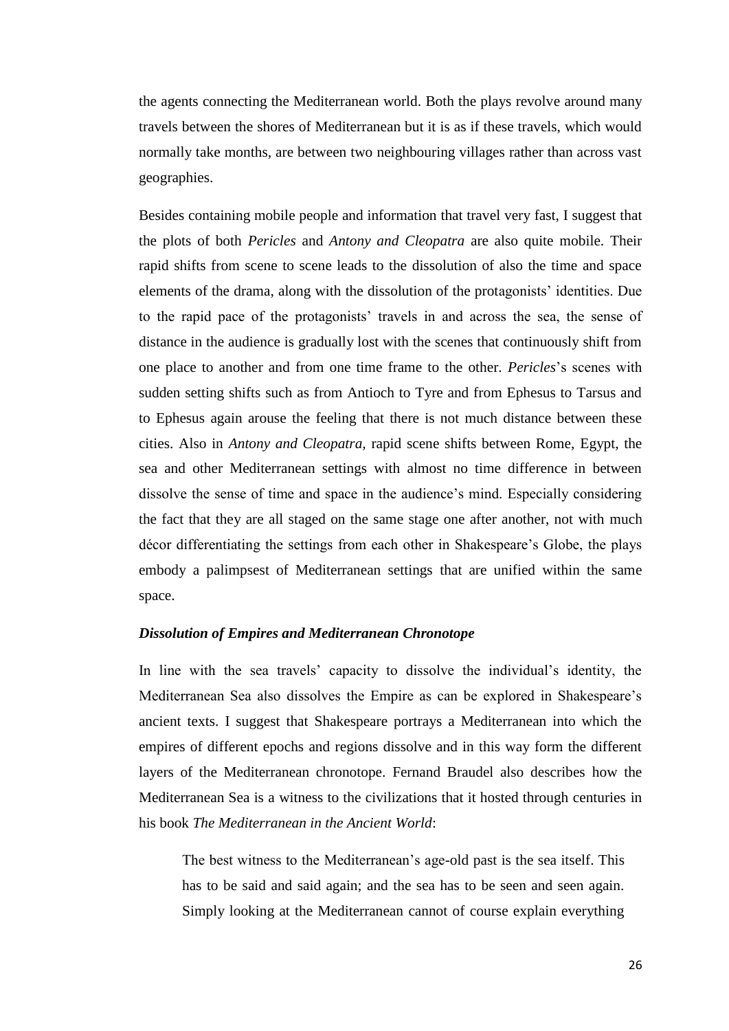the agents connecting the Mediterranean world. Both the plays revolve around many travels between the shores of Mediterranean but it is as if these travels, which would normally take months, are between two neighbouring villages rather than across vast geographies.

Besides containing mobile people and information that travel very fast, I suggest that the plots of both *Pericles* and *Antony and Cleopatra* are also quite mobile. Their rapid shifts from scene to scene leads to the dissolution of also the time and space elements of the drama, along with the dissolution of the protagonists' identities. Due to the rapid pace of the protagonists' travels in and across the sea, the sense of distance in the audience is gradually lost with the scenes that continuously shift from one place to another and from one time frame to the other. *Pericles*'s scenes with sudden setting shifts such as from Antioch to Tyre and from Ephesus to Tarsus and to Ephesus again arouse the feeling that there is not much distance between these cities. Also in *Antony and Cleopatra,* rapid scene shifts between Rome, Egypt, the sea and other Mediterranean settings with almost no time difference in between dissolve the sense of time and space in the audience's mind. Especially considering the fact that they are all staged on the same stage one after another, not with much décor differentiating the settings from each other in Shakespeare's Globe, the plays embody a palimpsest of Mediterranean settings that are unified within the same space.

#### *Dissolution of Empires and Mediterranean Chronotope*

In line with the sea travels' capacity to dissolve the individual's identity, the Mediterranean Sea also dissolves the Empire as can be explored in Shakespeare's ancient texts. I suggest that Shakespeare portrays a Mediterranean into which the empires of different epochs and regions dissolve and in this way form the different layers of the Mediterranean chronotope. Fernand Braudel also describes how the Mediterranean Sea is a witness to the civilizations that it hosted through centuries in his book *The Mediterranean in the Ancient World*:

The best witness to the Mediterranean's age-old past is the sea itself. This has to be said and said again; and the sea has to be seen and seen again. Simply looking at the Mediterranean cannot of course explain everything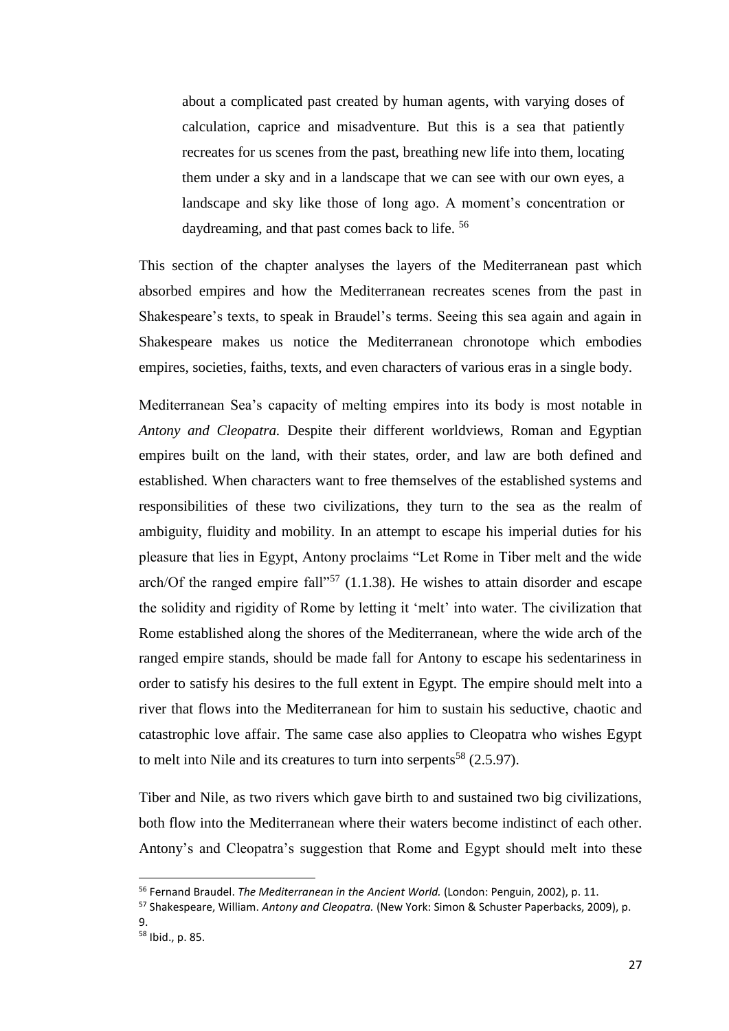about a complicated past created by human agents, with varying doses of calculation, caprice and misadventure. But this is a sea that patiently recreates for us scenes from the past, breathing new life into them, locating them under a sky and in a landscape that we can see with our own eyes, a landscape and sky like those of long ago. A moment's concentration or daydreaming, and that past comes back to life.<sup>56</sup>

This section of the chapter analyses the layers of the Mediterranean past which absorbed empires and how the Mediterranean recreates scenes from the past in Shakespeare's texts, to speak in Braudel's terms. Seeing this sea again and again in Shakespeare makes us notice the Mediterranean chronotope which embodies empires, societies, faiths, texts, and even characters of various eras in a single body.

Mediterranean Sea's capacity of melting empires into its body is most notable in *Antony and Cleopatra.* Despite their different worldviews, Roman and Egyptian empires built on the land, with their states, order, and law are both defined and established. When characters want to free themselves of the established systems and responsibilities of these two civilizations, they turn to the sea as the realm of ambiguity, fluidity and mobility. In an attempt to escape his imperial duties for his pleasure that lies in Egypt, Antony proclaims "Let Rome in Tiber melt and the wide arch/Of the ranged empire fall<sup> $1.57$ </sup> (1.1.38). He wishes to attain disorder and escape the solidity and rigidity of Rome by letting it 'melt' into water. The civilization that Rome established along the shores of the Mediterranean, where the wide arch of the ranged empire stands, should be made fall for Antony to escape his sedentariness in order to satisfy his desires to the full extent in Egypt. The empire should melt into a river that flows into the Mediterranean for him to sustain his seductive, chaotic and catastrophic love affair. The same case also applies to Cleopatra who wishes Egypt to melt into Nile and its creatures to turn into serpents<sup>58</sup> (2.5.97).

Tiber and Nile, as two rivers which gave birth to and sustained two big civilizations, both flow into the Mediterranean where their waters become indistinct of each other. Antony's and Cleopatra's suggestion that Rome and Egypt should melt into these

<sup>56</sup> Fernand Braudel. *The Mediterranean in the Ancient World.* (London: Penguin, 2002), p. 11.

<sup>57</sup> Shakespeare, William. *Antony and Cleopatra.* (New York: Simon & Schuster Paperbacks, 2009), p.

<sup>9.</sup> 

<sup>58</sup> Ibid., p. 85.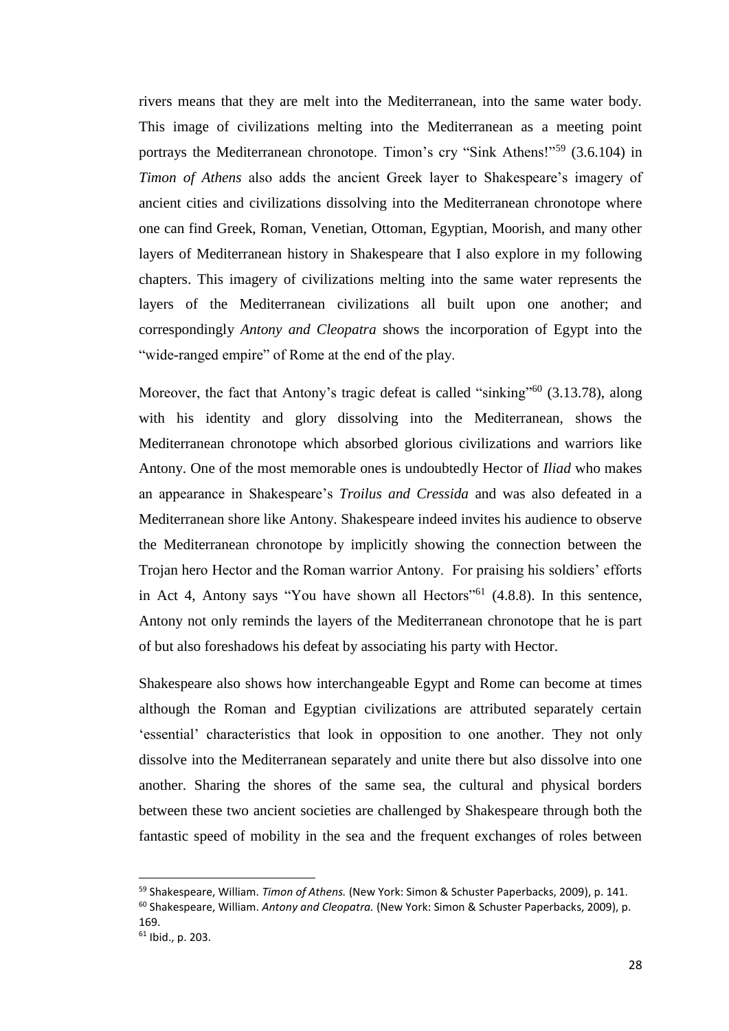rivers means that they are melt into the Mediterranean, into the same water body. This image of civilizations melting into the Mediterranean as a meeting point portrays the Mediterranean chronotope. Timon's cry "Sink Athens!"<sup>59</sup> (3.6.104) in *Timon of Athens* also adds the ancient Greek layer to Shakespeare's imagery of ancient cities and civilizations dissolving into the Mediterranean chronotope where one can find Greek, Roman, Venetian, Ottoman, Egyptian, Moorish, and many other layers of Mediterranean history in Shakespeare that I also explore in my following chapters. This imagery of civilizations melting into the same water represents the layers of the Mediterranean civilizations all built upon one another; and correspondingly *Antony and Cleopatra* shows the incorporation of Egypt into the "wide-ranged empire" of Rome at the end of the play.

Moreover, the fact that Antony's tragic defeat is called "sinking"<sup>60</sup> (3.13.78), along with his identity and glory dissolving into the Mediterranean, shows the Mediterranean chronotope which absorbed glorious civilizations and warriors like Antony. One of the most memorable ones is undoubtedly Hector of *Iliad* who makes an appearance in Shakespeare's *Troilus and Cressida* and was also defeated in a Mediterranean shore like Antony. Shakespeare indeed invites his audience to observe the Mediterranean chronotope by implicitly showing the connection between the Trojan hero Hector and the Roman warrior Antony. For praising his soldiers' efforts in Act 4, Antony says "You have shown all Hectors"<sup>61</sup>  $(4.8.8)$ . In this sentence, Antony not only reminds the layers of the Mediterranean chronotope that he is part of but also foreshadows his defeat by associating his party with Hector.

Shakespeare also shows how interchangeable Egypt and Rome can become at times although the Roman and Egyptian civilizations are attributed separately certain 'essential' characteristics that look in opposition to one another. They not only dissolve into the Mediterranean separately and unite there but also dissolve into one another. Sharing the shores of the same sea, the cultural and physical borders between these two ancient societies are challenged by Shakespeare through both the fantastic speed of mobility in the sea and the frequent exchanges of roles between

<sup>59</sup> Shakespeare, William. *Timon of Athens.* (New York: Simon & Schuster Paperbacks, 2009), p. 141.

<sup>60</sup> Shakespeare, William. *Antony and Cleopatra.* (New York: Simon & Schuster Paperbacks, 2009), p. 169.

<sup>61</sup> Ibid., p. 203.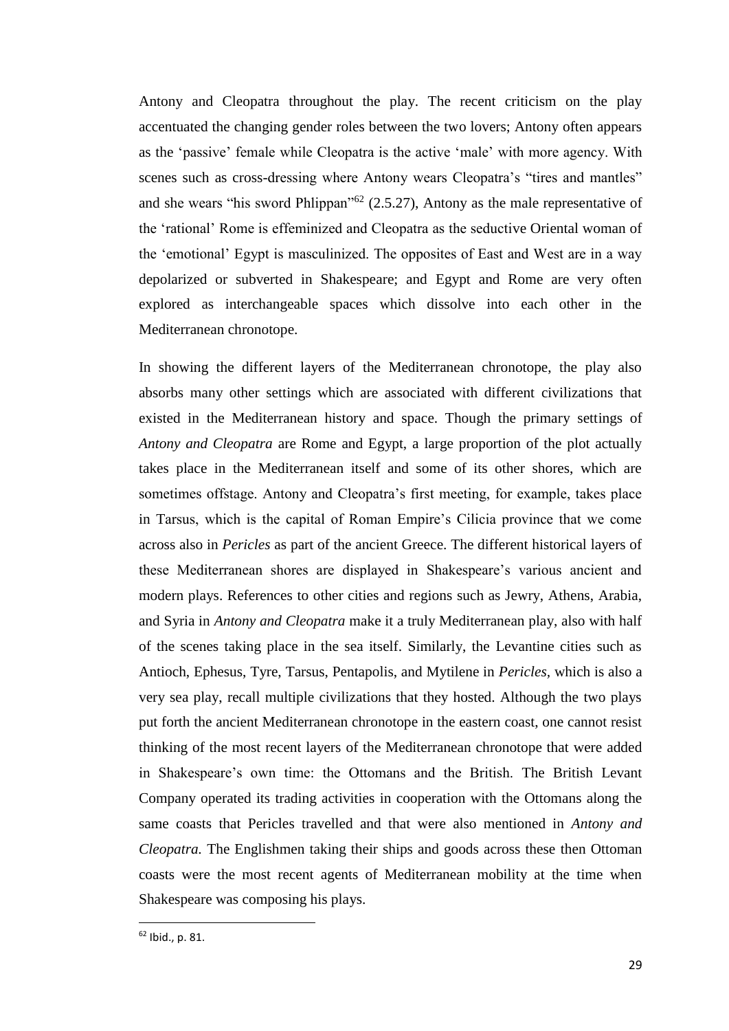Antony and Cleopatra throughout the play. The recent criticism on the play accentuated the changing gender roles between the two lovers; Antony often appears as the 'passive' female while Cleopatra is the active 'male' with more agency. With scenes such as cross-dressing where Antony wears Cleopatra's "tires and mantles" and she wears "his sword Phlippan"<sup>62</sup> (2.5.27), Antony as the male representative of the 'rational' Rome is effeminized and Cleopatra as the seductive Oriental woman of the 'emotional' Egypt is masculinized. The opposites of East and West are in a way depolarized or subverted in Shakespeare; and Egypt and Rome are very often explored as interchangeable spaces which dissolve into each other in the Mediterranean chronotope.

In showing the different layers of the Mediterranean chronotope, the play also absorbs many other settings which are associated with different civilizations that existed in the Mediterranean history and space. Though the primary settings of *Antony and Cleopatra* are Rome and Egypt, a large proportion of the plot actually takes place in the Mediterranean itself and some of its other shores, which are sometimes offstage. Antony and Cleopatra's first meeting, for example, takes place in Tarsus, which is the capital of Roman Empire's Cilicia province that we come across also in *Pericles* as part of the ancient Greece. The different historical layers of these Mediterranean shores are displayed in Shakespeare's various ancient and modern plays. References to other cities and regions such as Jewry, Athens, Arabia, and Syria in *Antony and Cleopatra* make it a truly Mediterranean play, also with half of the scenes taking place in the sea itself. Similarly, the Levantine cities such as Antioch, Ephesus, Tyre, Tarsus, Pentapolis, and Mytilene in *Pericles,* which is also a very sea play, recall multiple civilizations that they hosted. Although the two plays put forth the ancient Mediterranean chronotope in the eastern coast, one cannot resist thinking of the most recent layers of the Mediterranean chronotope that were added in Shakespeare's own time: the Ottomans and the British. The British Levant Company operated its trading activities in cooperation with the Ottomans along the same coasts that Pericles travelled and that were also mentioned in *Antony and Cleopatra.* The Englishmen taking their ships and goods across these then Ottoman coasts were the most recent agents of Mediterranean mobility at the time when Shakespeare was composing his plays.

<sup>62</sup> Ibid., p. 81.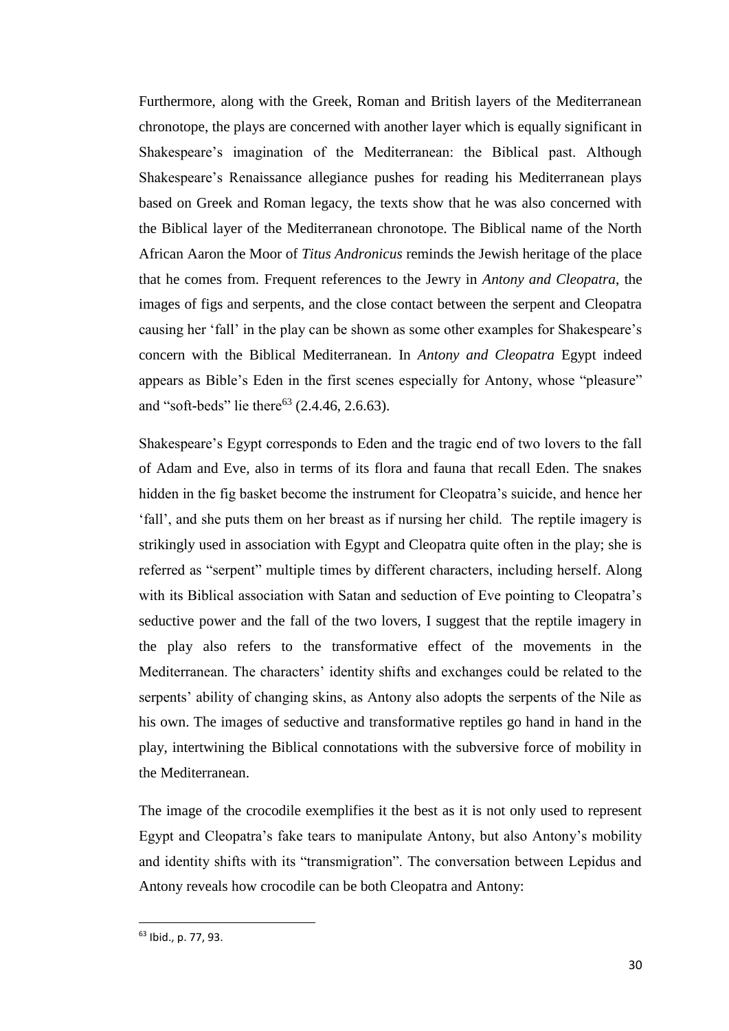Furthermore, along with the Greek, Roman and British layers of the Mediterranean chronotope, the plays are concerned with another layer which is equally significant in Shakespeare's imagination of the Mediterranean: the Biblical past. Although Shakespeare's Renaissance allegiance pushes for reading his Mediterranean plays based on Greek and Roman legacy, the texts show that he was also concerned with the Biblical layer of the Mediterranean chronotope. The Biblical name of the North African Aaron the Moor of *Titus Andronicus* reminds the Jewish heritage of the place that he comes from. Frequent references to the Jewry in *Antony and Cleopatra*, the images of figs and serpents, and the close contact between the serpent and Cleopatra causing her 'fall' in the play can be shown as some other examples for Shakespeare's concern with the Biblical Mediterranean. In *Antony and Cleopatra* Egypt indeed appears as Bible's Eden in the first scenes especially for Antony, whose "pleasure" and "soft-beds" lie there<sup>63</sup> (2.4.46, 2.6.63).

Shakespeare's Egypt corresponds to Eden and the tragic end of two lovers to the fall of Adam and Eve, also in terms of its flora and fauna that recall Eden. The snakes hidden in the fig basket become the instrument for Cleopatra's suicide, and hence her 'fall', and she puts them on her breast as if nursing her child. The reptile imagery is strikingly used in association with Egypt and Cleopatra quite often in the play; she is referred as "serpent" multiple times by different characters, including herself. Along with its Biblical association with Satan and seduction of Eve pointing to Cleopatra's seductive power and the fall of the two lovers, I suggest that the reptile imagery in the play also refers to the transformative effect of the movements in the Mediterranean. The characters' identity shifts and exchanges could be related to the serpents' ability of changing skins, as Antony also adopts the serpents of the Nile as his own. The images of seductive and transformative reptiles go hand in hand in the play, intertwining the Biblical connotations with the subversive force of mobility in the Mediterranean.

The image of the crocodile exemplifies it the best as it is not only used to represent Egypt and Cleopatra's fake tears to manipulate Antony, but also Antony's mobility and identity shifts with its "transmigration". The conversation between Lepidus and Antony reveals how crocodile can be both Cleopatra and Antony:

<sup>63</sup> Ibid., p. 77, 93.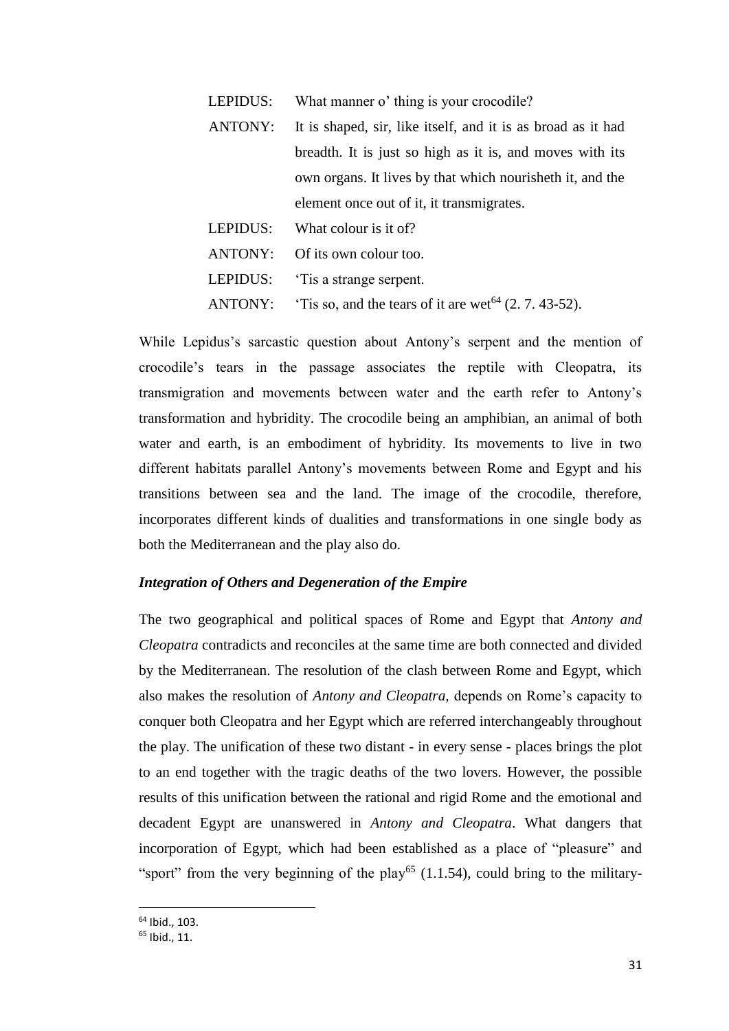LEPIDUS: What manner o' thing is your crocodile?

- ANTONY: It is shaped, sir, like itself, and it is as broad as it had breadth. It is just so high as it is, and moves with its own organs. It lives by that which nourisheth it, and the element once out of it, it transmigrates.
- LEPIDUS: What colour is it of?
- ANTONY: Of its own colour too.
- LEPIDUS: 'Tis a strange serpent.
- ANTONY: 'Tis so, and the tears of it are wet<sup>64</sup>  $(2, 7, 43-52)$ .

While Lepidus's sarcastic question about Antony's serpent and the mention of crocodile's tears in the passage associates the reptile with Cleopatra, its transmigration and movements between water and the earth refer to Antony's transformation and hybridity. The crocodile being an amphibian, an animal of both water and earth, is an embodiment of hybridity. Its movements to live in two different habitats parallel Antony's movements between Rome and Egypt and his transitions between sea and the land. The image of the crocodile, therefore, incorporates different kinds of dualities and transformations in one single body as both the Mediterranean and the play also do.

### *Integration of Others and Degeneration of the Empire*

The two geographical and political spaces of Rome and Egypt that *Antony and Cleopatra* contradicts and reconciles at the same time are both connected and divided by the Mediterranean. The resolution of the clash between Rome and Egypt, which also makes the resolution of *Antony and Cleopatra,* depends on Rome's capacity to conquer both Cleopatra and her Egypt which are referred interchangeably throughout the play. The unification of these two distant - in every sense - places brings the plot to an end together with the tragic deaths of the two lovers. However, the possible results of this unification between the rational and rigid Rome and the emotional and decadent Egypt are unanswered in *Antony and Cleopatra*. What dangers that incorporation of Egypt, which had been established as a place of "pleasure" and "sport" from the very beginning of the play<sup>65</sup> (1.1.54), could bring to the military-

<sup>64</sup> Ibid., 103.

<sup>65</sup> Ibid., 11.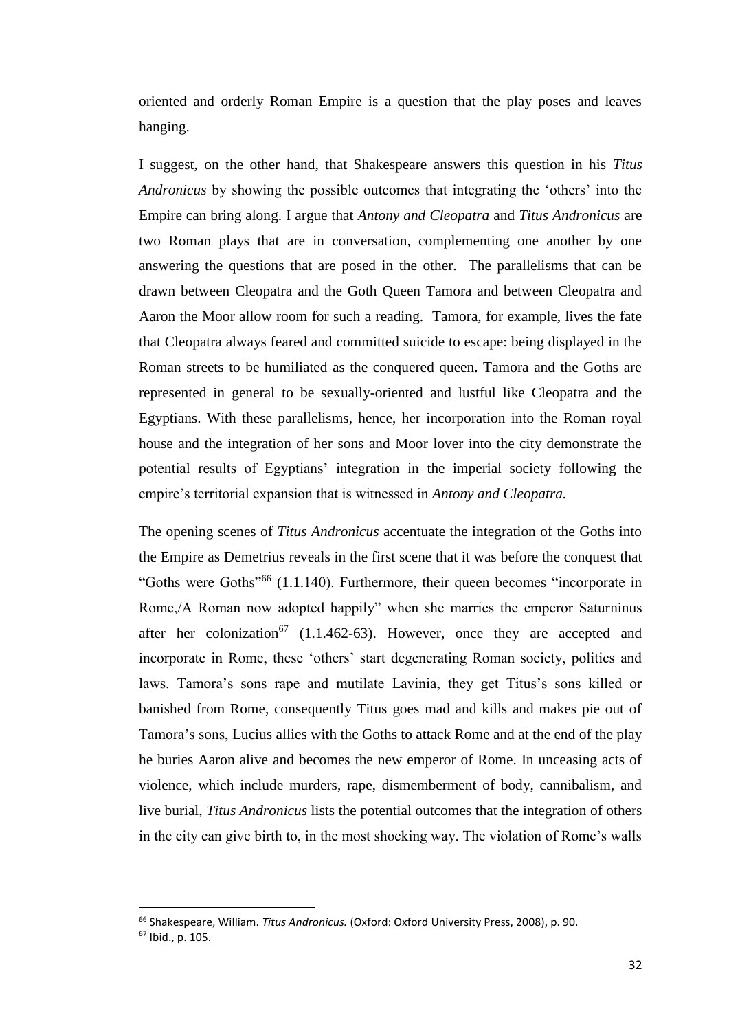oriented and orderly Roman Empire is a question that the play poses and leaves hanging.

I suggest, on the other hand, that Shakespeare answers this question in his *Titus Andronicus* by showing the possible outcomes that integrating the 'others' into the Empire can bring along. I argue that *Antony and Cleopatra* and *Titus Andronicus* are two Roman plays that are in conversation, complementing one another by one answering the questions that are posed in the other. The parallelisms that can be drawn between Cleopatra and the Goth Queen Tamora and between Cleopatra and Aaron the Moor allow room for such a reading. Tamora, for example, lives the fate that Cleopatra always feared and committed suicide to escape: being displayed in the Roman streets to be humiliated as the conquered queen. Tamora and the Goths are represented in general to be sexually-oriented and lustful like Cleopatra and the Egyptians. With these parallelisms, hence, her incorporation into the Roman royal house and the integration of her sons and Moor lover into the city demonstrate the potential results of Egyptians' integration in the imperial society following the empire's territorial expansion that is witnessed in *Antony and Cleopatra.* 

The opening scenes of *Titus Andronicus* accentuate the integration of the Goths into the Empire as Demetrius reveals in the first scene that it was before the conquest that "Goths were Goths<sup>"66</sup> (1.1.140). Furthermore, their queen becomes "incorporate in Rome,/A Roman now adopted happily" when she marries the emperor Saturninus after her colonization<sup>67</sup> (1.1.462-63). However, once they are accepted and incorporate in Rome, these 'others' start degenerating Roman society, politics and laws. Tamora's sons rape and mutilate Lavinia, they get Titus's sons killed or banished from Rome, consequently Titus goes mad and kills and makes pie out of Tamora's sons, Lucius allies with the Goths to attack Rome and at the end of the play he buries Aaron alive and becomes the new emperor of Rome. In unceasing acts of violence, which include murders, rape, dismemberment of body, cannibalism, and live burial, *Titus Andronicus* lists the potential outcomes that the integration of others in the city can give birth to, in the most shocking way. The violation of Rome's walls

<sup>66</sup> Shakespeare, William. *Titus Andronicus.* (Oxford: Oxford University Press, 2008), p. 90.

<sup>67</sup> Ibid., p. 105.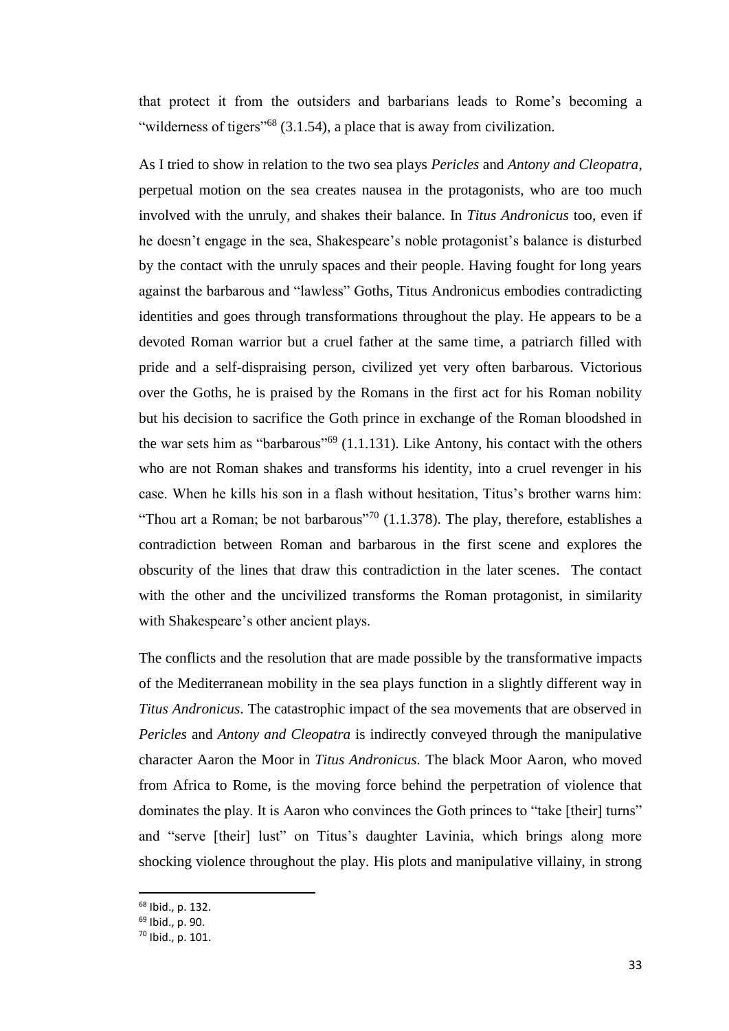that protect it from the outsiders and barbarians leads to Rome's becoming a "wilderness of tigers"<sup>68</sup> (3.1.54), a place that is away from civilization.

As I tried to show in relation to the two sea plays *Pericles* and *Antony and Cleopatra*, perpetual motion on the sea creates nausea in the protagonists, who are too much involved with the unruly, and shakes their balance. In *Titus Andronicus* too, even if he doesn't engage in the sea, Shakespeare's noble protagonist's balance is disturbed by the contact with the unruly spaces and their people. Having fought for long years against the barbarous and "lawless" Goths, Titus Andronicus embodies contradicting identities and goes through transformations throughout the play. He appears to be a devoted Roman warrior but a cruel father at the same time, a patriarch filled with pride and a self-dispraising person, civilized yet very often barbarous. Victorious over the Goths, he is praised by the Romans in the first act for his Roman nobility but his decision to sacrifice the Goth prince in exchange of the Roman bloodshed in the war sets him as "barbarous"<sup>69</sup> (1.1.131). Like Antony, his contact with the others who are not Roman shakes and transforms his identity, into a cruel revenger in his case. When he kills his son in a flash without hesitation, Titus's brother warns him: "Thou art a Roman; be not barbarous"<sup>70</sup> (1.1.378). The play, therefore, establishes a contradiction between Roman and barbarous in the first scene and explores the obscurity of the lines that draw this contradiction in the later scenes. The contact with the other and the uncivilized transforms the Roman protagonist, in similarity with Shakespeare's other ancient plays.

The conflicts and the resolution that are made possible by the transformative impacts of the Mediterranean mobility in the sea plays function in a slightly different way in *Titus Andronicus*. The catastrophic impact of the sea movements that are observed in *Pericles* and *Antony and Cleopatra* is indirectly conveyed through the manipulative character Aaron the Moor in *Titus Andronicus.* The black Moor Aaron, who moved from Africa to Rome, is the moving force behind the perpetration of violence that dominates the play. It is Aaron who convinces the Goth princes to "take [their] turns" and "serve [their] lust" on Titus's daughter Lavinia, which brings along more shocking violence throughout the play. His plots and manipulative villainy, in strong

<sup>68</sup> Ibid., p. 132.

<sup>69</sup> Ibid., p. 90.

<sup>70</sup> Ibid., p. 101.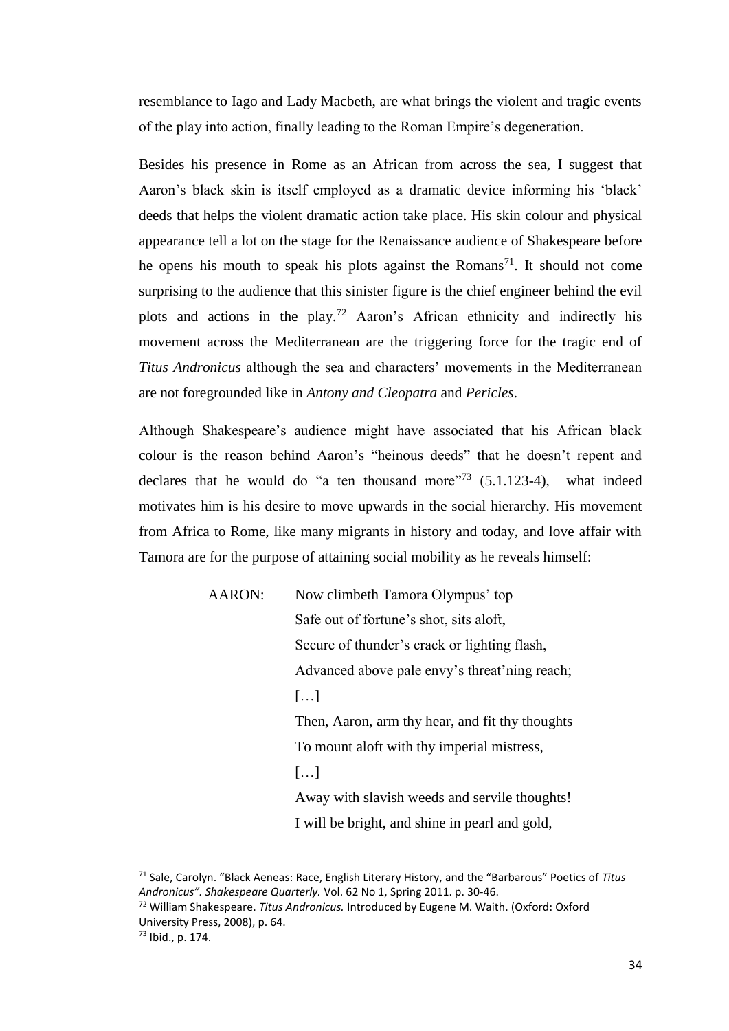resemblance to Iago and Lady Macbeth, are what brings the violent and tragic events of the play into action, finally leading to the Roman Empire's degeneration.

Besides his presence in Rome as an African from across the sea, I suggest that Aaron's black skin is itself employed as a dramatic device informing his 'black' deeds that helps the violent dramatic action take place. His skin colour and physical appearance tell a lot on the stage for the Renaissance audience of Shakespeare before he opens his mouth to speak his plots against the Romans<sup>71</sup>. It should not come surprising to the audience that this sinister figure is the chief engineer behind the evil plots and actions in the play.<sup>72</sup> Aaron's African ethnicity and indirectly his movement across the Mediterranean are the triggering force for the tragic end of *Titus Andronicus* although the sea and characters' movements in the Mediterranean are not foregrounded like in *Antony and Cleopatra* and *Pericles*.

Although Shakespeare's audience might have associated that his African black colour is the reason behind Aaron's "heinous deeds" that he doesn't repent and declares that he would do "a ten thousand more"<sup>73</sup>  $(5.1.123-4)$ , what indeed motivates him is his desire to move upwards in the social hierarchy. His movement from Africa to Rome, like many migrants in history and today, and love affair with Tamora are for the purpose of attaining social mobility as he reveals himself:

| AARON: | Now climbeth Tamora Olympus' top                |
|--------|-------------------------------------------------|
|        | Safe out of fortune's shot, sits aloft,         |
|        | Secure of thunder's crack or lighting flash,    |
|        | Advanced above pale envy's threat'ning reach;   |
|        | $\left[\ldots\right]$                           |
|        | Then, Aaron, arm thy hear, and fit thy thoughts |
|        | To mount aloft with thy imperial mistress,      |
|        | $\left[\ldots\right]$                           |
|        | Away with slavish weeds and servile thoughts!   |
|        | I will be bright, and shine in pearl and gold,  |

<sup>71</sup> Sale, Carolyn. "Black Aeneas: Race, English Literary History, and the "Barbarous" Poetics of *Titus Andronicus". Shakespeare Quarterly.* Vol. 62 No 1, Spring 2011. p. 30-46.

<sup>72</sup> William Shakespeare. *Titus Andronicus.* Introduced by Eugene M. Waith. (Oxford: Oxford University Press, 2008), p. 64.

<sup>73</sup> Ibid., p. 174.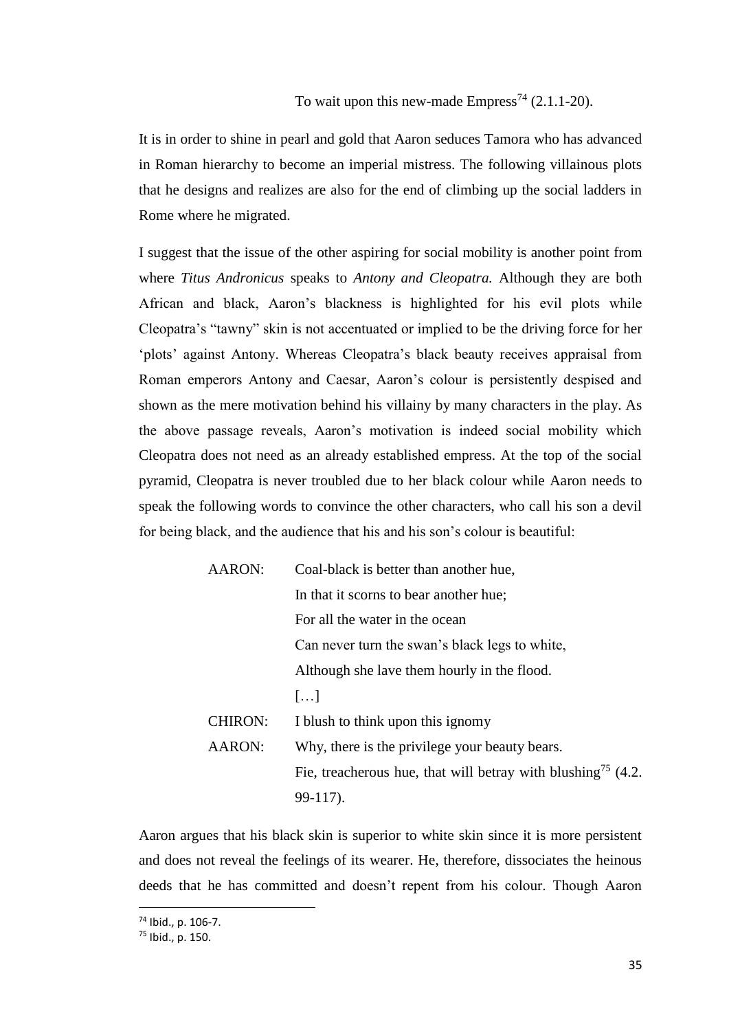# To wait upon this new-made  $Empress^{74}$  (2.1.1-20).

It is in order to shine in pearl and gold that Aaron seduces Tamora who has advanced in Roman hierarchy to become an imperial mistress. The following villainous plots that he designs and realizes are also for the end of climbing up the social ladders in Rome where he migrated.

I suggest that the issue of the other aspiring for social mobility is another point from where *Titus Andronicus* speaks to *Antony and Cleopatra.* Although they are both African and black, Aaron's blackness is highlighted for his evil plots while Cleopatra's "tawny" skin is not accentuated or implied to be the driving force for her 'plots' against Antony. Whereas Cleopatra's black beauty receives appraisal from Roman emperors Antony and Caesar, Aaron's colour is persistently despised and shown as the mere motivation behind his villainy by many characters in the play. As the above passage reveals, Aaron's motivation is indeed social mobility which Cleopatra does not need as an already established empress. At the top of the social pyramid, Cleopatra is never troubled due to her black colour while Aaron needs to speak the following words to convince the other characters, who call his son a devil for being black, and the audience that his and his son's colour is beautiful:

| <b>AARON:</b>  | Coal-black is better than another hue,                                   |
|----------------|--------------------------------------------------------------------------|
|                | In that it scorns to bear another hue;                                   |
|                | For all the water in the ocean                                           |
|                | Can never turn the swan's black legs to white,                           |
|                | Although she lave them hourly in the flood.                              |
|                | $\left[\ldots\right]$                                                    |
| <b>CHIRON:</b> | I blush to think upon this ignomy                                        |
| AARON:         | Why, there is the privilege your beauty bears.                           |
|                | Fie, treacherous hue, that will betray with blushing <sup>75</sup> (4.2. |
|                | 99-117).                                                                 |

Aaron argues that his black skin is superior to white skin since it is more persistent and does not reveal the feelings of its wearer. He, therefore, dissociates the heinous deeds that he has committed and doesn't repent from his colour. Though Aaron

<sup>74</sup> Ibid., p. 106-7.

<sup>75</sup> Ibid., p. 150.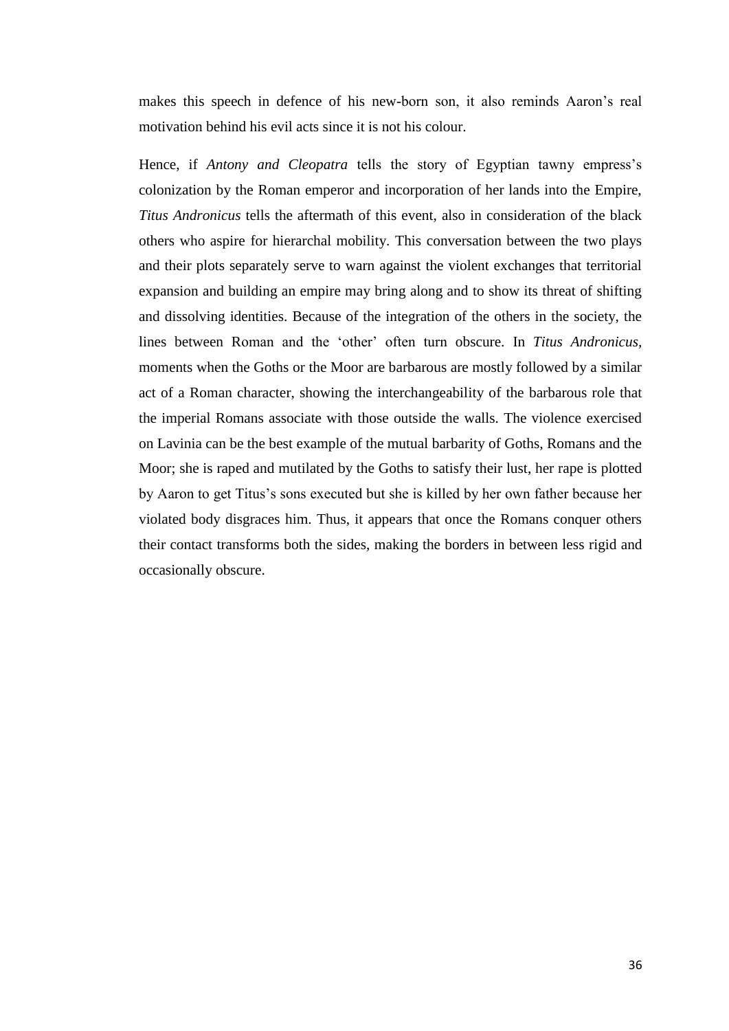makes this speech in defence of his new-born son, it also reminds Aaron's real motivation behind his evil acts since it is not his colour.

Hence, if *Antony and Cleopatra* tells the story of Egyptian tawny empress's colonization by the Roman emperor and incorporation of her lands into the Empire, *Titus Andronicus* tells the aftermath of this event, also in consideration of the black others who aspire for hierarchal mobility. This conversation between the two plays and their plots separately serve to warn against the violent exchanges that territorial expansion and building an empire may bring along and to show its threat of shifting and dissolving identities. Because of the integration of the others in the society, the lines between Roman and the 'other' often turn obscure. In *Titus Andronicus,*  moments when the Goths or the Moor are barbarous are mostly followed by a similar act of a Roman character, showing the interchangeability of the barbarous role that the imperial Romans associate with those outside the walls. The violence exercised on Lavinia can be the best example of the mutual barbarity of Goths, Romans and the Moor; she is raped and mutilated by the Goths to satisfy their lust, her rape is plotted by Aaron to get Titus's sons executed but she is killed by her own father because her violated body disgraces him. Thus, it appears that once the Romans conquer others their contact transforms both the sides, making the borders in between less rigid and occasionally obscure.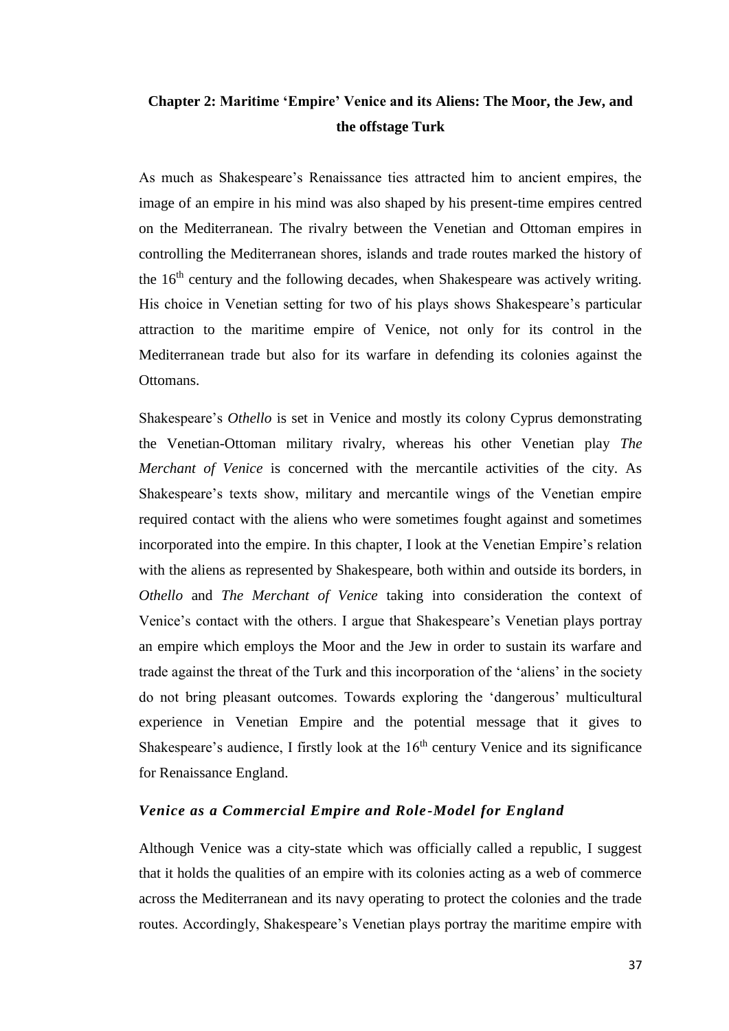# **Chapter 2: Maritime 'Empire' Venice and its Aliens: The Moor, the Jew, and the offstage Turk**

As much as Shakespeare's Renaissance ties attracted him to ancient empires, the image of an empire in his mind was also shaped by his present-time empires centred on the Mediterranean. The rivalry between the Venetian and Ottoman empires in controlling the Mediterranean shores, islands and trade routes marked the history of the  $16<sup>th</sup>$  century and the following decades, when Shakespeare was actively writing. His choice in Venetian setting for two of his plays shows Shakespeare's particular attraction to the maritime empire of Venice, not only for its control in the Mediterranean trade but also for its warfare in defending its colonies against the Ottomans.

Shakespeare's *Othello* is set in Venice and mostly its colony Cyprus demonstrating the Venetian-Ottoman military rivalry, whereas his other Venetian play *The Merchant of Venice* is concerned with the mercantile activities of the city. As Shakespeare's texts show, military and mercantile wings of the Venetian empire required contact with the aliens who were sometimes fought against and sometimes incorporated into the empire. In this chapter, I look at the Venetian Empire's relation with the aliens as represented by Shakespeare, both within and outside its borders, in *Othello* and *The Merchant of Venice* taking into consideration the context of Venice's contact with the others. I argue that Shakespeare's Venetian plays portray an empire which employs the Moor and the Jew in order to sustain its warfare and trade against the threat of the Turk and this incorporation of the 'aliens' in the society do not bring pleasant outcomes. Towards exploring the 'dangerous' multicultural experience in Venetian Empire and the potential message that it gives to Shakespeare's audience, I firstly look at the  $16<sup>th</sup>$  century Venice and its significance for Renaissance England.

## *Venice as a Commercial Empire and Role-Model for England*

Although Venice was a city-state which was officially called a republic, I suggest that it holds the qualities of an empire with its colonies acting as a web of commerce across the Mediterranean and its navy operating to protect the colonies and the trade routes. Accordingly, Shakespeare's Venetian plays portray the maritime empire with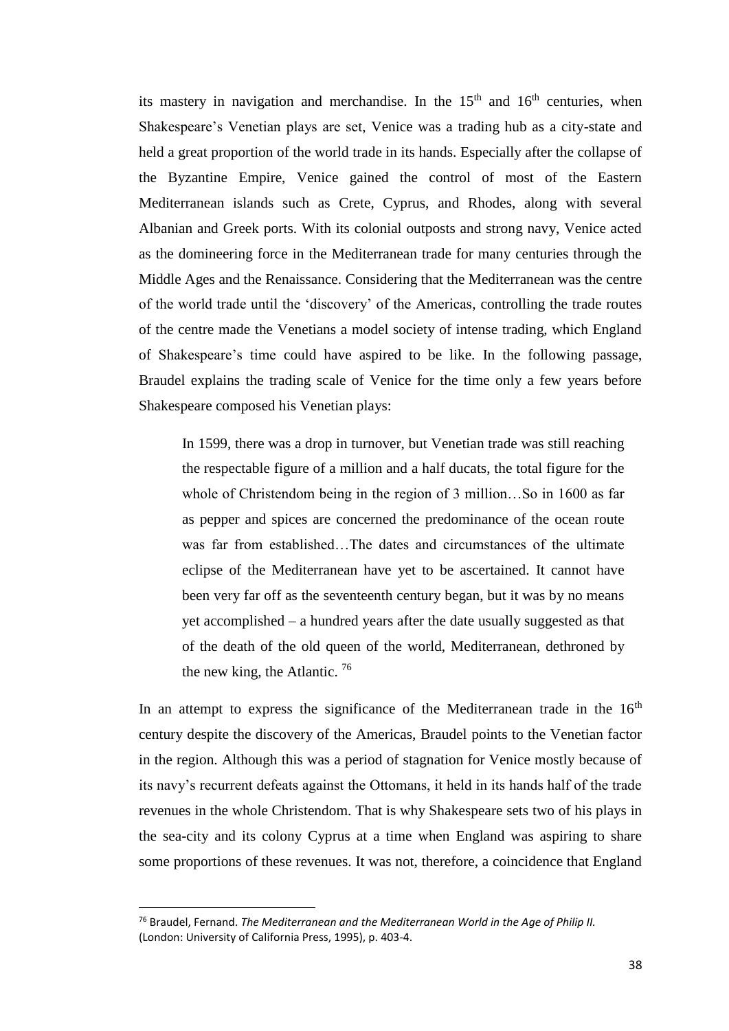its mastery in navigation and merchandise. In the  $15<sup>th</sup>$  and  $16<sup>th</sup>$  centuries, when Shakespeare's Venetian plays are set, Venice was a trading hub as a city-state and held a great proportion of the world trade in its hands. Especially after the collapse of the Byzantine Empire, Venice gained the control of most of the Eastern Mediterranean islands such as Crete, Cyprus, and Rhodes, along with several Albanian and Greek ports. With its colonial outposts and strong navy, Venice acted as the domineering force in the Mediterranean trade for many centuries through the Middle Ages and the Renaissance. Considering that the Mediterranean was the centre of the world trade until the 'discovery' of the Americas, controlling the trade routes of the centre made the Venetians a model society of intense trading, which England of Shakespeare's time could have aspired to be like. In the following passage, Braudel explains the trading scale of Venice for the time only a few years before Shakespeare composed his Venetian plays:

In 1599, there was a drop in turnover, but Venetian trade was still reaching the respectable figure of a million and a half ducats, the total figure for the whole of Christendom being in the region of 3 million…So in 1600 as far as pepper and spices are concerned the predominance of the ocean route was far from established…The dates and circumstances of the ultimate eclipse of the Mediterranean have yet to be ascertained. It cannot have been very far off as the seventeenth century began, but it was by no means yet accomplished – a hundred years after the date usually suggested as that of the death of the old queen of the world, Mediterranean, dethroned by the new king, the Atlantic.  $76$ 

In an attempt to express the significance of the Mediterranean trade in the  $16<sup>th</sup>$ century despite the discovery of the Americas, Braudel points to the Venetian factor in the region. Although this was a period of stagnation for Venice mostly because of its navy's recurrent defeats against the Ottomans, it held in its hands half of the trade revenues in the whole Christendom. That is why Shakespeare sets two of his plays in the sea-city and its colony Cyprus at a time when England was aspiring to share some proportions of these revenues. It was not, therefore, a coincidence that England

<sup>76</sup> Braudel, Fernand. *The Mediterranean and the Mediterranean World in the Age of Philip II.*  (London: University of California Press, 1995), p. 403-4.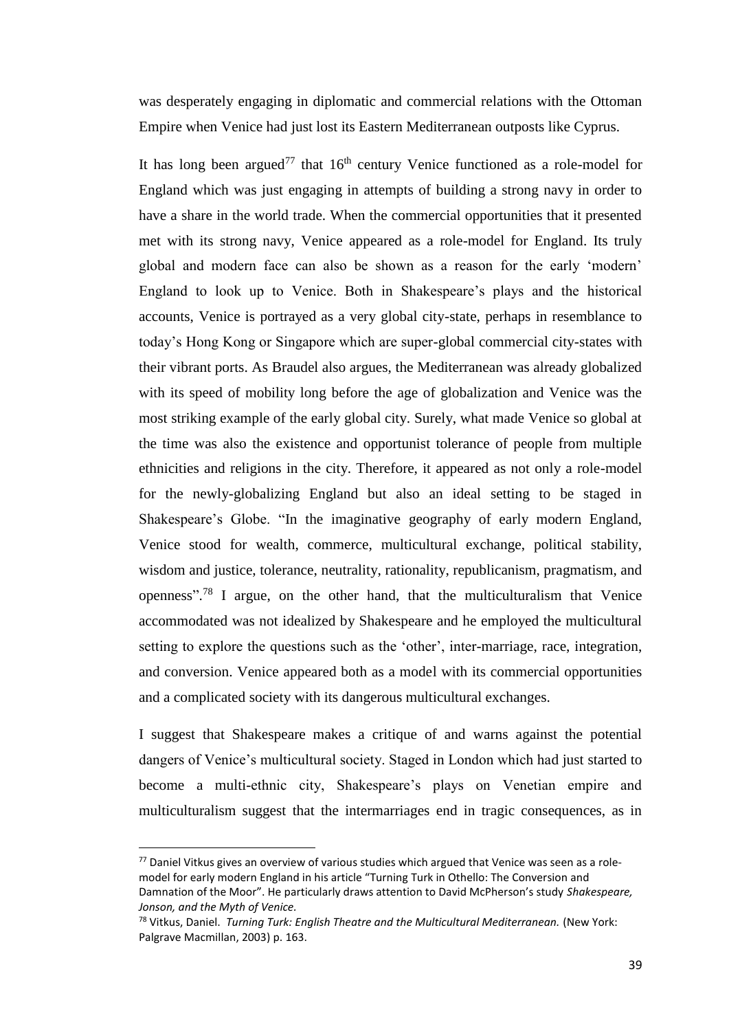was desperately engaging in diplomatic and commercial relations with the Ottoman Empire when Venice had just lost its Eastern Mediterranean outposts like Cyprus.

It has long been argued<sup>77</sup> that  $16<sup>th</sup>$  century Venice functioned as a role-model for England which was just engaging in attempts of building a strong navy in order to have a share in the world trade. When the commercial opportunities that it presented met with its strong navy, Venice appeared as a role-model for England. Its truly global and modern face can also be shown as a reason for the early 'modern' England to look up to Venice. Both in Shakespeare's plays and the historical accounts, Venice is portrayed as a very global city-state, perhaps in resemblance to today's Hong Kong or Singapore which are super-global commercial city-states with their vibrant ports. As Braudel also argues, the Mediterranean was already globalized with its speed of mobility long before the age of globalization and Venice was the most striking example of the early global city. Surely, what made Venice so global at the time was also the existence and opportunist tolerance of people from multiple ethnicities and religions in the city. Therefore, it appeared as not only a role-model for the newly-globalizing England but also an ideal setting to be staged in Shakespeare's Globe. "In the imaginative geography of early modern England, Venice stood for wealth, commerce, multicultural exchange, political stability, wisdom and justice, tolerance, neutrality, rationality, republicanism, pragmatism, and openness". <sup>78</sup> I argue, on the other hand, that the multiculturalism that Venice accommodated was not idealized by Shakespeare and he employed the multicultural setting to explore the questions such as the 'other', inter-marriage, race, integration, and conversion. Venice appeared both as a model with its commercial opportunities and a complicated society with its dangerous multicultural exchanges.

I suggest that Shakespeare makes a critique of and warns against the potential dangers of Venice's multicultural society. Staged in London which had just started to become a multi-ethnic city, Shakespeare's plays on Venetian empire and multiculturalism suggest that the intermarriages end in tragic consequences, as in

 $\overline{a}$ 

 $77$  Daniel Vitkus gives an overview of various studies which argued that Venice was seen as a rolemodel for early modern England in his article "Turning Turk in Othello: The Conversion and Damnation of the Moor". He particularly draws attention to David McPherson's study *Shakespeare, Jonson, and the Myth of Venice.* 

<sup>&</sup>lt;sup>78</sup> Vitkus, Daniel. *Turning Turk: English Theatre and the Multicultural Mediterranean.* (New York: Palgrave Macmillan, 2003) p. 163.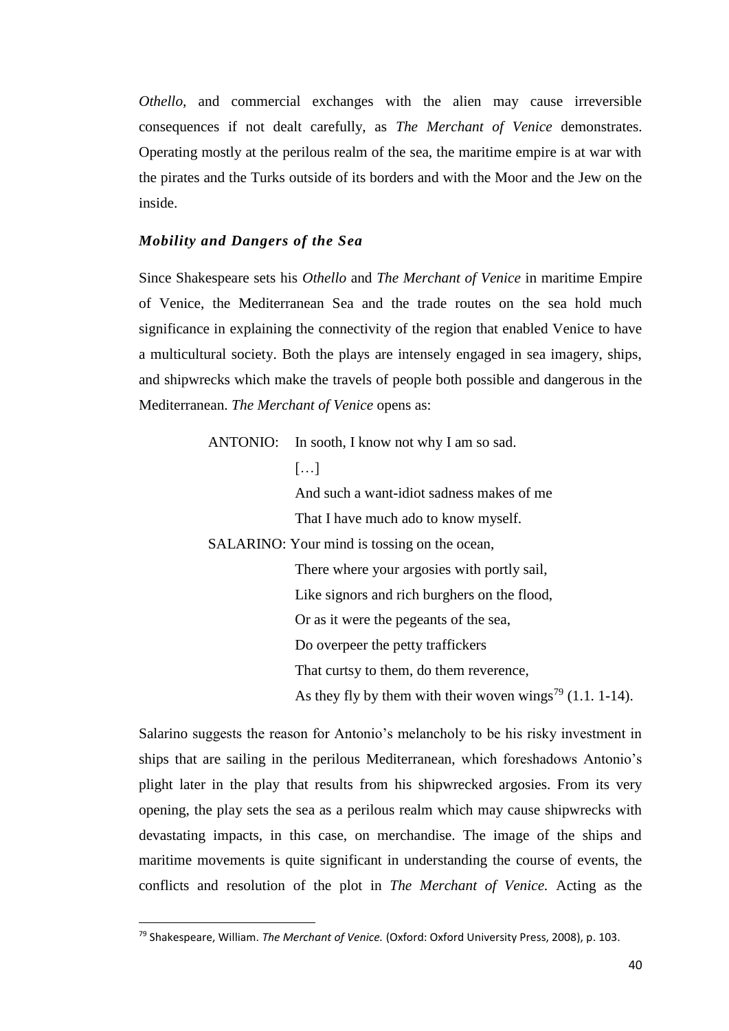*Othello,* and commercial exchanges with the alien may cause irreversible consequences if not dealt carefully, as *The Merchant of Venice* demonstrates. Operating mostly at the perilous realm of the sea, the maritime empire is at war with the pirates and the Turks outside of its borders and with the Moor and the Jew on the inside.

## *Mobility and Dangers of the Sea*

Since Shakespeare sets his *Othello* and *The Merchant of Venice* in maritime Empire of Venice, the Mediterranean Sea and the trade routes on the sea hold much significance in explaining the connectivity of the region that enabled Venice to have a multicultural society. Both the plays are intensely engaged in sea imagery, ships, and shipwrecks which make the travels of people both possible and dangerous in the Mediterranean. *The Merchant of Venice* opens as:

ANTONIO: In sooth, I know not why I am so sad.

#### $[...]$

And such a want-idiot sadness makes of me That I have much ado to know myself.

SALARINO: Your mind is tossing on the ocean,

There where your argosies with portly sail, Like signors and rich burghers on the flood, Or as it were the pegeants of the sea, Do overpeer the petty traffickers That curtsy to them, do them reverence, As they fly by them with their woven wings<sup>79</sup> (1.1. 1-14).

Salarino suggests the reason for Antonio's melancholy to be his risky investment in ships that are sailing in the perilous Mediterranean, which foreshadows Antonio's plight later in the play that results from his shipwrecked argosies. From its very opening, the play sets the sea as a perilous realm which may cause shipwrecks with devastating impacts, in this case, on merchandise. The image of the ships and maritime movements is quite significant in understanding the course of events, the conflicts and resolution of the plot in *The Merchant of Venice.* Acting as the

<sup>79</sup> Shakespeare, William. *The Merchant of Venice.* (Oxford: Oxford University Press, 2008), p. 103.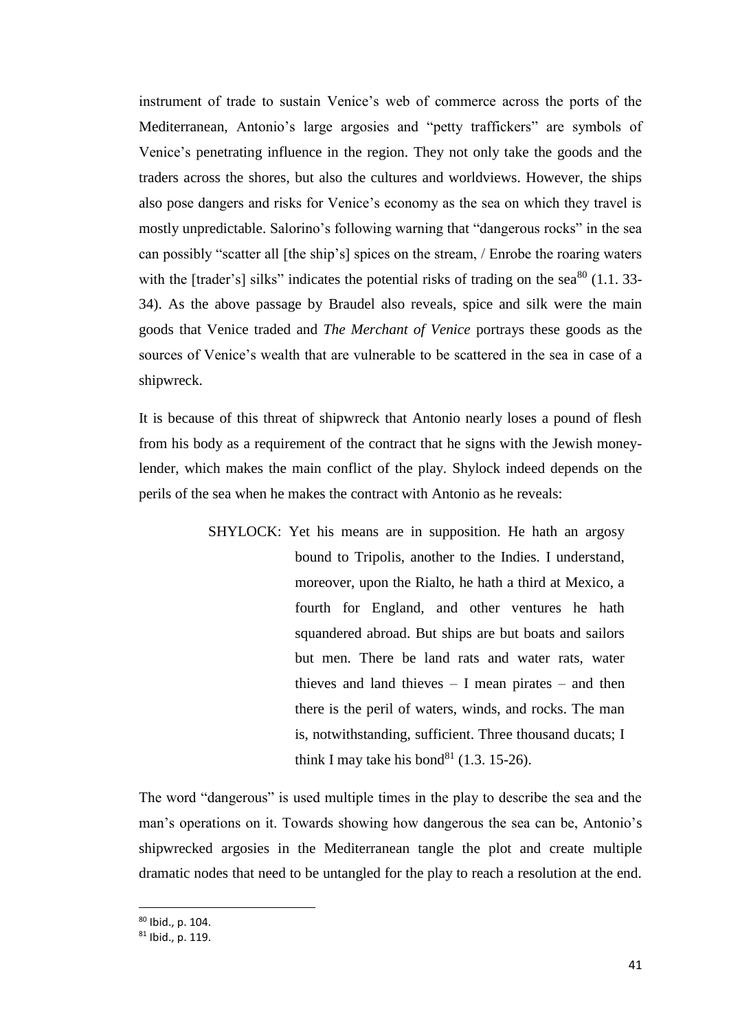instrument of trade to sustain Venice's web of commerce across the ports of the Mediterranean, Antonio's large argosies and "petty traffickers" are symbols of Venice's penetrating influence in the region. They not only take the goods and the traders across the shores, but also the cultures and worldviews. However, the ships also pose dangers and risks for Venice's economy as the sea on which they travel is mostly unpredictable. Salorino's following warning that "dangerous rocks" in the sea can possibly "scatter all [the ship's] spices on the stream, / Enrobe the roaring waters with the [trader's] silks" indicates the potential risks of trading on the sea $^{80}$  (1.1. 33-34). As the above passage by Braudel also reveals, spice and silk were the main goods that Venice traded and *The Merchant of Venice* portrays these goods as the sources of Venice's wealth that are vulnerable to be scattered in the sea in case of a shipwreck.

It is because of this threat of shipwreck that Antonio nearly loses a pound of flesh from his body as a requirement of the contract that he signs with the Jewish moneylender, which makes the main conflict of the play. Shylock indeed depends on the perils of the sea when he makes the contract with Antonio as he reveals:

> SHYLOCK: Yet his means are in supposition. He hath an argosy bound to Tripolis, another to the Indies. I understand, moreover, upon the Rialto, he hath a third at Mexico, a fourth for England, and other ventures he hath squandered abroad. But ships are but boats and sailors but men. There be land rats and water rats, water thieves and land thieves – I mean pirates – and then there is the peril of waters, winds, and rocks. The man is, notwithstanding, sufficient. Three thousand ducats; I think I may take his bond<sup>81</sup> (1.3. 15-26).

The word "dangerous" is used multiple times in the play to describe the sea and the man's operations on it. Towards showing how dangerous the sea can be, Antonio's shipwrecked argosies in the Mediterranean tangle the plot and create multiple dramatic nodes that need to be untangled for the play to reach a resolution at the end.

<sup>80</sup> Ibid., p. 104.

<sup>81</sup> Ibid., p. 119.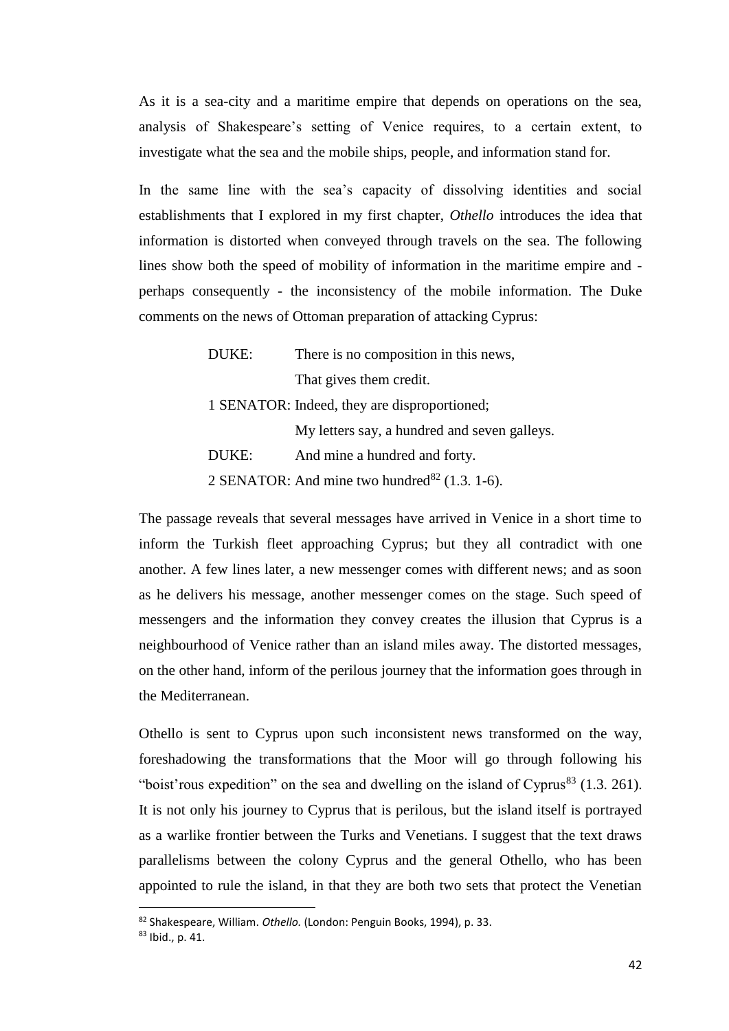As it is a sea-city and a maritime empire that depends on operations on the sea, analysis of Shakespeare's setting of Venice requires, to a certain extent, to investigate what the sea and the mobile ships, people, and information stand for.

In the same line with the sea's capacity of dissolving identities and social establishments that I explored in my first chapter, *Othello* introduces the idea that information is distorted when conveyed through travels on the sea. The following lines show both the speed of mobility of information in the maritime empire and perhaps consequently - the inconsistency of the mobile information. The Duke comments on the news of Ottoman preparation of attacking Cyprus:

> DUKE: There is no composition in this news, That gives them credit. 1 SENATOR: Indeed, they are disproportioned; My letters say, a hundred and seven galleys. DUKE: And mine a hundred and forty. 2 SENATOR: And mine two hundred $^{82}$  (1.3. 1-6).

The passage reveals that several messages have arrived in Venice in a short time to inform the Turkish fleet approaching Cyprus; but they all contradict with one another. A few lines later, a new messenger comes with different news; and as soon as he delivers his message, another messenger comes on the stage. Such speed of messengers and the information they convey creates the illusion that Cyprus is a neighbourhood of Venice rather than an island miles away. The distorted messages, on the other hand, inform of the perilous journey that the information goes through in the Mediterranean.

Othello is sent to Cyprus upon such inconsistent news transformed on the way, foreshadowing the transformations that the Moor will go through following his "boist'rous expedition" on the sea and dwelling on the island of  $Cyprus^{83}$  (1.3. 261). It is not only his journey to Cyprus that is perilous, but the island itself is portrayed as a warlike frontier between the Turks and Venetians. I suggest that the text draws parallelisms between the colony Cyprus and the general Othello, who has been appointed to rule the island, in that they are both two sets that protect the Venetian

<sup>82</sup> Shakespeare, William. *Othello.* (London: Penguin Books, 1994), p. 33.

<sup>83</sup> Ibid., p. 41.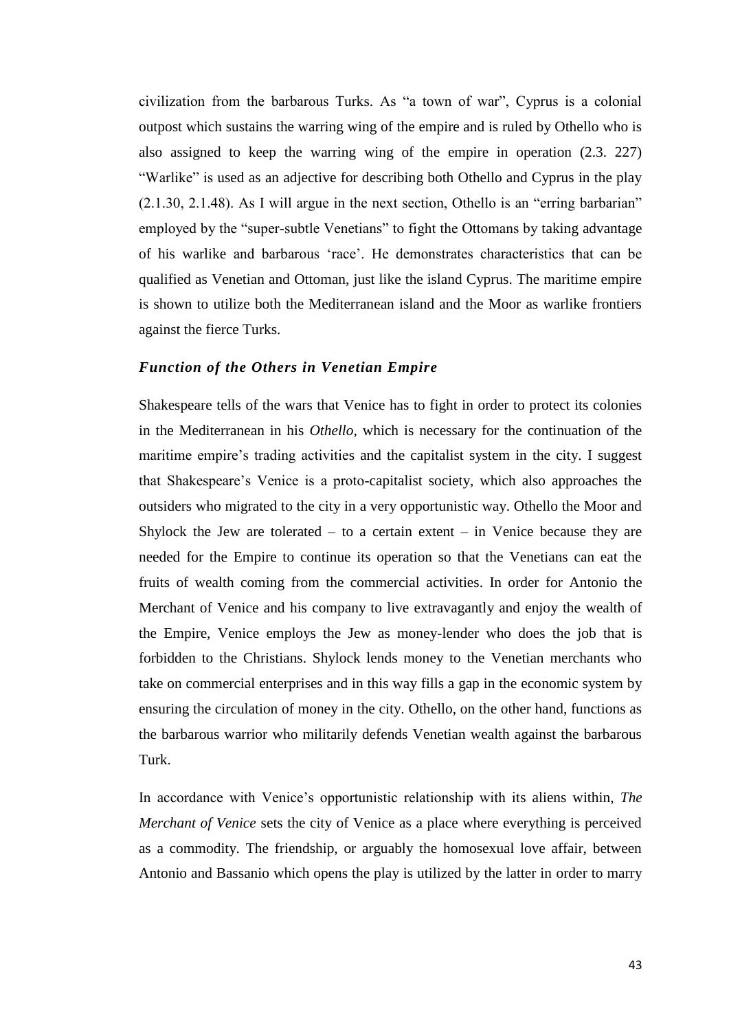civilization from the barbarous Turks. As "a town of war", Cyprus is a colonial outpost which sustains the warring wing of the empire and is ruled by Othello who is also assigned to keep the warring wing of the empire in operation (2.3. 227) "Warlike" is used as an adjective for describing both Othello and Cyprus in the play (2.1.30, 2.1.48). As I will argue in the next section, Othello is an "erring barbarian" employed by the "super-subtle Venetians" to fight the Ottomans by taking advantage of his warlike and barbarous 'race'. He demonstrates characteristics that can be qualified as Venetian and Ottoman, just like the island Cyprus. The maritime empire is shown to utilize both the Mediterranean island and the Moor as warlike frontiers against the fierce Turks.

#### *Function of the Others in Venetian Empire*

Shakespeare tells of the wars that Venice has to fight in order to protect its colonies in the Mediterranean in his *Othello,* which is necessary for the continuation of the maritime empire's trading activities and the capitalist system in the city. I suggest that Shakespeare's Venice is a proto-capitalist society, which also approaches the outsiders who migrated to the city in a very opportunistic way. Othello the Moor and Shylock the Jew are tolerated – to a certain extent – in Venice because they are needed for the Empire to continue its operation so that the Venetians can eat the fruits of wealth coming from the commercial activities. In order for Antonio the Merchant of Venice and his company to live extravagantly and enjoy the wealth of the Empire, Venice employs the Jew as money-lender who does the job that is forbidden to the Christians. Shylock lends money to the Venetian merchants who take on commercial enterprises and in this way fills a gap in the economic system by ensuring the circulation of money in the city. Othello, on the other hand, functions as the barbarous warrior who militarily defends Venetian wealth against the barbarous Turk.

In accordance with Venice's opportunistic relationship with its aliens within, *The Merchant of Venice* sets the city of Venice as a place where everything is perceived as a commodity. The friendship, or arguably the homosexual love affair, between Antonio and Bassanio which opens the play is utilized by the latter in order to marry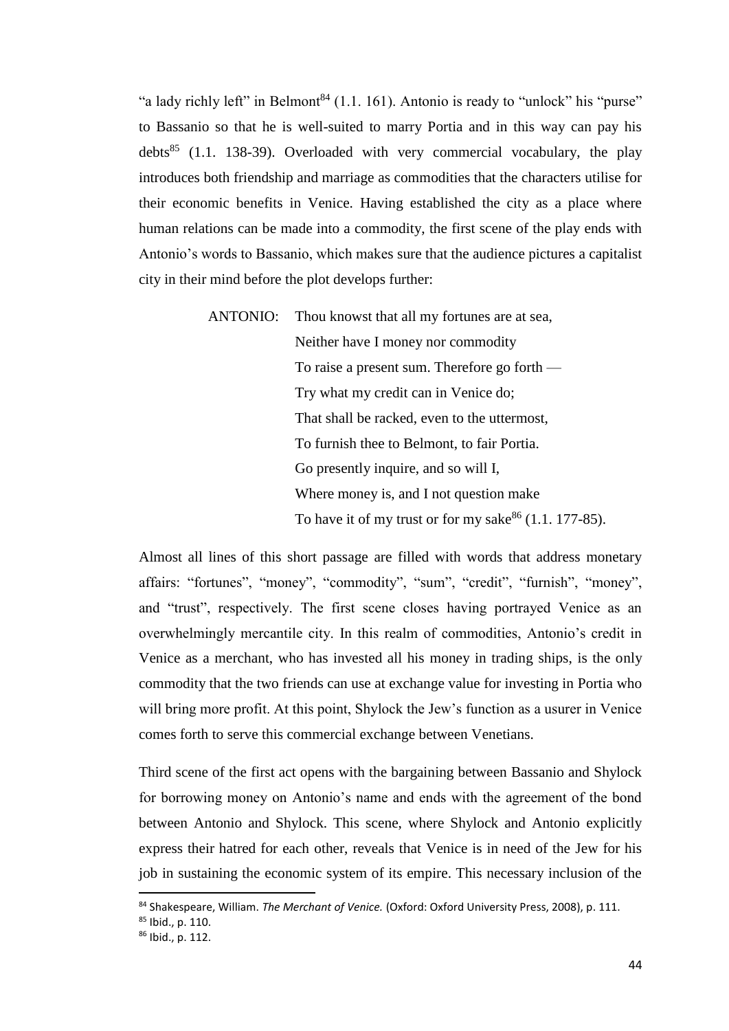"a lady richly left" in Belmont<sup>84</sup> (1.1. 161). Antonio is ready to "unlock" his "purse" to Bassanio so that he is well-suited to marry Portia and in this way can pay his debts<sup>85</sup> (1.1. 138-39). Overloaded with very commercial vocabulary, the play introduces both friendship and marriage as commodities that the characters utilise for their economic benefits in Venice. Having established the city as a place where human relations can be made into a commodity, the first scene of the play ends with Antonio's words to Bassanio, which makes sure that the audience pictures a capitalist city in their mind before the plot develops further:

> ANTONIO: Thou knowst that all my fortunes are at sea, Neither have I money nor commodity To raise a present sum. Therefore go forth — Try what my credit can in Venice do; That shall be racked, even to the uttermost, To furnish thee to Belmont, to fair Portia. Go presently inquire, and so will I, Where money is, and I not question make To have it of my trust or for my sake  $86$  (1.1. 177-85).

Almost all lines of this short passage are filled with words that address monetary affairs: "fortunes", "money", "commodity", "sum", "credit", "furnish", "money", and "trust", respectively. The first scene closes having portrayed Venice as an overwhelmingly mercantile city. In this realm of commodities, Antonio's credit in Venice as a merchant, who has invested all his money in trading ships, is the only commodity that the two friends can use at exchange value for investing in Portia who will bring more profit. At this point, Shylock the Jew's function as a usurer in Venice comes forth to serve this commercial exchange between Venetians.

Third scene of the first act opens with the bargaining between Bassanio and Shylock for borrowing money on Antonio's name and ends with the agreement of the bond between Antonio and Shylock. This scene, where Shylock and Antonio explicitly express their hatred for each other, reveals that Venice is in need of the Jew for his job in sustaining the economic system of its empire. This necessary inclusion of the

<sup>84</sup> Shakespeare, William. *The Merchant of Venice.* (Oxford: Oxford University Press, 2008), p. 111.

<sup>85</sup> Ibid., p. 110.

<sup>86</sup> Ibid., p. 112.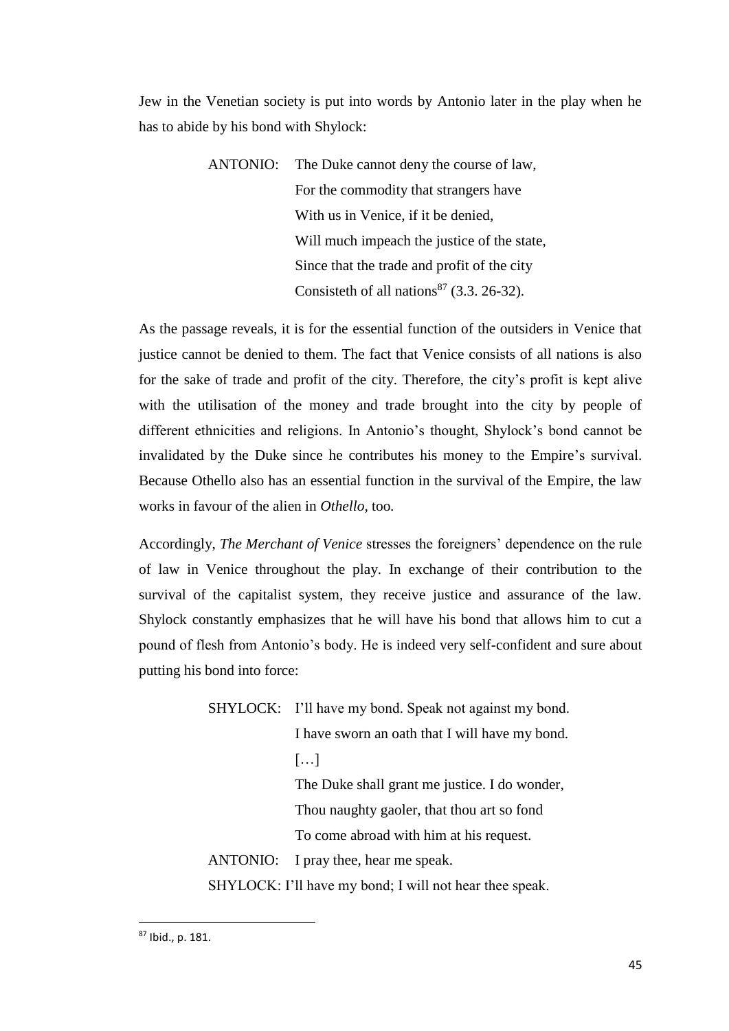Jew in the Venetian society is put into words by Antonio later in the play when he has to abide by his bond with Shylock:

> ANTONIO: The Duke cannot deny the course of law, For the commodity that strangers have With us in Venice, if it be denied, Will much impeach the justice of the state. Since that the trade and profit of the city Consisteth of all nations<sup>87</sup> (3.3. 26-32).

As the passage reveals, it is for the essential function of the outsiders in Venice that justice cannot be denied to them. The fact that Venice consists of all nations is also for the sake of trade and profit of the city. Therefore, the city's profit is kept alive with the utilisation of the money and trade brought into the city by people of different ethnicities and religions. In Antonio's thought, Shylock's bond cannot be invalidated by the Duke since he contributes his money to the Empire's survival. Because Othello also has an essential function in the survival of the Empire, the law works in favour of the alien in *Othello,* too*.* 

Accordingly, *The Merchant of Venice* stresses the foreigners' dependence on the rule of law in Venice throughout the play. In exchange of their contribution to the survival of the capitalist system, they receive justice and assurance of the law. Shylock constantly emphasizes that he will have his bond that allows him to cut a pound of flesh from Antonio's body. He is indeed very self-confident and sure about putting his bond into force:

|                                                         | SHYLOCK: I'll have my bond. Speak not against my bond. |  |
|---------------------------------------------------------|--------------------------------------------------------|--|
|                                                         | I have sworn an oath that I will have my bond.         |  |
|                                                         | $\left[\ldots\right]$                                  |  |
|                                                         | The Duke shall grant me justice. I do wonder,          |  |
|                                                         | Thou naughty gaoler, that thou art so fond             |  |
|                                                         | To come abroad with him at his request.                |  |
|                                                         | ANTONIO: I pray thee, hear me speak.                   |  |
| SHYLOCK: I'll have my bond; I will not hear thee speak. |                                                        |  |

<sup>87</sup> Ibid., p. 181.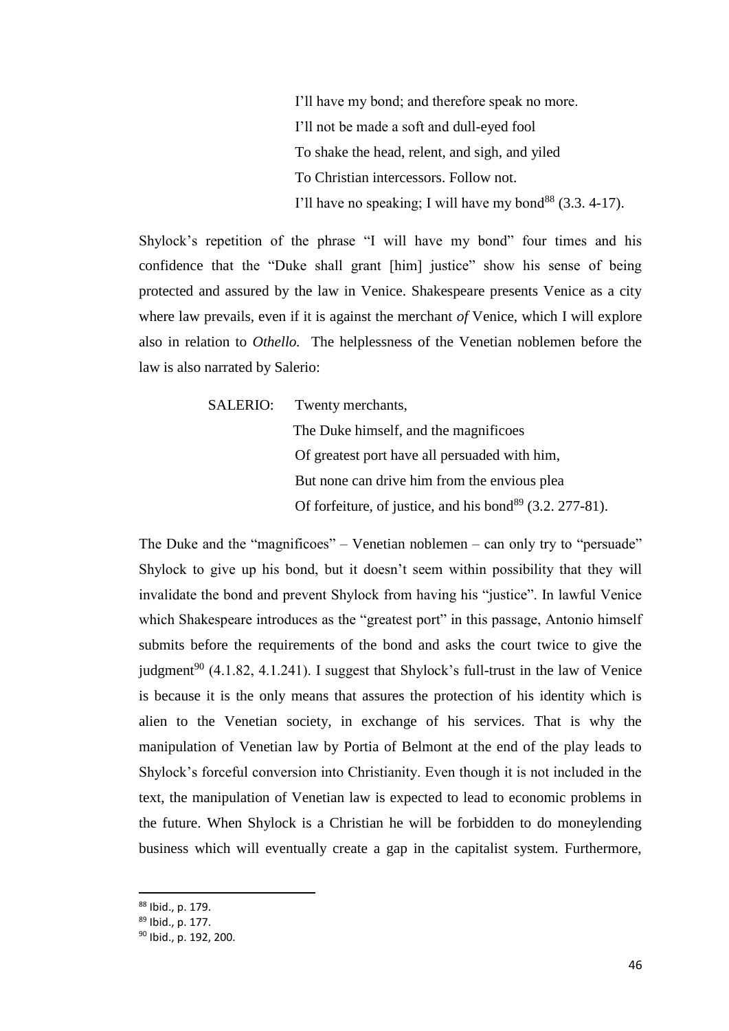I'll have my bond; and therefore speak no more. I'll not be made a soft and dull-eyed fool To shake the head, relent, and sigh, and yiled To Christian intercessors. Follow not. I'll have no speaking; I will have my bond<sup>88</sup>  $(3.3, 4-17)$ .

Shylock's repetition of the phrase "I will have my bond" four times and his confidence that the "Duke shall grant [him] justice" show his sense of being protected and assured by the law in Venice. Shakespeare presents Venice as a city where law prevails, even if it is against the merchant *of* Venice, which I will explore also in relation to *Othello.* The helplessness of the Venetian noblemen before the law is also narrated by Salerio:

SALERIO: Twenty merchants,

 The Duke himself, and the magnificoes Of greatest port have all persuaded with him, But none can drive him from the envious plea Of forfeiture, of justice, and his bond<sup>89</sup>  $(3.2. 277-81)$ .

The Duke and the "magnificoes" – Venetian noblemen – can only try to "persuade" Shylock to give up his bond, but it doesn't seem within possibility that they will invalidate the bond and prevent Shylock from having his "justice". In lawful Venice which Shakespeare introduces as the "greatest port" in this passage, Antonio himself submits before the requirements of the bond and asks the court twice to give the judgment<sup>90</sup> (4.1.82, 4.1.241). I suggest that Shylock's full-trust in the law of Venice is because it is the only means that assures the protection of his identity which is alien to the Venetian society, in exchange of his services. That is why the manipulation of Venetian law by Portia of Belmont at the end of the play leads to Shylock's forceful conversion into Christianity. Even though it is not included in the text, the manipulation of Venetian law is expected to lead to economic problems in the future. When Shylock is a Christian he will be forbidden to do moneylending business which will eventually create a gap in the capitalist system. Furthermore,

<sup>88</sup> Ibid., p. 179.

<sup>89</sup> Ibid., p. 177.

<sup>90</sup> Ibid., p. 192, 200.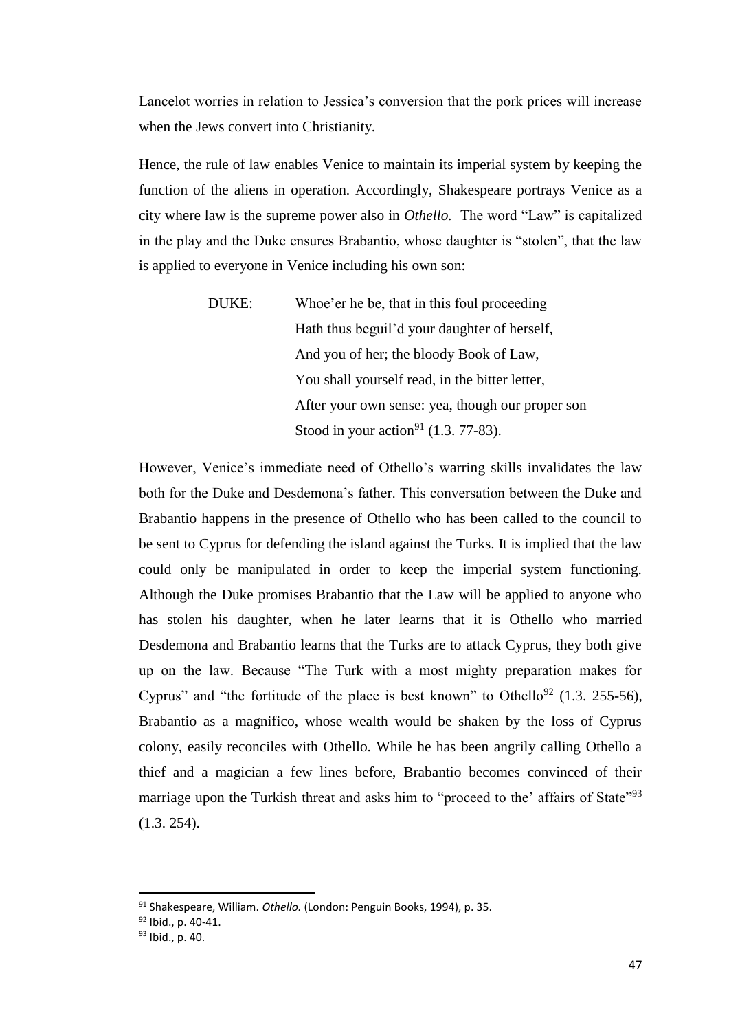Lancelot worries in relation to Jessica's conversion that the pork prices will increase when the Jews convert into Christianity.

Hence, the rule of law enables Venice to maintain its imperial system by keeping the function of the aliens in operation. Accordingly, Shakespeare portrays Venice as a city where law is the supreme power also in *Othello.* The word "Law" is capitalized in the play and the Duke ensures Brabantio, whose daughter is "stolen", that the law is applied to everyone in Venice including his own son:

> DUKE: Whoe'er he be, that in this foul proceeding Hath thus beguil'd your daughter of herself, And you of her; the bloody Book of Law, You shall yourself read, in the bitter letter, After your own sense: yea, though our proper son Stood in your action<sup>91</sup> (1.3. 77-83).

However, Venice's immediate need of Othello's warring skills invalidates the law both for the Duke and Desdemona's father. This conversation between the Duke and Brabantio happens in the presence of Othello who has been called to the council to be sent to Cyprus for defending the island against the Turks. It is implied that the law could only be manipulated in order to keep the imperial system functioning. Although the Duke promises Brabantio that the Law will be applied to anyone who has stolen his daughter, when he later learns that it is Othello who married Desdemona and Brabantio learns that the Turks are to attack Cyprus, they both give up on the law. Because "The Turk with a most mighty preparation makes for Cyprus" and "the fortitude of the place is best known" to Othello<sup>92</sup> (1.3. 255-56), Brabantio as a magnifico, whose wealth would be shaken by the loss of Cyprus colony, easily reconciles with Othello. While he has been angrily calling Othello a thief and a magician a few lines before, Brabantio becomes convinced of their marriage upon the Turkish threat and asks him to "proceed to the' affairs of State"<sup>93</sup> (1.3. 254).

<sup>91</sup> Shakespeare, William. *Othello.* (London: Penguin Books, 1994), p. 35.

<sup>92</sup> Ibid., p. 40-41.

<sup>93</sup> Ibid., p. 40.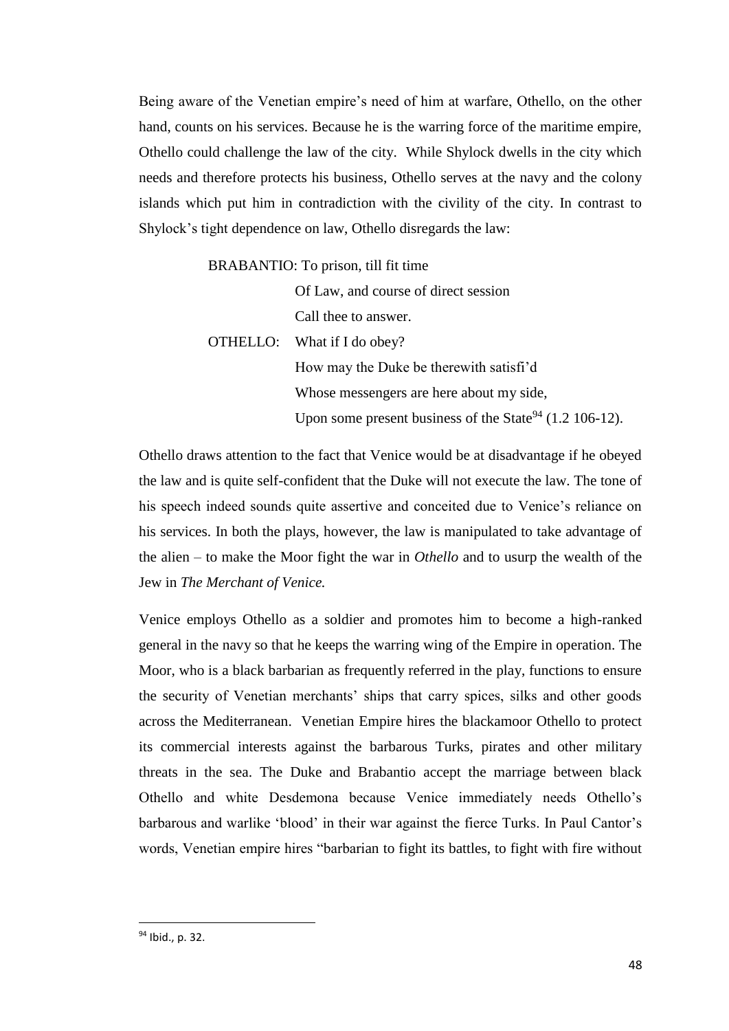Being aware of the Venetian empire's need of him at warfare, Othello, on the other hand, counts on his services. Because he is the warring force of the maritime empire, Othello could challenge the law of the city. While Shylock dwells in the city which needs and therefore protects his business, Othello serves at the navy and the colony islands which put him in contradiction with the civility of the city. In contrast to Shylock's tight dependence on law, Othello disregards the law:

BRABANTIO: To prison, till fit time

Of Law, and course of direct session Call thee to answer.

OTHELLO: What if I do obey?

How may the Duke be therewith satisfi'd Whose messengers are here about my side, Upon some present business of the State<sup>94</sup> (1.2 106-12).

Othello draws attention to the fact that Venice would be at disadvantage if he obeyed the law and is quite self-confident that the Duke will not execute the law. The tone of his speech indeed sounds quite assertive and conceited due to Venice's reliance on his services. In both the plays, however, the law is manipulated to take advantage of the alien – to make the Moor fight the war in *Othello* and to usurp the wealth of the Jew in *The Merchant of Venice.* 

Venice employs Othello as a soldier and promotes him to become a high-ranked general in the navy so that he keeps the warring wing of the Empire in operation. The Moor, who is a black barbarian as frequently referred in the play, functions to ensure the security of Venetian merchants' ships that carry spices, silks and other goods across the Mediterranean. Venetian Empire hires the blackamoor Othello to protect its commercial interests against the barbarous Turks, pirates and other military threats in the sea. The Duke and Brabantio accept the marriage between black Othello and white Desdemona because Venice immediately needs Othello's barbarous and warlike 'blood' in their war against the fierce Turks. In Paul Cantor's words, Venetian empire hires "barbarian to fight its battles, to fight with fire without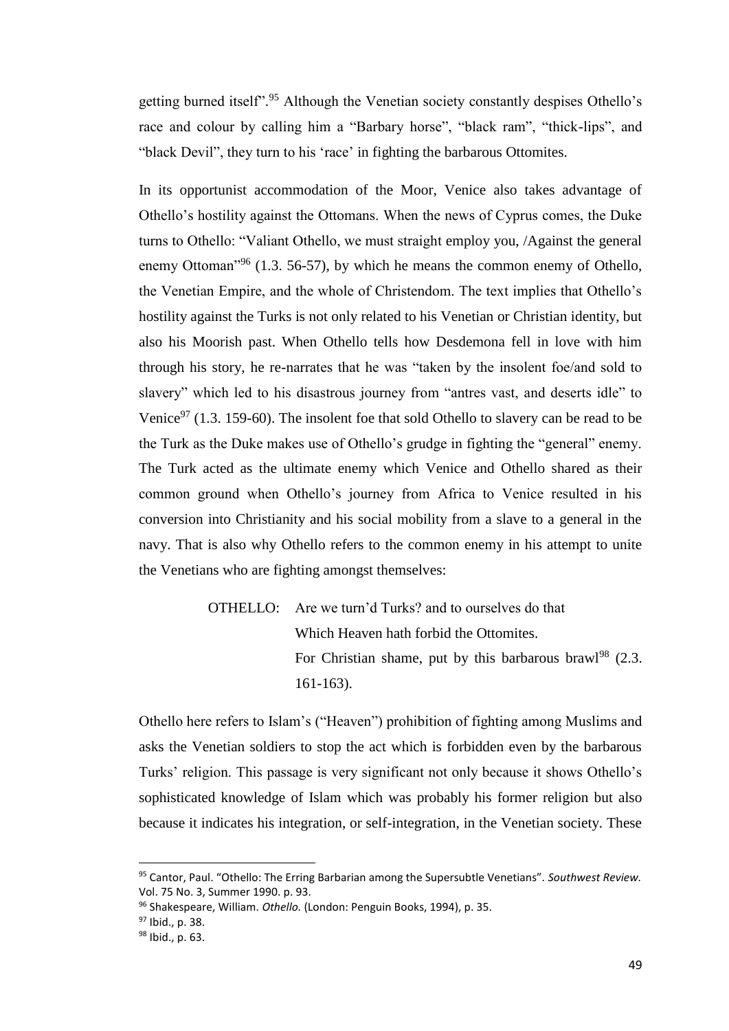getting burned itself".<sup>95</sup> Although the Venetian society constantly despises Othello's race and colour by calling him a "Barbary horse", "black ram", "thick-lips", and "black Devil", they turn to his 'race' in fighting the barbarous Ottomites.

In its opportunist accommodation of the Moor, Venice also takes advantage of Othello's hostility against the Ottomans. When the news of Cyprus comes, the Duke turns to Othello: "Valiant Othello, we must straight employ you, /Against the general enemy Ottoman"<sup>96</sup> (1.3. 56-57), by which he means the common enemy of Othello, the Venetian Empire, and the whole of Christendom. The text implies that Othello's hostility against the Turks is not only related to his Venetian or Christian identity, but also his Moorish past. When Othello tells how Desdemona fell in love with him through his story, he re-narrates that he was "taken by the insolent foe/and sold to slavery" which led to his disastrous journey from "antres vast, and deserts idle" to Venice<sup>97</sup> (1.3. 159-60). The insolent foe that sold Othello to slavery can be read to be the Turk as the Duke makes use of Othello's grudge in fighting the "general" enemy. The Turk acted as the ultimate enemy which Venice and Othello shared as their common ground when Othello's journey from Africa to Venice resulted in his conversion into Christianity and his social mobility from a slave to a general in the navy. That is also why Othello refers to the common enemy in his attempt to unite the Venetians who are fighting amongst themselves:

> OTHELLO: Are we turn'd Turks? and to ourselves do that Which Heaven hath forbid the Ottomites. For Christian shame, put by this barbarous brawl<sup>98</sup>  $(2.3.1)$ 161-163).

Othello here refers to Islam's ("Heaven") prohibition of fighting among Muslims and asks the Venetian soldiers to stop the act which is forbidden even by the barbarous Turks' religion. This passage is very significant not only because it shows Othello's sophisticated knowledge of Islam which was probably his former religion but also because it indicates his integration, or self-integration, in the Venetian society. These

<sup>95</sup> Cantor, Paul. "Othello: The Erring Barbarian among the Supersubtle Venetians". *Southwest Review.*  Vol. 75 No. 3, Summer 1990. p. 93.

<sup>96</sup> Shakespeare, William. *Othello.* (London: Penguin Books, 1994), p. 35.

<sup>97</sup> Ibid., p. 38.

<sup>98</sup> Ibid., p. 63.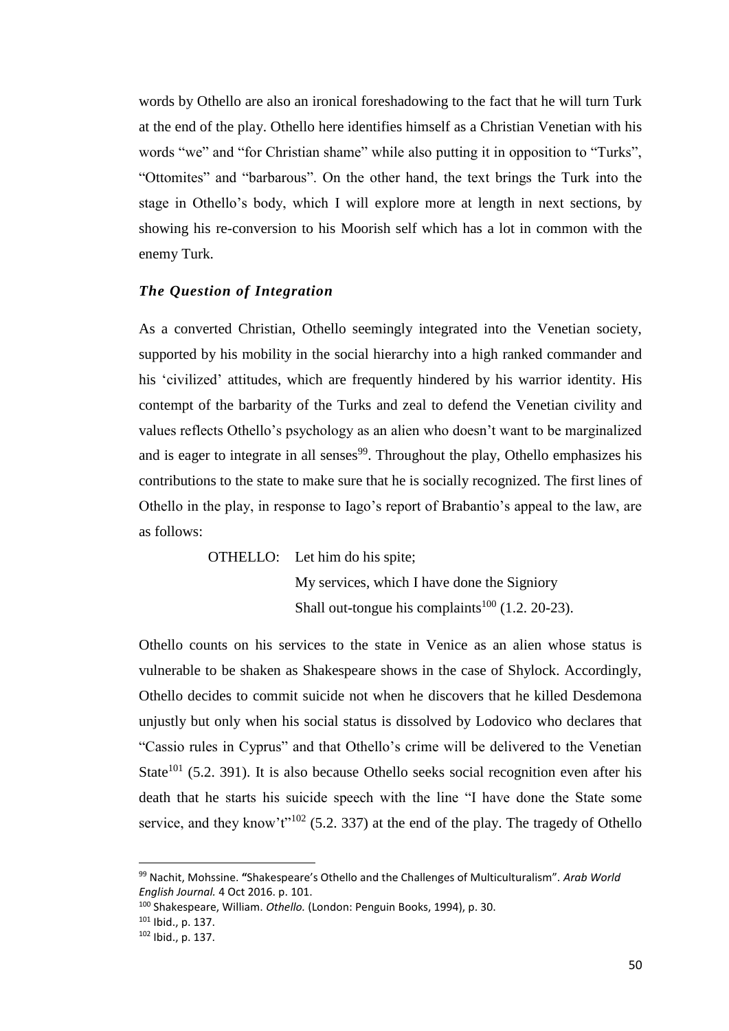words by Othello are also an ironical foreshadowing to the fact that he will turn Turk at the end of the play. Othello here identifies himself as a Christian Venetian with his words "we" and "for Christian shame" while also putting it in opposition to "Turks", "Ottomites" and "barbarous". On the other hand, the text brings the Turk into the stage in Othello's body, which I will explore more at length in next sections, by showing his re-conversion to his Moorish self which has a lot in common with the enemy Turk.

## *The Question of Integration*

As a converted Christian, Othello seemingly integrated into the Venetian society, supported by his mobility in the social hierarchy into a high ranked commander and his 'civilized' attitudes, which are frequently hindered by his warrior identity. His contempt of the barbarity of the Turks and zeal to defend the Venetian civility and values reflects Othello's psychology as an alien who doesn't want to be marginalized and is eager to integrate in all senses<sup>99</sup>. Throughout the play, Othello emphasizes his contributions to the state to make sure that he is socially recognized. The first lines of Othello in the play, in response to Iago's report of Brabantio's appeal to the law, are as follows:

> OTHELLO: Let him do his spite; My services, which I have done the Signiory Shall out-tongue his complaints<sup>100</sup> (1.2. 20-23).

Othello counts on his services to the state in Venice as an alien whose status is vulnerable to be shaken as Shakespeare shows in the case of Shylock. Accordingly, Othello decides to commit suicide not when he discovers that he killed Desdemona unjustly but only when his social status is dissolved by Lodovico who declares that "Cassio rules in Cyprus" and that Othello's crime will be delivered to the Venetian State<sup>101</sup> (5.2. 391). It is also because Othello seeks social recognition even after his death that he starts his suicide speech with the line "I have done the State some service, and they know't"<sup>102</sup> (5.2. 337) at the end of the play. The tragedy of Othello

<sup>99</sup> Nachit, Mohssine. **"**Shakespeare's Othello and the Challenges of Multiculturalism". *Arab World English Journal.* 4 Oct 2016. p. 101.

<sup>100</sup> Shakespeare, William. *Othello.* (London: Penguin Books, 1994), p. 30.

<sup>101</sup> Ibid., p. 137.

<sup>102</sup> Ibid., p. 137.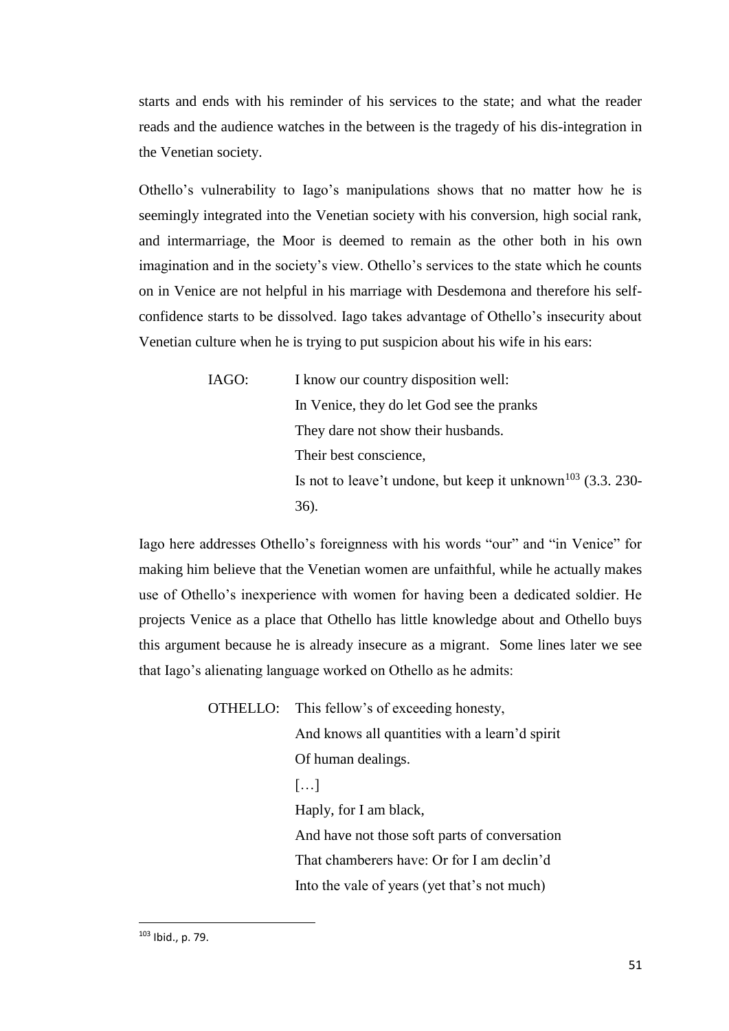starts and ends with his reminder of his services to the state; and what the reader reads and the audience watches in the between is the tragedy of his dis-integration in the Venetian society.

Othello's vulnerability to Iago's manipulations shows that no matter how he is seemingly integrated into the Venetian society with his conversion, high social rank, and intermarriage, the Moor is deemed to remain as the other both in his own imagination and in the society's view. Othello's services to the state which he counts on in Venice are not helpful in his marriage with Desdemona and therefore his selfconfidence starts to be dissolved. Iago takes advantage of Othello's insecurity about Venetian culture when he is trying to put suspicion about his wife in his ears:

> IAGO: I know our country disposition well: In Venice, they do let God see the pranks They dare not show their husbands. Their best conscience, Is not to leave't undone, but keep it unknown<sup>103</sup> (3.3. 230-36).

Iago here addresses Othello's foreignness with his words "our" and "in Venice" for making him believe that the Venetian women are unfaithful, while he actually makes use of Othello's inexperience with women for having been a dedicated soldier. He projects Venice as a place that Othello has little knowledge about and Othello buys this argument because he is already insecure as a migrant. Some lines later we see that Iago's alienating language worked on Othello as he admits:

> OTHELLO: This fellow's of exceeding honesty, And knows all quantities with a learn'd spirit Of human dealings. […] Haply, for I am black, And have not those soft parts of conversation That chamberers have: Or for I am declin'd Into the vale of years (yet that's not much)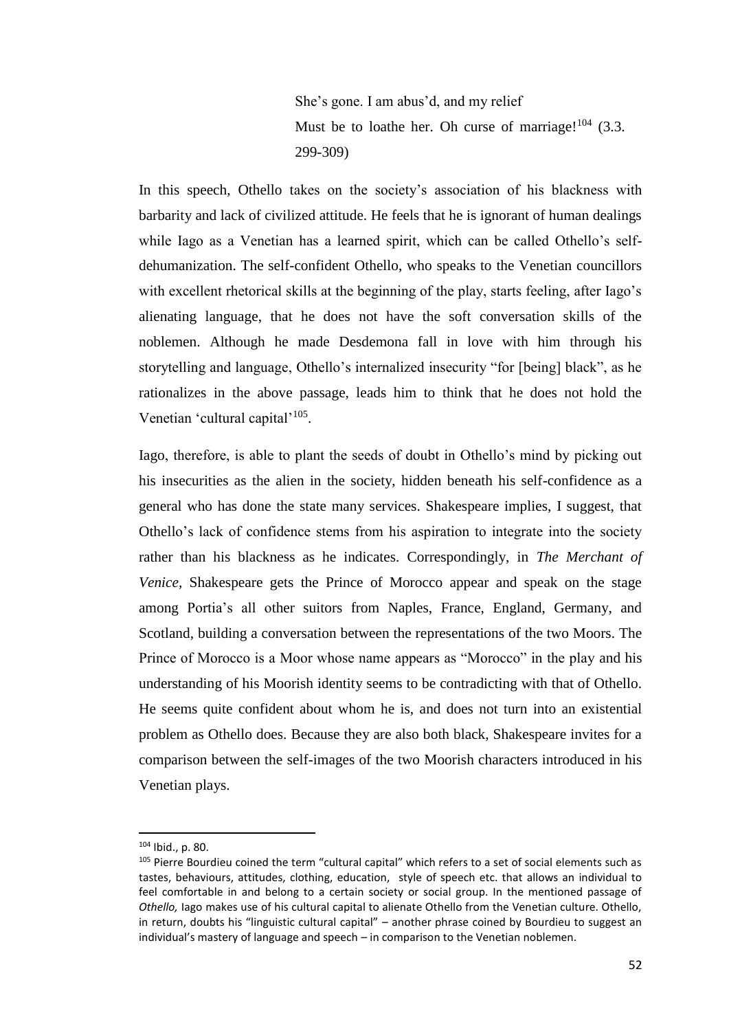She's gone. I am abus'd, and my relief Must be to loathe her. Oh curse of marriage! $104$  (3.3.) 299-309)

In this speech, Othello takes on the society's association of his blackness with barbarity and lack of civilized attitude. He feels that he is ignorant of human dealings while Iago as a Venetian has a learned spirit, which can be called Othello's selfdehumanization. The self-confident Othello, who speaks to the Venetian councillors with excellent rhetorical skills at the beginning of the play, starts feeling, after Iago's alienating language, that he does not have the soft conversation skills of the noblemen. Although he made Desdemona fall in love with him through his storytelling and language, Othello's internalized insecurity "for [being] black", as he rationalizes in the above passage, leads him to think that he does not hold the Venetian 'cultural capital'<sup>105</sup>.

Iago, therefore, is able to plant the seeds of doubt in Othello's mind by picking out his insecurities as the alien in the society, hidden beneath his self-confidence as a general who has done the state many services. Shakespeare implies, I suggest, that Othello's lack of confidence stems from his aspiration to integrate into the society rather than his blackness as he indicates. Correspondingly, in *The Merchant of Venice,* Shakespeare gets the Prince of Morocco appear and speak on the stage among Portia's all other suitors from Naples, France, England, Germany, and Scotland*,* building a conversation between the representations of the two Moors. The Prince of Morocco is a Moor whose name appears as "Morocco" in the play and his understanding of his Moorish identity seems to be contradicting with that of Othello. He seems quite confident about whom he is, and does not turn into an existential problem as Othello does. Because they are also both black, Shakespeare invites for a comparison between the self-images of the two Moorish characters introduced in his Venetian plays.

 $104$  Ibid., p. 80.

<sup>&</sup>lt;sup>105</sup> Pierre Bourdieu coined the term "cultural capital" which refers to a set of social elements such as tastes, behaviours, attitudes, clothing, education, style of speech etc. that allows an individual to feel comfortable in and belong to a certain society or social group. In the mentioned passage of *Othello,* Iago makes use of his cultural capital to alienate Othello from the Venetian culture. Othello, in return, doubts his "linguistic cultural capital" – another phrase coined by Bourdieu to suggest an individual's mastery of language and speech – in comparison to the Venetian noblemen.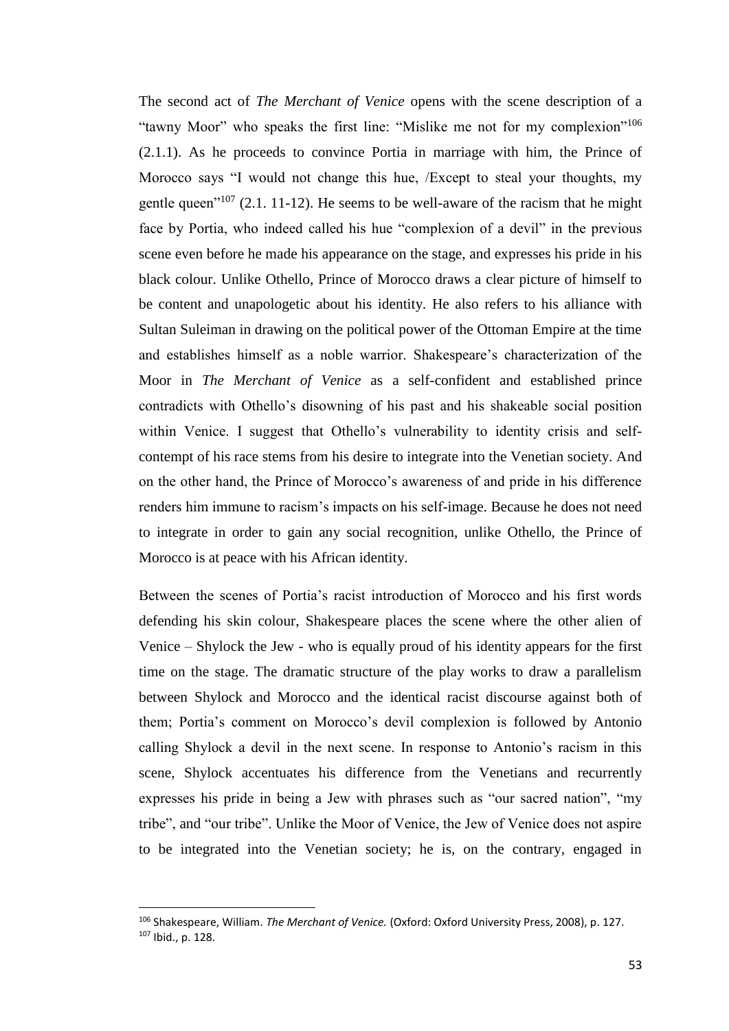The second act of *The Merchant of Venice* opens with the scene description of a "tawny Moor" who speaks the first line: "Mislike me not for my complexion"<sup>106</sup> (2.1.1). As he proceeds to convince Portia in marriage with him, the Prince of Morocco says "I would not change this hue, /Except to steal your thoughts, my gentle queen"<sup>107</sup> (2.1. 11-12). He seems to be well-aware of the racism that he might face by Portia, who indeed called his hue "complexion of a devil" in the previous scene even before he made his appearance on the stage, and expresses his pride in his black colour. Unlike Othello, Prince of Morocco draws a clear picture of himself to be content and unapologetic about his identity. He also refers to his alliance with Sultan Suleiman in drawing on the political power of the Ottoman Empire at the time and establishes himself as a noble warrior. Shakespeare's characterization of the Moor in *The Merchant of Venice* as a self-confident and established prince contradicts with Othello's disowning of his past and his shakeable social position within Venice. I suggest that Othello's vulnerability to identity crisis and selfcontempt of his race stems from his desire to integrate into the Venetian society. And on the other hand, the Prince of Morocco's awareness of and pride in his difference renders him immune to racism's impacts on his self-image. Because he does not need to integrate in order to gain any social recognition, unlike Othello, the Prince of Morocco is at peace with his African identity.

Between the scenes of Portia's racist introduction of Morocco and his first words defending his skin colour, Shakespeare places the scene where the other alien of Venice – Shylock the Jew - who is equally proud of his identity appears for the first time on the stage. The dramatic structure of the play works to draw a parallelism between Shylock and Morocco and the identical racist discourse against both of them; Portia's comment on Morocco's devil complexion is followed by Antonio calling Shylock a devil in the next scene. In response to Antonio's racism in this scene, Shylock accentuates his difference from the Venetians and recurrently expresses his pride in being a Jew with phrases such as "our sacred nation", "my tribe", and "our tribe". Unlike the Moor of Venice, the Jew of Venice does not aspire to be integrated into the Venetian society; he is, on the contrary, engaged in

<sup>106</sup> Shakespeare, William. *The Merchant of Venice.* (Oxford: Oxford University Press, 2008), p. 127. <sup>107</sup> Ibid., p. 128.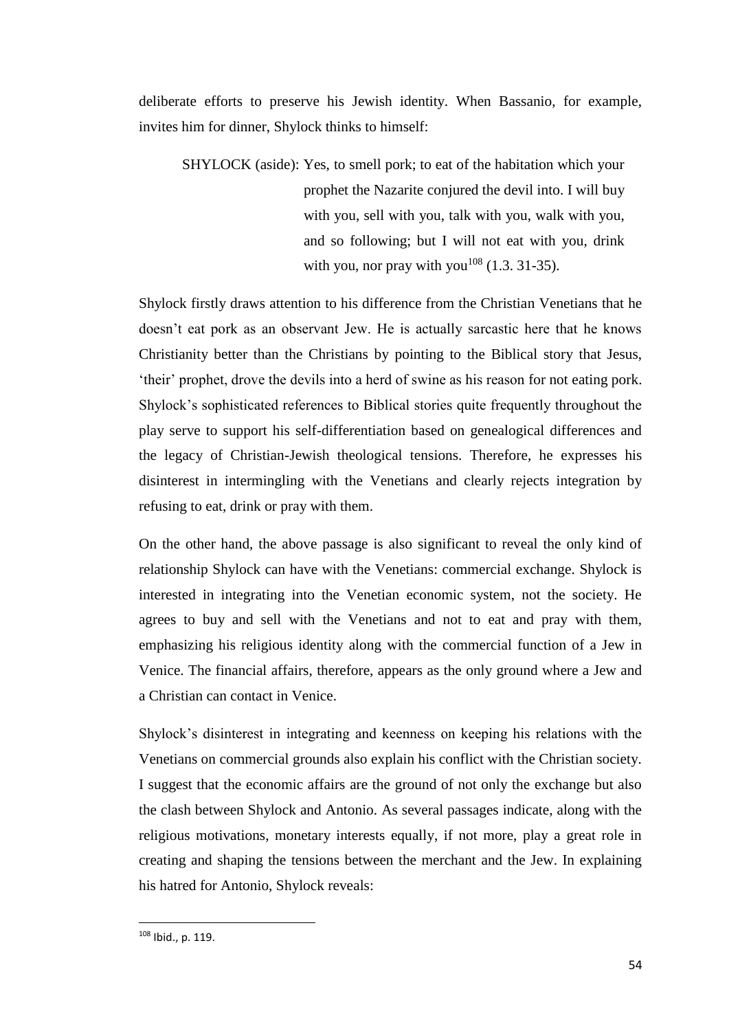deliberate efforts to preserve his Jewish identity. When Bassanio, for example, invites him for dinner, Shylock thinks to himself:

SHYLOCK (aside): Yes, to smell pork; to eat of the habitation which your prophet the Nazarite conjured the devil into. I will buy with you, sell with you, talk with you, walk with you, and so following; but I will not eat with you, drink with you, nor pray with you<sup>108</sup> (1.3. 31-35).

Shylock firstly draws attention to his difference from the Christian Venetians that he doesn't eat pork as an observant Jew. He is actually sarcastic here that he knows Christianity better than the Christians by pointing to the Biblical story that Jesus, 'their' prophet, drove the devils into a herd of swine as his reason for not eating pork. Shylock's sophisticated references to Biblical stories quite frequently throughout the play serve to support his self-differentiation based on genealogical differences and the legacy of Christian-Jewish theological tensions. Therefore, he expresses his disinterest in intermingling with the Venetians and clearly rejects integration by refusing to eat, drink or pray with them.

On the other hand, the above passage is also significant to reveal the only kind of relationship Shylock can have with the Venetians: commercial exchange. Shylock is interested in integrating into the Venetian economic system, not the society. He agrees to buy and sell with the Venetians and not to eat and pray with them, emphasizing his religious identity along with the commercial function of a Jew in Venice. The financial affairs, therefore, appears as the only ground where a Jew and a Christian can contact in Venice.

Shylock's disinterest in integrating and keenness on keeping his relations with the Venetians on commercial grounds also explain his conflict with the Christian society. I suggest that the economic affairs are the ground of not only the exchange but also the clash between Shylock and Antonio. As several passages indicate, along with the religious motivations, monetary interests equally, if not more, play a great role in creating and shaping the tensions between the merchant and the Jew. In explaining his hatred for Antonio, Shylock reveals:

<sup>108</sup> Ibid., p. 119.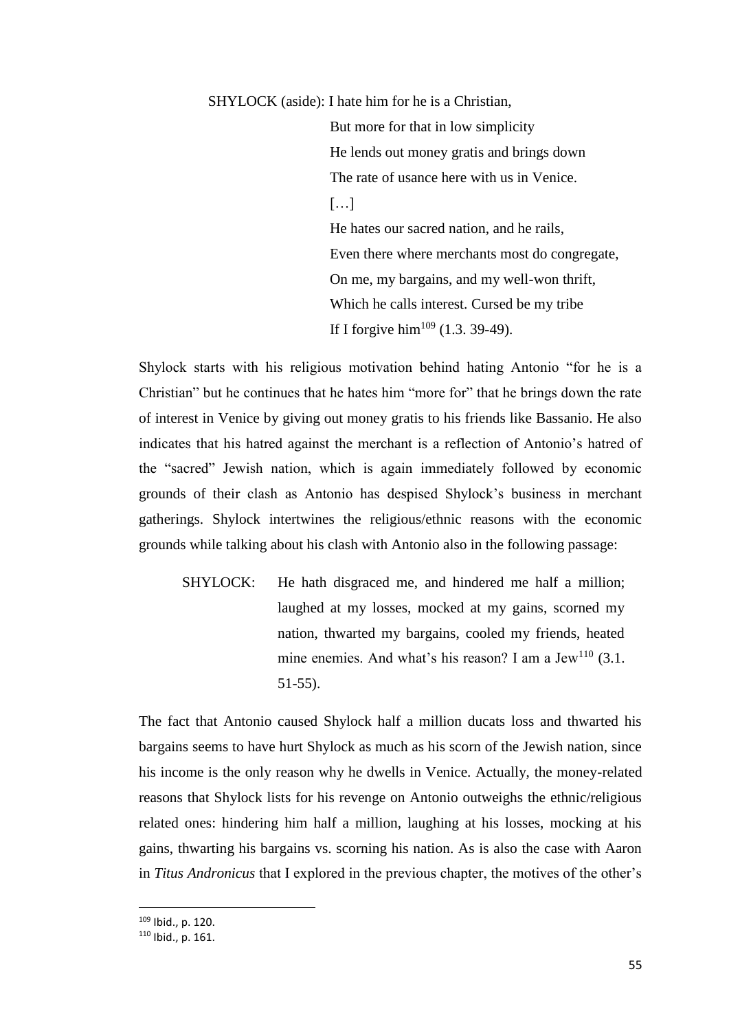SHYLOCK (aside): I hate him for he is a Christian,

But more for that in low simplicity He lends out money gratis and brings down The rate of usance here with us in Venice.  $[...]$ He hates our sacred nation, and he rails, Even there where merchants most do congregate, On me, my bargains, and my well-won thrift, Which he calls interest. Cursed be my tribe If I forgive him<sup>109</sup> (1.3. 39-49).

Shylock starts with his religious motivation behind hating Antonio "for he is a Christian" but he continues that he hates him "more for" that he brings down the rate of interest in Venice by giving out money gratis to his friends like Bassanio. He also indicates that his hatred against the merchant is a reflection of Antonio's hatred of the "sacred" Jewish nation, which is again immediately followed by economic grounds of their clash as Antonio has despised Shylock's business in merchant gatherings. Shylock intertwines the religious/ethnic reasons with the economic grounds while talking about his clash with Antonio also in the following passage:

SHYLOCK: He hath disgraced me, and hindered me half a million; laughed at my losses, mocked at my gains, scorned my nation, thwarted my bargains, cooled my friends, heated mine enemies. And what's his reason? I am a Jew<sup>110</sup> (3.1.) 51-55).

The fact that Antonio caused Shylock half a million ducats loss and thwarted his bargains seems to have hurt Shylock as much as his scorn of the Jewish nation, since his income is the only reason why he dwells in Venice. Actually, the money-related reasons that Shylock lists for his revenge on Antonio outweighs the ethnic/religious related ones: hindering him half a million, laughing at his losses, mocking at his gains, thwarting his bargains vs. scorning his nation. As is also the case with Aaron in *Titus Andronicus* that I explored in the previous chapter, the motives of the other's

<sup>109</sup> Ibid., p. 120.

<sup>110</sup> Ibid., p. 161.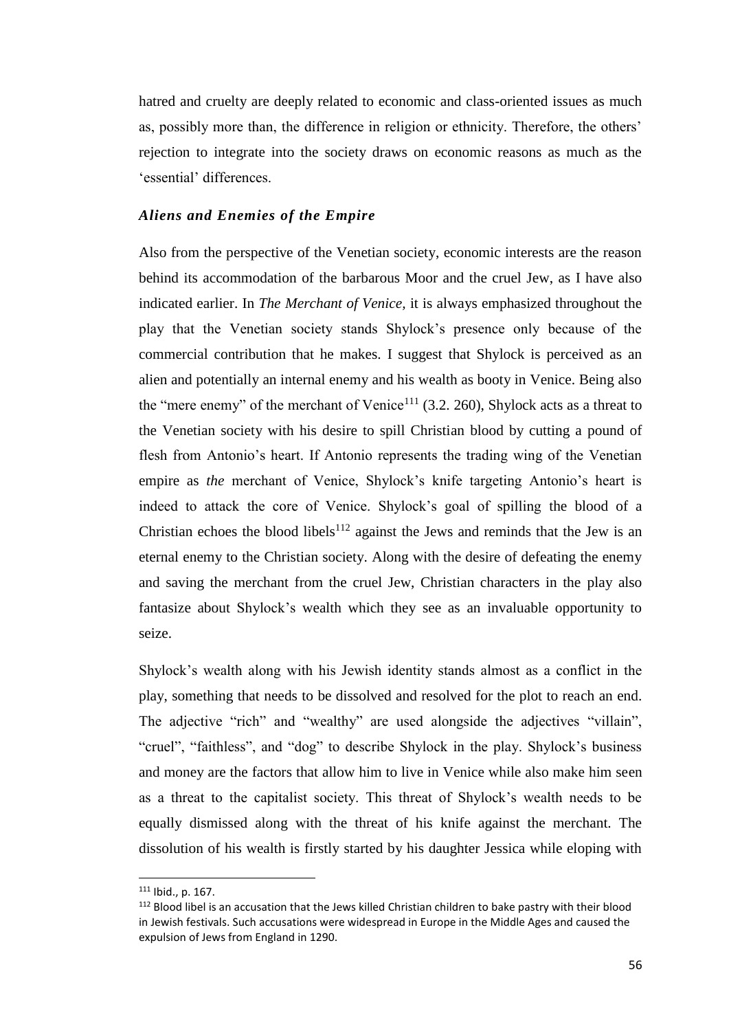hatred and cruelty are deeply related to economic and class-oriented issues as much as, possibly more than, the difference in religion or ethnicity. Therefore, the others' rejection to integrate into the society draws on economic reasons as much as the 'essential' differences.

### *Aliens and Enemies of the Empire*

Also from the perspective of the Venetian society, economic interests are the reason behind its accommodation of the barbarous Moor and the cruel Jew, as I have also indicated earlier. In *The Merchant of Venice,* it is always emphasized throughout the play that the Venetian society stands Shylock's presence only because of the commercial contribution that he makes. I suggest that Shylock is perceived as an alien and potentially an internal enemy and his wealth as booty in Venice. Being also the "mere enemy" of the merchant of Venice<sup>111</sup> (3.2. 260), Shylock acts as a threat to the Venetian society with his desire to spill Christian blood by cutting a pound of flesh from Antonio's heart. If Antonio represents the trading wing of the Venetian empire as *the* merchant of Venice, Shylock's knife targeting Antonio's heart is indeed to attack the core of Venice. Shylock's goal of spilling the blood of a Christian echoes the blood libels<sup>112</sup> against the Jews and reminds that the Jew is an eternal enemy to the Christian society. Along with the desire of defeating the enemy and saving the merchant from the cruel Jew, Christian characters in the play also fantasize about Shylock's wealth which they see as an invaluable opportunity to seize.

Shylock's wealth along with his Jewish identity stands almost as a conflict in the play, something that needs to be dissolved and resolved for the plot to reach an end. The adjective "rich" and "wealthy" are used alongside the adjectives "villain", "cruel", "faithless", and "dog" to describe Shylock in the play. Shylock's business and money are the factors that allow him to live in Venice while also make him seen as a threat to the capitalist society. This threat of Shylock's wealth needs to be equally dismissed along with the threat of his knife against the merchant. The dissolution of his wealth is firstly started by his daughter Jessica while eloping with

 $\overline{a}$ 

<sup>111</sup> Ibid., p. 167.

<sup>112</sup> Blood libel is an accusation that the Jews killed Christian children to bake pastry with their blood in Jewish festivals. Such accusations were widespread in Europe in the Middle Ages and caused the expulsion of Jews from England in 1290.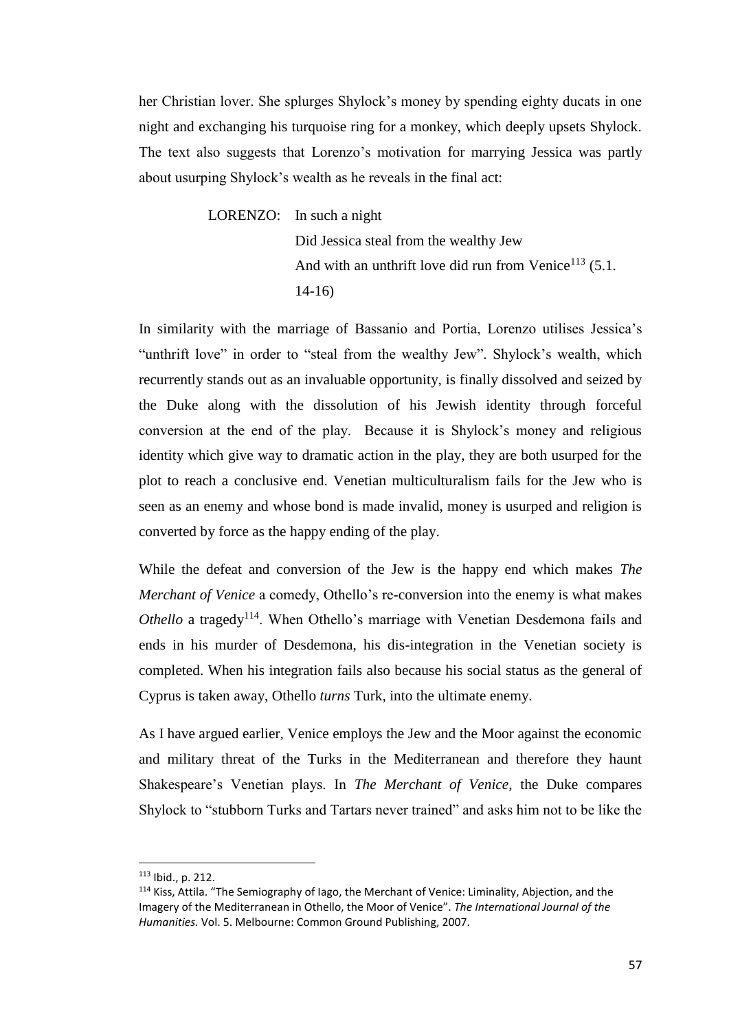her Christian lover. She splurges Shylock's money by spending eighty ducats in one night and exchanging his turquoise ring for a monkey, which deeply upsets Shylock. The text also suggests that Lorenzo's motivation for marrying Jessica was partly about usurping Shylock's wealth as he reveals in the final act:

> LORENZO: In such a night Did Jessica steal from the wealthy Jew And with an unthrift love did run from Venice<sup>113</sup> (5.1.) 14-16)

In similarity with the marriage of Bassanio and Portia, Lorenzo utilises Jessica's "unthrift love" in order to "steal from the wealthy Jew". Shylock's wealth, which recurrently stands out as an invaluable opportunity, is finally dissolved and seized by the Duke along with the dissolution of his Jewish identity through forceful conversion at the end of the play. Because it is Shylock's money and religious identity which give way to dramatic action in the play, they are both usurped for the plot to reach a conclusive end. Venetian multiculturalism fails for the Jew who is seen as an enemy and whose bond is made invalid, money is usurped and religion is converted by force as the happy ending of the play.

While the defeat and conversion of the Jew is the happy end which makes *The Merchant of Venice* a comedy, Othello's re-conversion into the enemy is what makes *Othello* a tragedy<sup>114</sup>. When Othello's marriage with Venetian Desdemona fails and ends in his murder of Desdemona, his dis-integration in the Venetian society is completed. When his integration fails also because his social status as the general of Cyprus is taken away, Othello *turns* Turk, into the ultimate enemy.

As I have argued earlier, Venice employs the Jew and the Moor against the economic and military threat of the Turks in the Mediterranean and therefore they haunt Shakespeare's Venetian plays. In *The Merchant of Venice,* the Duke compares Shylock to "stubborn Turks and Tartars never trained" and asks him not to be like the

<sup>113</sup> Ibid., p. 212.

<sup>114</sup> Kiss, Attila. "The Semiography of Iago, the Merchant of Venice: Liminality, Abjection, and the Imagery of the Mediterranean in Othello, the Moor of Venice". *The International Journal of the Humanities.* Vol. 5. Melbourne: Common Ground Publishing, 2007.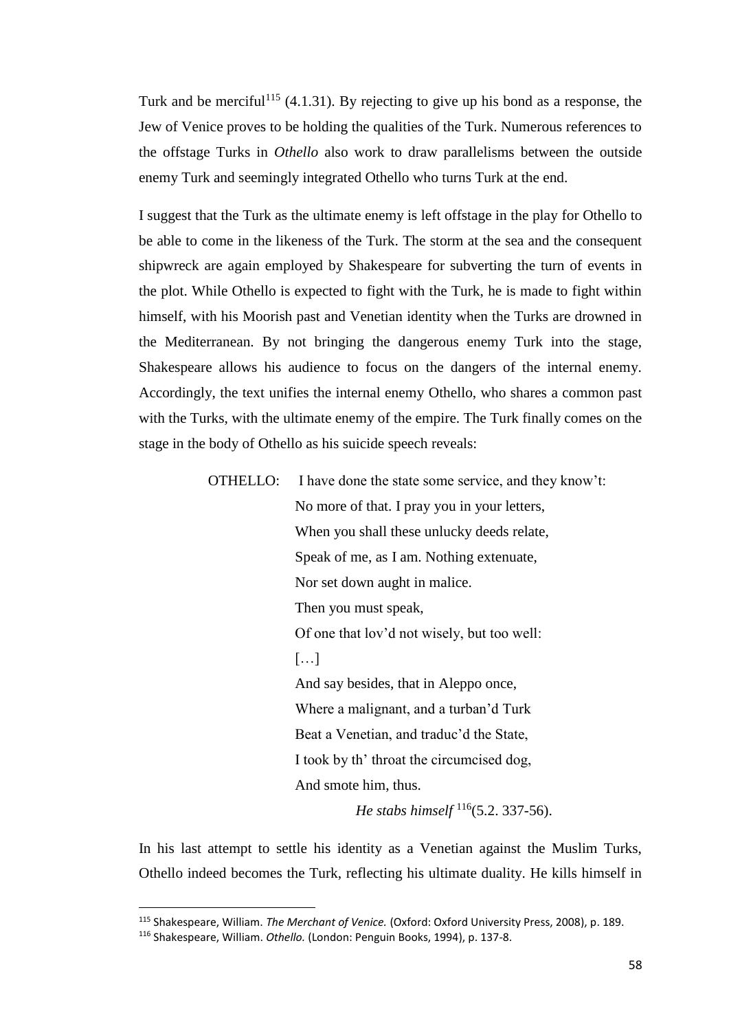Turk and be merciful<sup>115</sup> (4.1.31). By rejecting to give up his bond as a response, the Jew of Venice proves to be holding the qualities of the Turk. Numerous references to the offstage Turks in *Othello* also work to draw parallelisms between the outside enemy Turk and seemingly integrated Othello who turns Turk at the end.

I suggest that the Turk as the ultimate enemy is left offstage in the play for Othello to be able to come in the likeness of the Turk. The storm at the sea and the consequent shipwreck are again employed by Shakespeare for subverting the turn of events in the plot. While Othello is expected to fight with the Turk, he is made to fight within himself, with his Moorish past and Venetian identity when the Turks are drowned in the Mediterranean. By not bringing the dangerous enemy Turk into the stage, Shakespeare allows his audience to focus on the dangers of the internal enemy. Accordingly, the text unifies the internal enemy Othello, who shares a common past with the Turks, with the ultimate enemy of the empire. The Turk finally comes on the stage in the body of Othello as his suicide speech reveals:

OTHELLO: I have done the state some service, and they know't:

No more of that. I pray you in your letters, When you shall these unlucky deeds relate, Speak of me, as I am. Nothing extenuate, Nor set down aught in malice. Then you must speak, Of one that lov'd not wisely, but too well: […] And say besides, that in Aleppo once, Where a malignant, and a turban'd Turk Beat a Venetian, and traduc'd the State, I took by th' throat the circumcised dog, And smote him, thus.

*He stabs himself* <sup>116</sup>(5.2. 337-56).

In his last attempt to settle his identity as a Venetian against the Muslim Turks, Othello indeed becomes the Turk, reflecting his ultimate duality. He kills himself in

<sup>115</sup> Shakespeare, William. *The Merchant of Venice.* (Oxford: Oxford University Press, 2008), p. 189.

<sup>116</sup> Shakespeare, William. *Othello.* (London: Penguin Books, 1994), p. 137-8.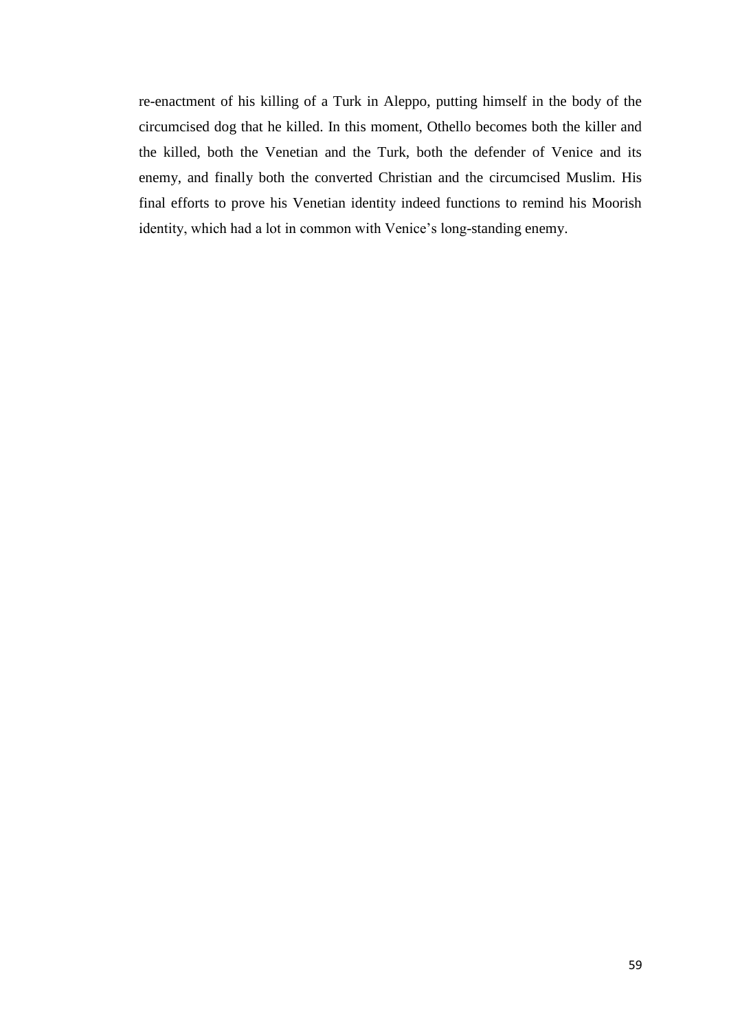re-enactment of his killing of a Turk in Aleppo, putting himself in the body of the circumcised dog that he killed. In this moment, Othello becomes both the killer and the killed, both the Venetian and the Turk, both the defender of Venice and its enemy, and finally both the converted Christian and the circumcised Muslim. His final efforts to prove his Venetian identity indeed functions to remind his Moorish identity, which had a lot in common with Venice's long-standing enemy.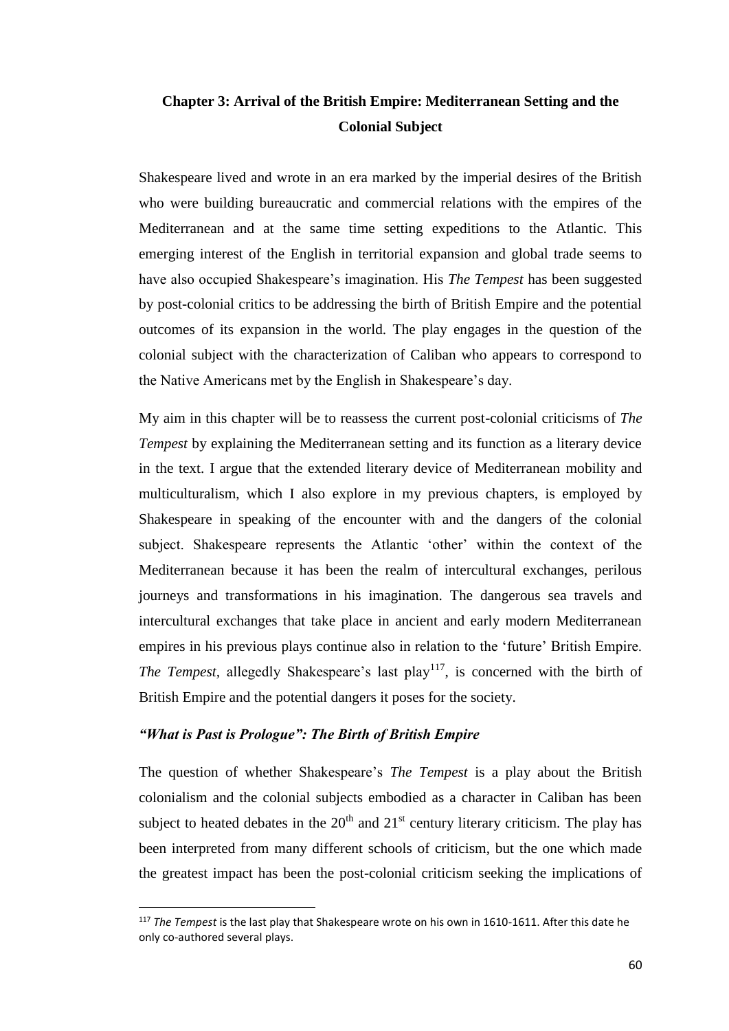# **Chapter 3: Arrival of the British Empire: Mediterranean Setting and the Colonial Subject**

Shakespeare lived and wrote in an era marked by the imperial desires of the British who were building bureaucratic and commercial relations with the empires of the Mediterranean and at the same time setting expeditions to the Atlantic. This emerging interest of the English in territorial expansion and global trade seems to have also occupied Shakespeare's imagination. His *The Tempest* has been suggested by post-colonial critics to be addressing the birth of British Empire and the potential outcomes of its expansion in the world. The play engages in the question of the colonial subject with the characterization of Caliban who appears to correspond to the Native Americans met by the English in Shakespeare's day.

My aim in this chapter will be to reassess the current post-colonial criticisms of *The Tempest* by explaining the Mediterranean setting and its function as a literary device in the text. I argue that the extended literary device of Mediterranean mobility and multiculturalism, which I also explore in my previous chapters, is employed by Shakespeare in speaking of the encounter with and the dangers of the colonial subject. Shakespeare represents the Atlantic 'other' within the context of the Mediterranean because it has been the realm of intercultural exchanges, perilous journeys and transformations in his imagination. The dangerous sea travels and intercultural exchanges that take place in ancient and early modern Mediterranean empires in his previous plays continue also in relation to the 'future' British Empire. *The Tempest, allegedly Shakespeare's last play*<sup>117</sup>, is concerned with the birth of British Empire and the potential dangers it poses for the society.

## *"What is Past is Prologue": The Birth of British Empire*

 $\overline{\phantom{a}}$ 

The question of whether Shakespeare's *The Tempest* is a play about the British colonialism and the colonial subjects embodied as a character in Caliban has been subject to heated debates in the  $20<sup>th</sup>$  and  $21<sup>st</sup>$  century literary criticism. The play has been interpreted from many different schools of criticism, but the one which made the greatest impact has been the post-colonial criticism seeking the implications of

<sup>117</sup> *The Tempest* is the last play that Shakespeare wrote on his own in 1610-1611. After this date he only co-authored several plays.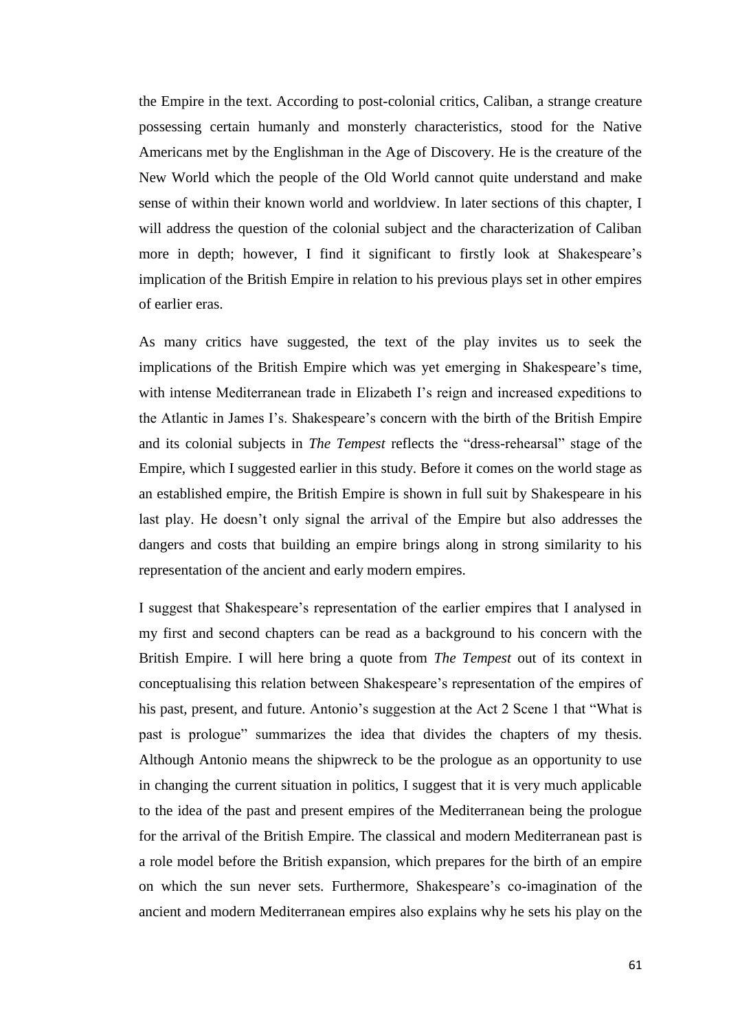the Empire in the text. According to post-colonial critics, Caliban, a strange creature possessing certain humanly and monsterly characteristics, stood for the Native Americans met by the Englishman in the Age of Discovery. He is the creature of the New World which the people of the Old World cannot quite understand and make sense of within their known world and worldview. In later sections of this chapter, I will address the question of the colonial subject and the characterization of Caliban more in depth; however, I find it significant to firstly look at Shakespeare's implication of the British Empire in relation to his previous plays set in other empires of earlier eras.

As many critics have suggested, the text of the play invites us to seek the implications of the British Empire which was yet emerging in Shakespeare's time, with intense Mediterranean trade in Elizabeth I's reign and increased expeditions to the Atlantic in James I's. Shakespeare's concern with the birth of the British Empire and its colonial subjects in *The Tempest* reflects the "dress-rehearsal" stage of the Empire, which I suggested earlier in this study. Before it comes on the world stage as an established empire, the British Empire is shown in full suit by Shakespeare in his last play. He doesn't only signal the arrival of the Empire but also addresses the dangers and costs that building an empire brings along in strong similarity to his representation of the ancient and early modern empires.

I suggest that Shakespeare's representation of the earlier empires that I analysed in my first and second chapters can be read as a background to his concern with the British Empire. I will here bring a quote from *The Tempest* out of its context in conceptualising this relation between Shakespeare's representation of the empires of his past, present, and future. Antonio's suggestion at the Act 2 Scene 1 that "What is past is prologue" summarizes the idea that divides the chapters of my thesis. Although Antonio means the shipwreck to be the prologue as an opportunity to use in changing the current situation in politics, I suggest that it is very much applicable to the idea of the past and present empires of the Mediterranean being the prologue for the arrival of the British Empire. The classical and modern Mediterranean past is a role model before the British expansion, which prepares for the birth of an empire on which the sun never sets. Furthermore, Shakespeare's co-imagination of the ancient and modern Mediterranean empires also explains why he sets his play on the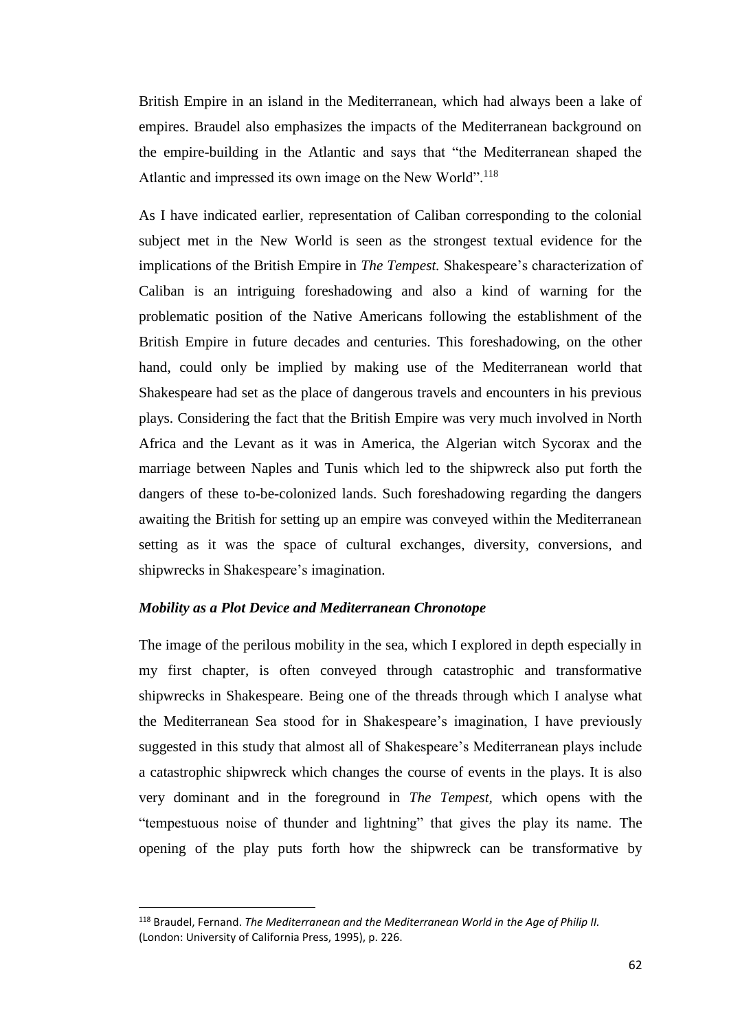British Empire in an island in the Mediterranean, which had always been a lake of empires. Braudel also emphasizes the impacts of the Mediterranean background on the empire-building in the Atlantic and says that "the Mediterranean shaped the Atlantic and impressed its own image on the New World".<sup>118</sup>

As I have indicated earlier, representation of Caliban corresponding to the colonial subject met in the New World is seen as the strongest textual evidence for the implications of the British Empire in *The Tempest.* Shakespeare's characterization of Caliban is an intriguing foreshadowing and also a kind of warning for the problematic position of the Native Americans following the establishment of the British Empire in future decades and centuries. This foreshadowing, on the other hand, could only be implied by making use of the Mediterranean world that Shakespeare had set as the place of dangerous travels and encounters in his previous plays. Considering the fact that the British Empire was very much involved in North Africa and the Levant as it was in America, the Algerian witch Sycorax and the marriage between Naples and Tunis which led to the shipwreck also put forth the dangers of these to-be-colonized lands. Such foreshadowing regarding the dangers awaiting the British for setting up an empire was conveyed within the Mediterranean setting as it was the space of cultural exchanges, diversity, conversions, and shipwrecks in Shakespeare's imagination.

#### *Mobility as a Plot Device and Mediterranean Chronotope*

 $\overline{\phantom{a}}$ 

The image of the perilous mobility in the sea, which I explored in depth especially in my first chapter, is often conveyed through catastrophic and transformative shipwrecks in Shakespeare. Being one of the threads through which I analyse what the Mediterranean Sea stood for in Shakespeare's imagination, I have previously suggested in this study that almost all of Shakespeare's Mediterranean plays include a catastrophic shipwreck which changes the course of events in the plays. It is also very dominant and in the foreground in *The Tempest,* which opens with the "tempestuous noise of thunder and lightning" that gives the play its name. The opening of the play puts forth how the shipwreck can be transformative by

<sup>118</sup> Braudel, Fernand. *The Mediterranean and the Mediterranean World in the Age of Philip II.*  (London: University of California Press, 1995), p. 226.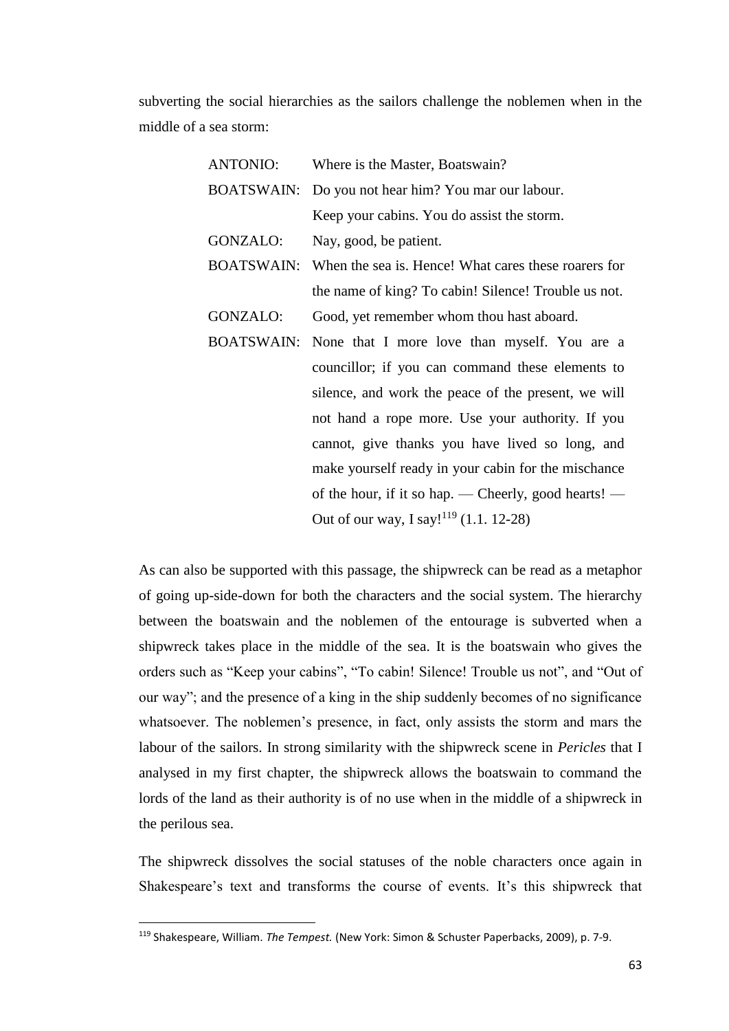subverting the social hierarchies as the sailors challenge the noblemen when in the middle of a sea storm:

| <b>ANTONIO:</b>   | Where is the Master, Boatswain?                      |
|-------------------|------------------------------------------------------|
| <b>BOATSWAIN:</b> | Do you not hear him? You mar our labour.             |
|                   | Keep your cabins. You do assist the storm.           |
| GONZALO:          | Nay, good, be patient.                               |
| <b>BOATSWAIN:</b> | When the sea is. Hence! What cares these roarers for |
|                   | the name of king? To cabin! Silence! Trouble us not. |
| GONZALO:          | Good, yet remember whom thou hast aboard.            |
| <b>BOATSWAIN:</b> | None that I more love than myself. You are a         |
|                   | councillor; if you can command these elements to     |
|                   | silence, and work the peace of the present, we will  |
|                   | not hand a rope more. Use your authority. If you     |
|                   | cannot, give thanks you have lived so long, and      |
|                   | make yourself ready in your cabin for the mischance  |
|                   | of the hour, if it so hap. — Cheerly, good hearts! — |
|                   | Out of our way, I say! <sup>119</sup> (1.1. 12-28)   |

As can also be supported with this passage, the shipwreck can be read as a metaphor of going up-side-down for both the characters and the social system. The hierarchy between the boatswain and the noblemen of the entourage is subverted when a shipwreck takes place in the middle of the sea. It is the boatswain who gives the orders such as "Keep your cabins", "To cabin! Silence! Trouble us not", and "Out of our way"; and the presence of a king in the ship suddenly becomes of no significance whatsoever. The noblemen's presence, in fact, only assists the storm and mars the labour of the sailors. In strong similarity with the shipwreck scene in *Pericles* that I analysed in my first chapter, the shipwreck allows the boatswain to command the lords of the land as their authority is of no use when in the middle of a shipwreck in the perilous sea.

The shipwreck dissolves the social statuses of the noble characters once again in Shakespeare's text and transforms the course of events. It's this shipwreck that

<sup>119</sup> Shakespeare, William. *The Tempest.* (New York: Simon & Schuster Paperbacks, 2009), p. 7-9.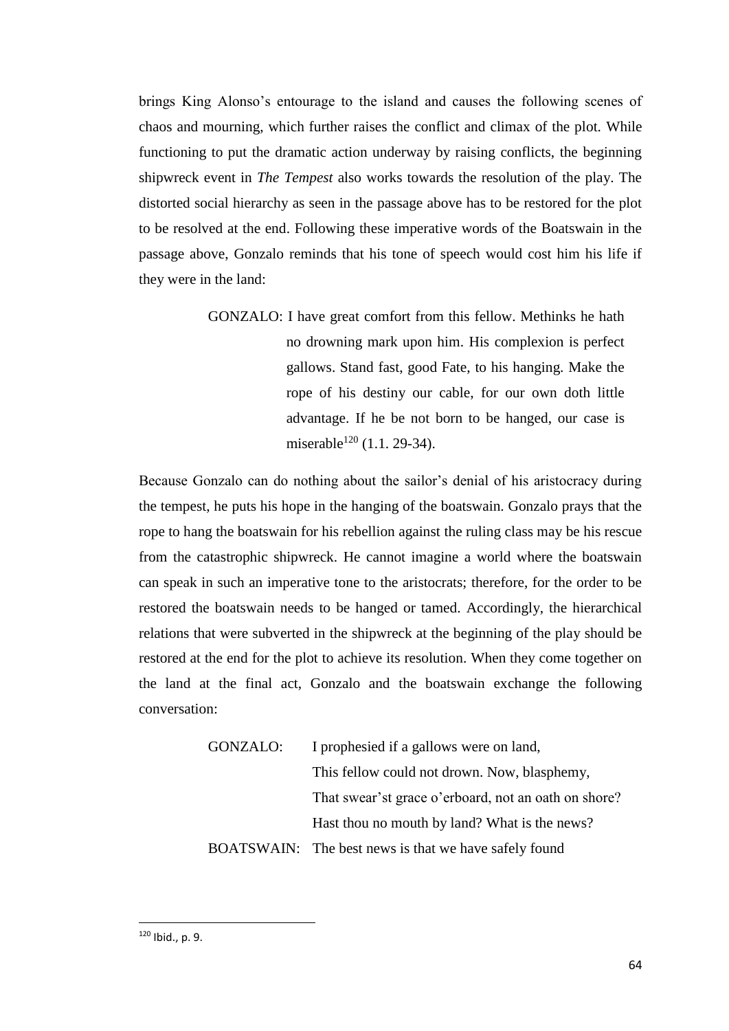brings King Alonso's entourage to the island and causes the following scenes of chaos and mourning, which further raises the conflict and climax of the plot. While functioning to put the dramatic action underway by raising conflicts, the beginning shipwreck event in *The Tempest* also works towards the resolution of the play. The distorted social hierarchy as seen in the passage above has to be restored for the plot to be resolved at the end. Following these imperative words of the Boatswain in the passage above, Gonzalo reminds that his tone of speech would cost him his life if they were in the land:

> GONZALO: I have great comfort from this fellow. Methinks he hath no drowning mark upon him. His complexion is perfect gallows. Stand fast, good Fate, to his hanging. Make the rope of his destiny our cable, for our own doth little advantage. If he be not born to be hanged, our case is miserable<sup>120</sup> (1.1. 29-34).

Because Gonzalo can do nothing about the sailor's denial of his aristocracy during the tempest, he puts his hope in the hanging of the boatswain. Gonzalo prays that the rope to hang the boatswain for his rebellion against the ruling class may be his rescue from the catastrophic shipwreck. He cannot imagine a world where the boatswain can speak in such an imperative tone to the aristocrats; therefore, for the order to be restored the boatswain needs to be hanged or tamed. Accordingly, the hierarchical relations that were subverted in the shipwreck at the beginning of the play should be restored at the end for the plot to achieve its resolution. When they come together on the land at the final act, Gonzalo and the boatswain exchange the following conversation:

> GONZALO: I prophesied if a gallows were on land, This fellow could not drown. Now, blasphemy, That swear'st grace o'erboard, not an oath on shore? Hast thou no mouth by land? What is the news? BOATSWAIN: The best news is that we have safely found

<sup>120</sup> Ibid., p. 9.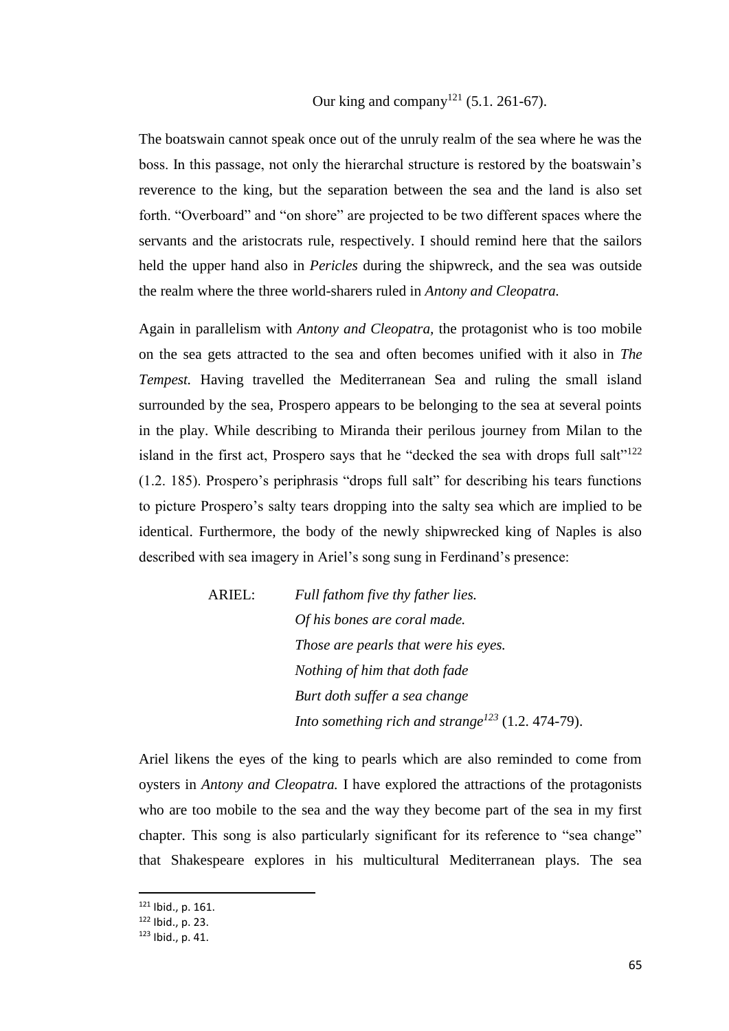Our king and company<sup>121</sup> (5.1, 261-67).

The boatswain cannot speak once out of the unruly realm of the sea where he was the boss. In this passage, not only the hierarchal structure is restored by the boatswain's reverence to the king, but the separation between the sea and the land is also set forth. "Overboard" and "on shore" are projected to be two different spaces where the servants and the aristocrats rule, respectively. I should remind here that the sailors held the upper hand also in *Pericles* during the shipwreck, and the sea was outside the realm where the three world-sharers ruled in *Antony and Cleopatra.* 

Again in parallelism with *Antony and Cleopatra,* the protagonist who is too mobile on the sea gets attracted to the sea and often becomes unified with it also in *The Tempest.* Having travelled the Mediterranean Sea and ruling the small island surrounded by the sea, Prospero appears to be belonging to the sea at several points in the play. While describing to Miranda their perilous journey from Milan to the island in the first act, Prospero says that he "decked the sea with drops full salt"<sup>122</sup> (1.2. 185). Prospero's periphrasis "drops full salt" for describing his tears functions to picture Prospero's salty tears dropping into the salty sea which are implied to be identical. Furthermore, the body of the newly shipwrecked king of Naples is also described with sea imagery in Ariel's song sung in Ferdinand's presence:

> ARIEL: *Full fathom five thy father lies. Of his bones are coral made. Those are pearls that were his eyes. Nothing of him that doth fade Burt doth suffer a sea change Into something rich and strange<sup>123</sup>* (1.2. 474-79).

Ariel likens the eyes of the king to pearls which are also reminded to come from oysters in *Antony and Cleopatra.* I have explored the attractions of the protagonists who are too mobile to the sea and the way they become part of the sea in my first chapter. This song is also particularly significant for its reference to "sea change" that Shakespeare explores in his multicultural Mediterranean plays. The sea

<sup>121</sup> Ibid., p. 161.

<sup>122</sup> Ibid., p. 23.

<sup>123</sup> Ibid., p. 41.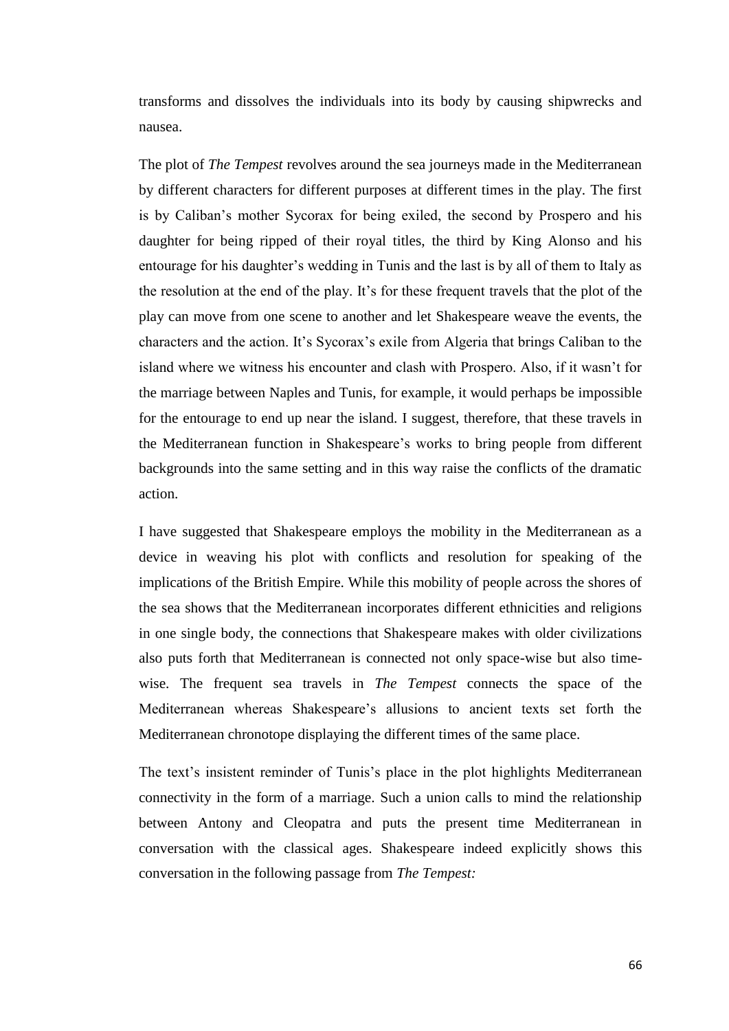transforms and dissolves the individuals into its body by causing shipwrecks and nausea.

The plot of *The Tempest* revolves around the sea journeys made in the Mediterranean by different characters for different purposes at different times in the play. The first is by Caliban's mother Sycorax for being exiled, the second by Prospero and his daughter for being ripped of their royal titles, the third by King Alonso and his entourage for his daughter's wedding in Tunis and the last is by all of them to Italy as the resolution at the end of the play. It's for these frequent travels that the plot of the play can move from one scene to another and let Shakespeare weave the events, the characters and the action. It's Sycorax's exile from Algeria that brings Caliban to the island where we witness his encounter and clash with Prospero. Also, if it wasn't for the marriage between Naples and Tunis, for example, it would perhaps be impossible for the entourage to end up near the island. I suggest, therefore, that these travels in the Mediterranean function in Shakespeare's works to bring people from different backgrounds into the same setting and in this way raise the conflicts of the dramatic action.

I have suggested that Shakespeare employs the mobility in the Mediterranean as a device in weaving his plot with conflicts and resolution for speaking of the implications of the British Empire. While this mobility of people across the shores of the sea shows that the Mediterranean incorporates different ethnicities and religions in one single body, the connections that Shakespeare makes with older civilizations also puts forth that Mediterranean is connected not only space-wise but also timewise. The frequent sea travels in *The Tempest* connects the space of the Mediterranean whereas Shakespeare's allusions to ancient texts set forth the Mediterranean chronotope displaying the different times of the same place.

The text's insistent reminder of Tunis's place in the plot highlights Mediterranean connectivity in the form of a marriage. Such a union calls to mind the relationship between Antony and Cleopatra and puts the present time Mediterranean in conversation with the classical ages. Shakespeare indeed explicitly shows this conversation in the following passage from *The Tempest:*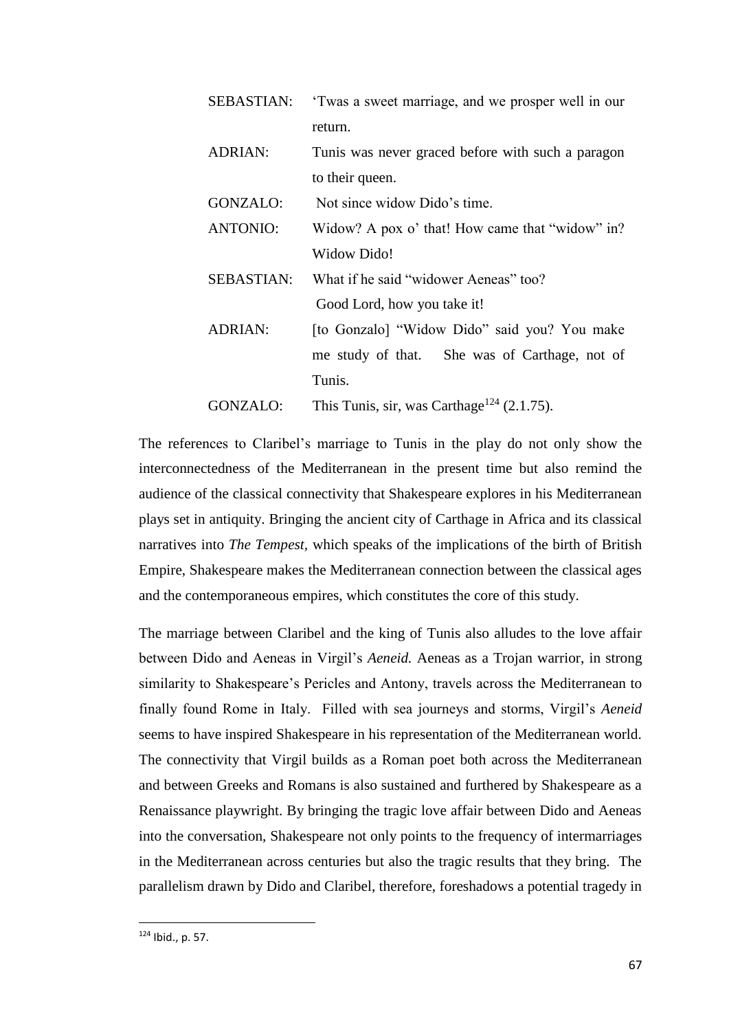| <b>SEBASTIAN:</b> | 'Twas a sweet marriage, and we prosper well in our     |
|-------------------|--------------------------------------------------------|
|                   | return.                                                |
| <b>ADRIAN:</b>    | Tunis was never graced before with such a paragon      |
|                   | to their queen.                                        |
| GONZALO:          | Not since widow Dido's time.                           |
| <b>ANTONIO:</b>   | Widow? A pox o' that! How came that "widow" in?        |
|                   | Widow Dido!                                            |
| <b>SEBASTIAN:</b> | What if he said "widower Aeneas" too?                  |
|                   | Good Lord, how you take it!                            |
| <b>ADRIAN:</b>    | [to Gonzalo] "Widow Dido" said you? You make           |
|                   | me study of that. She was of Carthage, not of          |
|                   | Tunis.                                                 |
| GONZALO:          | This Tunis, sir, was Carthage <sup>124</sup> (2.1.75). |

The references to Claribel's marriage to Tunis in the play do not only show the interconnectedness of the Mediterranean in the present time but also remind the audience of the classical connectivity that Shakespeare explores in his Mediterranean plays set in antiquity. Bringing the ancient city of Carthage in Africa and its classical narratives into *The Tempest,* which speaks of the implications of the birth of British Empire, Shakespeare makes the Mediterranean connection between the classical ages and the contemporaneous empires, which constitutes the core of this study.

The marriage between Claribel and the king of Tunis also alludes to the love affair between Dido and Aeneas in Virgil's *Aeneid.* Aeneas as a Trojan warrior, in strong similarity to Shakespeare's Pericles and Antony, travels across the Mediterranean to finally found Rome in Italy. Filled with sea journeys and storms, Virgil's *Aeneid*  seems to have inspired Shakespeare in his representation of the Mediterranean world. The connectivity that Virgil builds as a Roman poet both across the Mediterranean and between Greeks and Romans is also sustained and furthered by Shakespeare as a Renaissance playwright. By bringing the tragic love affair between Dido and Aeneas into the conversation, Shakespeare not only points to the frequency of intermarriages in the Mediterranean across centuries but also the tragic results that they bring. The parallelism drawn by Dido and Claribel, therefore, foreshadows a potential tragedy in

<sup>124</sup> Ibid., p. 57.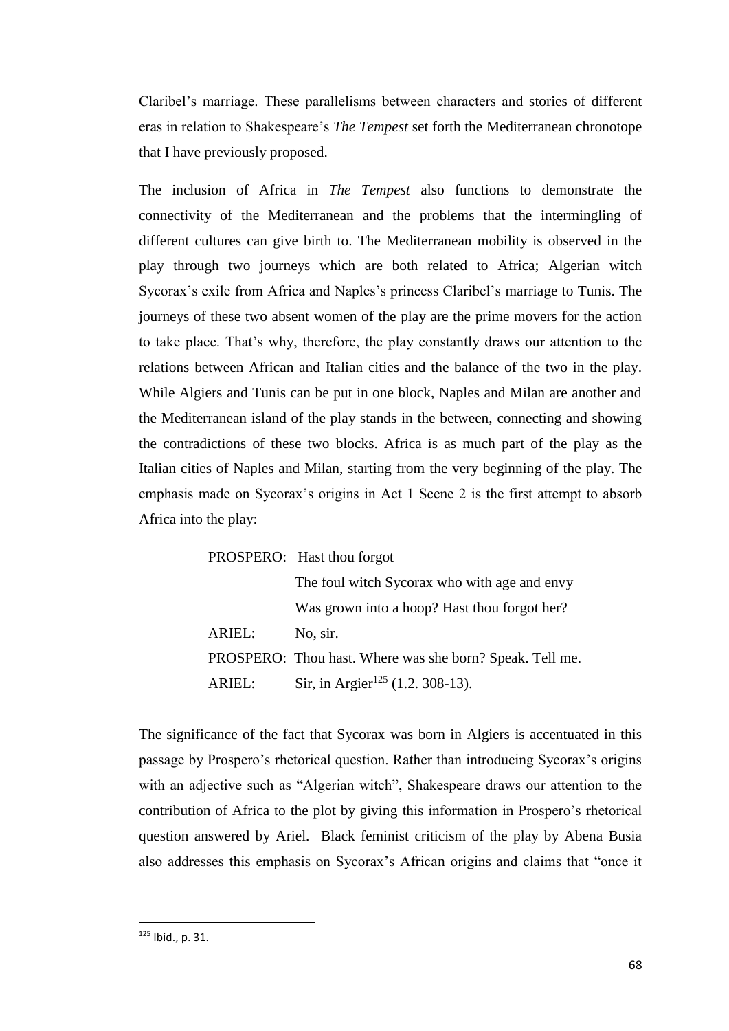Claribel's marriage. These parallelisms between characters and stories of different eras in relation to Shakespeare's *The Tempest* set forth the Mediterranean chronotope that I have previously proposed.

The inclusion of Africa in *The Tempest* also functions to demonstrate the connectivity of the Mediterranean and the problems that the intermingling of different cultures can give birth to. The Mediterranean mobility is observed in the play through two journeys which are both related to Africa; Algerian witch Sycorax's exile from Africa and Naples's princess Claribel's marriage to Tunis. The journeys of these two absent women of the play are the prime movers for the action to take place. That's why, therefore, the play constantly draws our attention to the relations between African and Italian cities and the balance of the two in the play. While Algiers and Tunis can be put in one block, Naples and Milan are another and the Mediterranean island of the play stands in the between, connecting and showing the contradictions of these two blocks. Africa is as much part of the play as the Italian cities of Naples and Milan, starting from the very beginning of the play. The emphasis made on Sycorax's origins in Act 1 Scene 2 is the first attempt to absorb Africa into the play:

|        | PROSPERO: Hast thou forgot                               |
|--------|----------------------------------------------------------|
|        | The foul witch Sycorax who with age and envy             |
|        | Was grown into a hoop? Hast thou forgot her?             |
| ARIEL: | No, sir.                                                 |
|        | PROSPERO: Thou hast. Where was she born? Speak. Tell me. |
| ARIEL: | Sir, in Argier <sup>125</sup> (1.2. 308-13).             |

The significance of the fact that Sycorax was born in Algiers is accentuated in this passage by Prospero's rhetorical question. Rather than introducing Sycorax's origins with an adjective such as "Algerian witch", Shakespeare draws our attention to the contribution of Africa to the plot by giving this information in Prospero's rhetorical question answered by Ariel. Black feminist criticism of the play by Abena Busia also addresses this emphasis on Sycorax's African origins and claims that "once it

<sup>125</sup> Ibid., p. 31.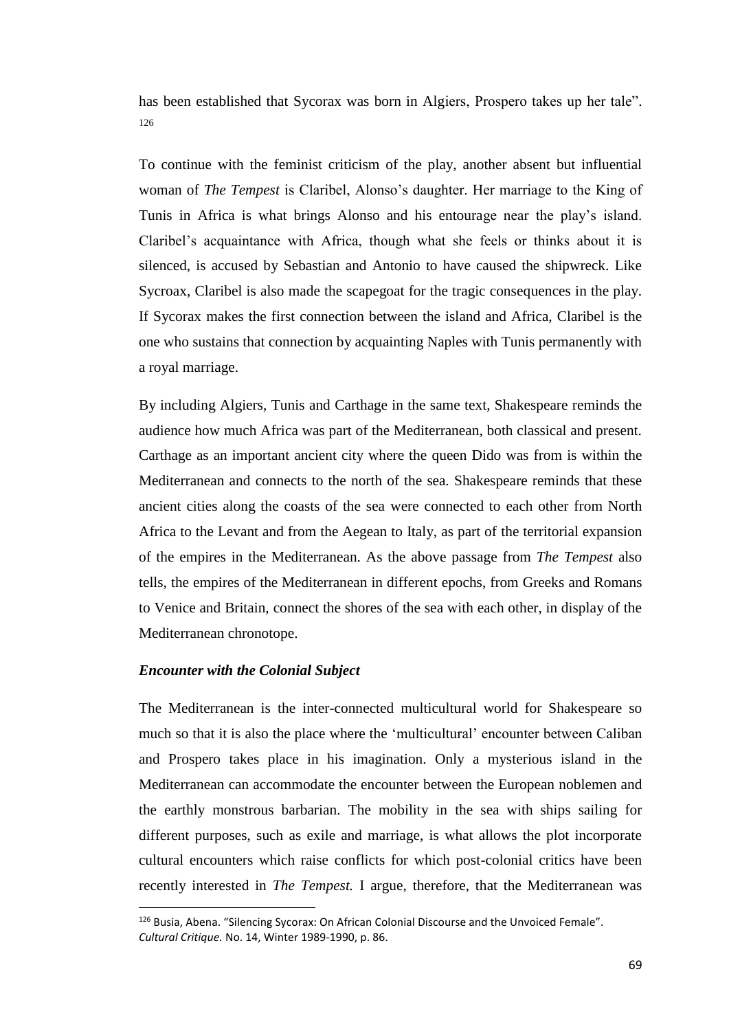has been established that Sycorax was born in Algiers, Prospero takes up her tale". 126

To continue with the feminist criticism of the play, another absent but influential woman of *The Tempest* is Claribel, Alonso's daughter. Her marriage to the King of Tunis in Africa is what brings Alonso and his entourage near the play's island. Claribel's acquaintance with Africa, though what she feels or thinks about it is silenced, is accused by Sebastian and Antonio to have caused the shipwreck. Like Sycroax, Claribel is also made the scapegoat for the tragic consequences in the play. If Sycorax makes the first connection between the island and Africa, Claribel is the one who sustains that connection by acquainting Naples with Tunis permanently with a royal marriage.

By including Algiers, Tunis and Carthage in the same text, Shakespeare reminds the audience how much Africa was part of the Mediterranean, both classical and present. Carthage as an important ancient city where the queen Dido was from is within the Mediterranean and connects to the north of the sea. Shakespeare reminds that these ancient cities along the coasts of the sea were connected to each other from North Africa to the Levant and from the Aegean to Italy, as part of the territorial expansion of the empires in the Mediterranean. As the above passage from *The Tempest* also tells, the empires of the Mediterranean in different epochs, from Greeks and Romans to Venice and Britain, connect the shores of the sea with each other, in display of the Mediterranean chronotope.

## *Encounter with the Colonial Subject*

 $\overline{\phantom{a}}$ 

The Mediterranean is the inter-connected multicultural world for Shakespeare so much so that it is also the place where the 'multicultural' encounter between Caliban and Prospero takes place in his imagination. Only a mysterious island in the Mediterranean can accommodate the encounter between the European noblemen and the earthly monstrous barbarian. The mobility in the sea with ships sailing for different purposes, such as exile and marriage, is what allows the plot incorporate cultural encounters which raise conflicts for which post-colonial critics have been recently interested in *The Tempest.* I argue, therefore, that the Mediterranean was

<sup>126</sup> Busia, Abena. "Silencing Sycorax: On African Colonial Discourse and the Unvoiced Female". *Cultural Critique.* No. 14, Winter 1989-1990, p. 86.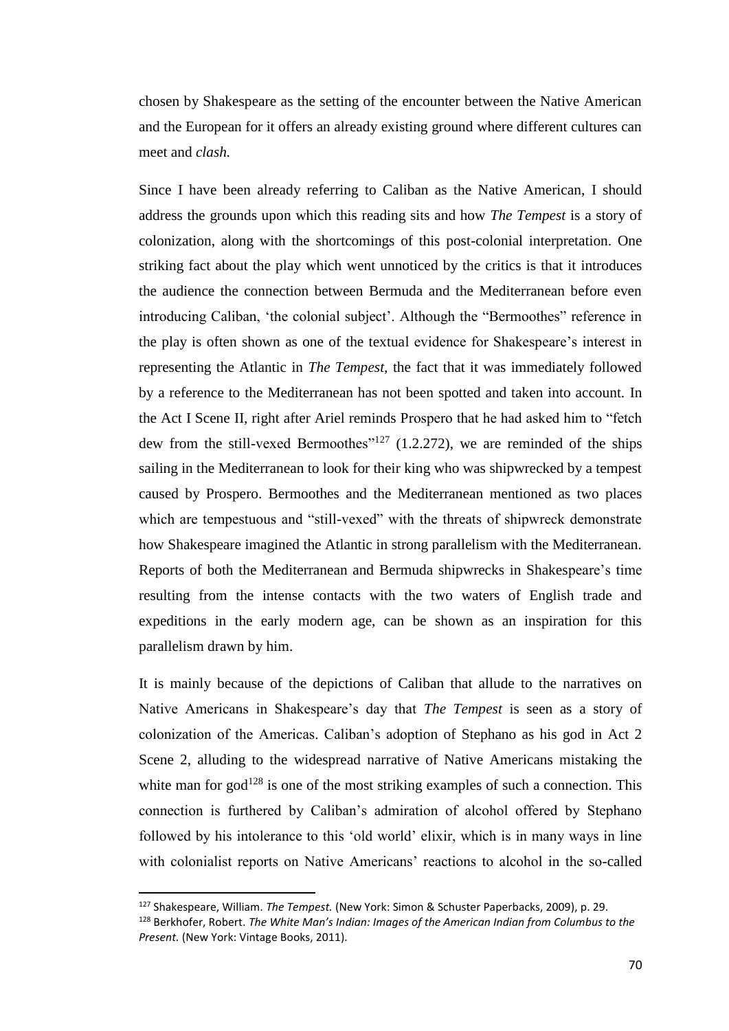chosen by Shakespeare as the setting of the encounter between the Native American and the European for it offers an already existing ground where different cultures can meet and *clash.* 

Since I have been already referring to Caliban as the Native American, I should address the grounds upon which this reading sits and how *The Tempest* is a story of colonization, along with the shortcomings of this post-colonial interpretation. One striking fact about the play which went unnoticed by the critics is that it introduces the audience the connection between Bermuda and the Mediterranean before even introducing Caliban, 'the colonial subject'. Although the "Bermoothes" reference in the play is often shown as one of the textual evidence for Shakespeare's interest in representing the Atlantic in *The Tempest,* the fact that it was immediately followed by a reference to the Mediterranean has not been spotted and taken into account. In the Act I Scene II, right after Ariel reminds Prospero that he had asked him to "fetch dew from the still-vexed Bermoothes"<sup>127</sup> (1.2.272), we are reminded of the ships sailing in the Mediterranean to look for their king who was shipwrecked by a tempest caused by Prospero. Bermoothes and the Mediterranean mentioned as two places which are tempestuous and "still-vexed" with the threats of shipwreck demonstrate how Shakespeare imagined the Atlantic in strong parallelism with the Mediterranean. Reports of both the Mediterranean and Bermuda shipwrecks in Shakespeare's time resulting from the intense contacts with the two waters of English trade and expeditions in the early modern age, can be shown as an inspiration for this parallelism drawn by him.

It is mainly because of the depictions of Caliban that allude to the narratives on Native Americans in Shakespeare's day that *The Tempest* is seen as a story of colonization of the Americas. Caliban's adoption of Stephano as his god in Act 2 Scene 2, alluding to the widespread narrative of Native Americans mistaking the white man for  $\gcd^{128}$  is one of the most striking examples of such a connection. This connection is furthered by Caliban's admiration of alcohol offered by Stephano followed by his intolerance to this 'old world' elixir, which is in many ways in line with colonialist reports on Native Americans' reactions to alcohol in the so-called

<sup>127</sup> Shakespeare, William. *The Tempest.* (New York: Simon & Schuster Paperbacks, 2009), p. 29.

<sup>128</sup> Berkhofer, Robert. *The White Man's Indian: Images of the American Indian from Columbus to the Present.* (New York: Vintage Books, 2011).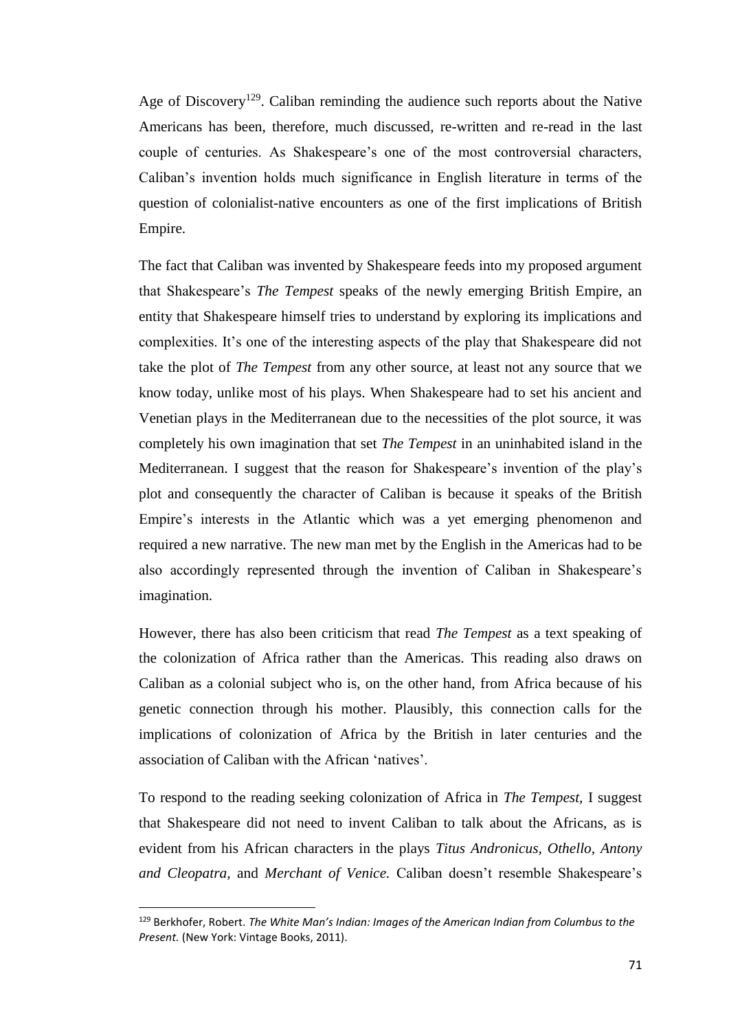Age of Discovery<sup>129</sup>. Caliban reminding the audience such reports about the Native Americans has been, therefore, much discussed, re-written and re-read in the last couple of centuries. As Shakespeare's one of the most controversial characters, Caliban's invention holds much significance in English literature in terms of the question of colonialist-native encounters as one of the first implications of British Empire.

The fact that Caliban was invented by Shakespeare feeds into my proposed argument that Shakespeare's *The Tempest* speaks of the newly emerging British Empire, an entity that Shakespeare himself tries to understand by exploring its implications and complexities. It's one of the interesting aspects of the play that Shakespeare did not take the plot of *The Tempest* from any other source, at least not any source that we know today, unlike most of his plays. When Shakespeare had to set his ancient and Venetian plays in the Mediterranean due to the necessities of the plot source, it was completely his own imagination that set *The Tempest* in an uninhabited island in the Mediterranean. I suggest that the reason for Shakespeare's invention of the play's plot and consequently the character of Caliban is because it speaks of the British Empire's interests in the Atlantic which was a yet emerging phenomenon and required a new narrative. The new man met by the English in the Americas had to be also accordingly represented through the invention of Caliban in Shakespeare's imagination.

However, there has also been criticism that read *The Tempest* as a text speaking of the colonization of Africa rather than the Americas. This reading also draws on Caliban as a colonial subject who is, on the other hand, from Africa because of his genetic connection through his mother. Plausibly, this connection calls for the implications of colonization of Africa by the British in later centuries and the association of Caliban with the African 'natives'.

To respond to the reading seeking colonization of Africa in *The Tempest,* I suggest that Shakespeare did not need to invent Caliban to talk about the Africans, as is evident from his African characters in the plays *Titus Andronicus, Othello, Antony and Cleopatra,* and *Merchant of Venice.* Caliban doesn't resemble Shakespeare's

<sup>129</sup> Berkhofer, Robert. *The White Man's Indian: Images of the American Indian from Columbus to the Present.* (New York: Vintage Books, 2011).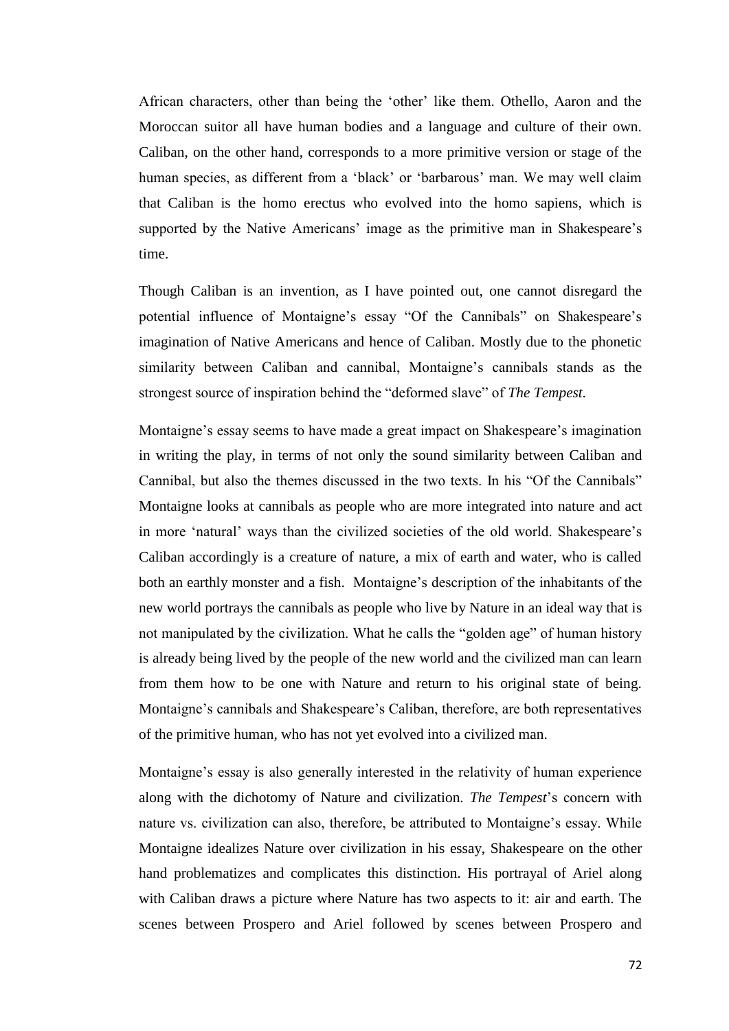African characters, other than being the 'other' like them. Othello, Aaron and the Moroccan suitor all have human bodies and a language and culture of their own. Caliban, on the other hand, corresponds to a more primitive version or stage of the human species, as different from a 'black' or 'barbarous' man. We may well claim that Caliban is the homo erectus who evolved into the homo sapiens, which is supported by the Native Americans' image as the primitive man in Shakespeare's time.

Though Caliban is an invention, as I have pointed out, one cannot disregard the potential influence of Montaigne's essay "Of the Cannibals" on Shakespeare's imagination of Native Americans and hence of Caliban. Mostly due to the phonetic similarity between Caliban and cannibal, Montaigne's cannibals stands as the strongest source of inspiration behind the "deformed slave" of *The Tempest.*

Montaigne's essay seems to have made a great impact on Shakespeare's imagination in writing the play, in terms of not only the sound similarity between Caliban and Cannibal, but also the themes discussed in the two texts. In his "Of the Cannibals" Montaigne looks at cannibals as people who are more integrated into nature and act in more 'natural' ways than the civilized societies of the old world. Shakespeare's Caliban accordingly is a creature of nature, a mix of earth and water, who is called both an earthly monster and a fish. Montaigne's description of the inhabitants of the new world portrays the cannibals as people who live by Nature in an ideal way that is not manipulated by the civilization. What he calls the "golden age" of human history is already being lived by the people of the new world and the civilized man can learn from them how to be one with Nature and return to his original state of being. Montaigne's cannibals and Shakespeare's Caliban, therefore, are both representatives of the primitive human, who has not yet evolved into a civilized man.

Montaigne's essay is also generally interested in the relativity of human experience along with the dichotomy of Nature and civilization. *The Tempest*'s concern with nature vs. civilization can also, therefore, be attributed to Montaigne's essay. While Montaigne idealizes Nature over civilization in his essay, Shakespeare on the other hand problematizes and complicates this distinction. His portrayal of Ariel along with Caliban draws a picture where Nature has two aspects to it: air and earth. The scenes between Prospero and Ariel followed by scenes between Prospero and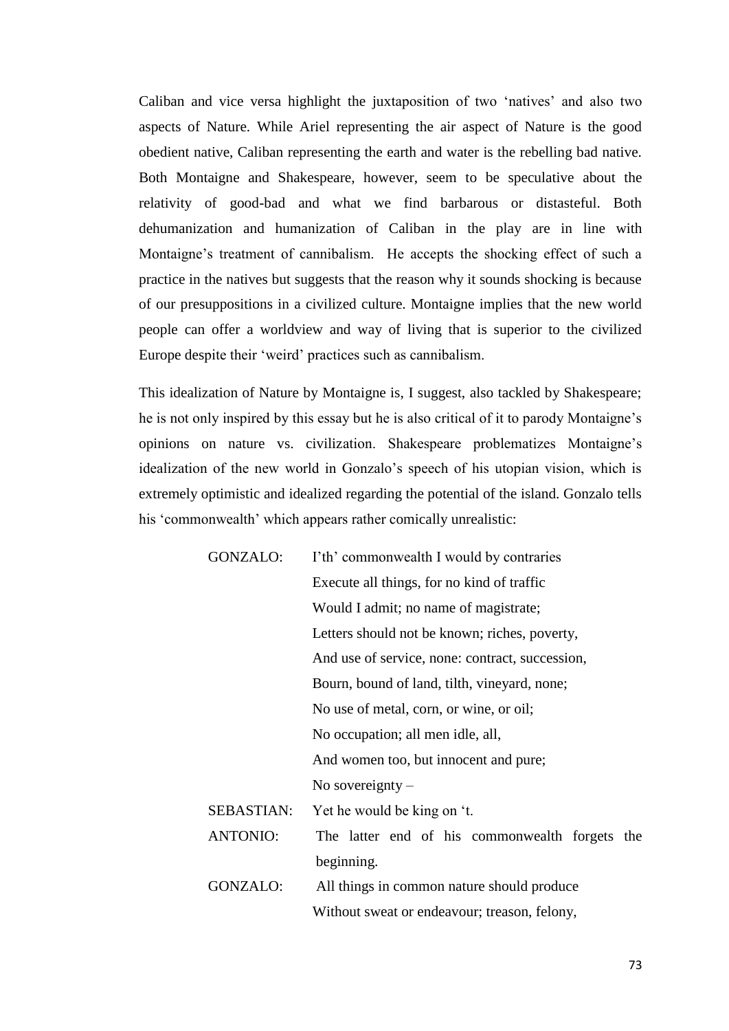Caliban and vice versa highlight the juxtaposition of two 'natives' and also two aspects of Nature. While Ariel representing the air aspect of Nature is the good obedient native, Caliban representing the earth and water is the rebelling bad native. Both Montaigne and Shakespeare, however, seem to be speculative about the relativity of good-bad and what we find barbarous or distasteful. Both dehumanization and humanization of Caliban in the play are in line with Montaigne's treatment of cannibalism. He accepts the shocking effect of such a practice in the natives but suggests that the reason why it sounds shocking is because of our presuppositions in a civilized culture. Montaigne implies that the new world people can offer a worldview and way of living that is superior to the civilized Europe despite their 'weird' practices such as cannibalism.

This idealization of Nature by Montaigne is, I suggest, also tackled by Shakespeare; he is not only inspired by this essay but he is also critical of it to parody Montaigne's opinions on nature vs. civilization. Shakespeare problematizes Montaigne's idealization of the new world in Gonzalo's speech of his utopian vision, which is extremely optimistic and idealized regarding the potential of the island. Gonzalo tells his 'commonwealth' which appears rather comically unrealistic:

| GONZALO:        | I'th' commonwealth I would by contraries        |
|-----------------|-------------------------------------------------|
|                 | Execute all things, for no kind of traffic      |
|                 | Would I admit; no name of magistrate;           |
|                 | Letters should not be known; riches, poverty,   |
|                 | And use of service, none: contract, succession, |
|                 | Bourn, bound of land, tilth, vineyard, none;    |
|                 | No use of metal, corn, or wine, or oil;         |
|                 | No occupation; all men idle, all,               |
|                 | And women too, but innocent and pure;           |
|                 | No sovereignty $-$                              |
| SEBASTIAN:      | Yet he would be king on 't.                     |
| <b>ANTONIO:</b> | The latter end of his commonwealth forgets the  |
|                 | beginning.                                      |
| GONZALO:        | All things in common nature should produce      |
|                 | Without sweat or endeavour; treason, felony,    |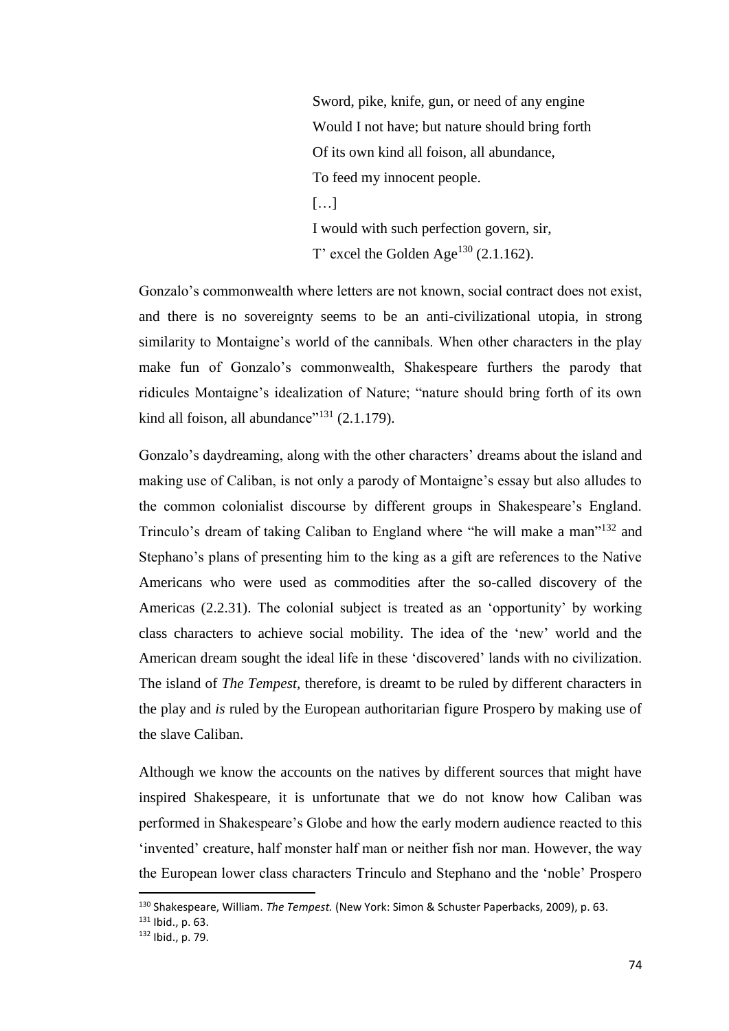Sword, pike, knife, gun, or need of any engine Would I not have; but nature should bring forth Of its own kind all foison, all abundance, To feed my innocent people.  $[...]$ I would with such perfection govern, sir, T' excel the Golden Age<sup>130</sup> (2.1.162).

Gonzalo's commonwealth where letters are not known, social contract does not exist, and there is no sovereignty seems to be an anti-civilizational utopia, in strong similarity to Montaigne's world of the cannibals. When other characters in the play make fun of Gonzalo's commonwealth, Shakespeare furthers the parody that ridicules Montaigne's idealization of Nature; "nature should bring forth of its own kind all foison, all abundance"<sup>131</sup>  $(2.1.179)$ .

Gonzalo's daydreaming, along with the other characters' dreams about the island and making use of Caliban, is not only a parody of Montaigne's essay but also alludes to the common colonialist discourse by different groups in Shakespeare's England. Trinculo's dream of taking Caliban to England where "he will make a man"<sup>132</sup> and Stephano's plans of presenting him to the king as a gift are references to the Native Americans who were used as commodities after the so-called discovery of the Americas (2.2.31). The colonial subject is treated as an 'opportunity' by working class characters to achieve social mobility. The idea of the 'new' world and the American dream sought the ideal life in these 'discovered' lands with no civilization. The island of *The Tempest,* therefore, is dreamt to be ruled by different characters in the play and *is* ruled by the European authoritarian figure Prospero by making use of the slave Caliban.

Although we know the accounts on the natives by different sources that might have inspired Shakespeare, it is unfortunate that we do not know how Caliban was performed in Shakespeare's Globe and how the early modern audience reacted to this 'invented' creature, half monster half man or neither fish nor man. However, the way the European lower class characters Trinculo and Stephano and the 'noble' Prospero

<sup>130</sup> Shakespeare, William. *The Tempest.* (New York: Simon & Schuster Paperbacks, 2009), p. 63.

<sup>131</sup> Ibid., p. 63.

<sup>132</sup> Ibid., p. 79.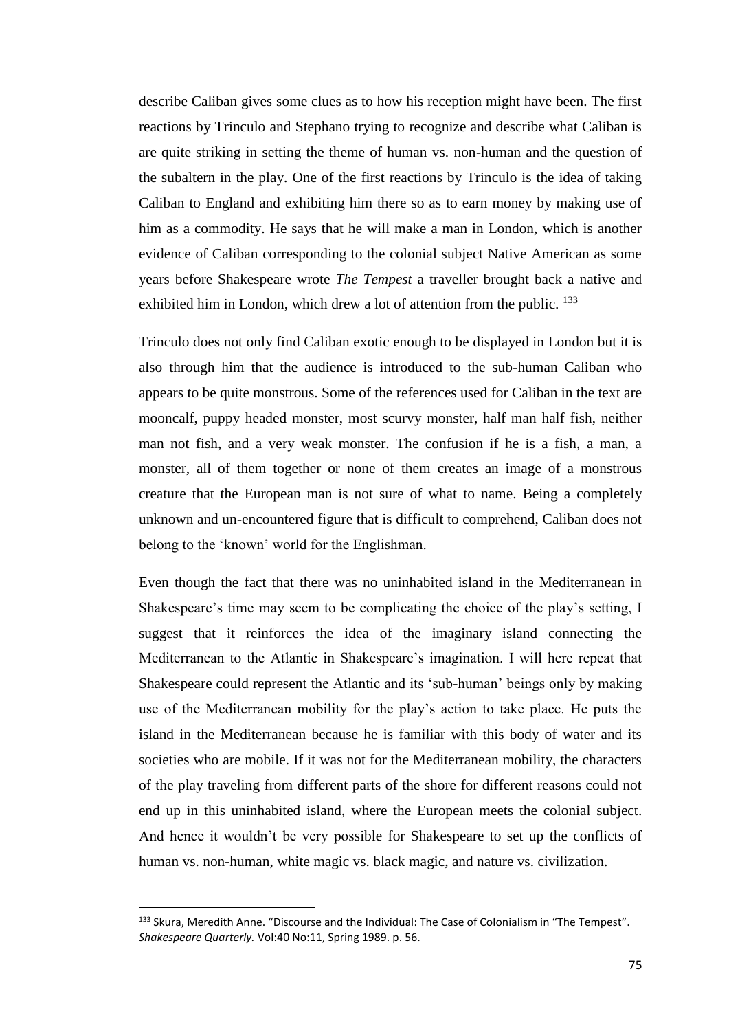describe Caliban gives some clues as to how his reception might have been. The first reactions by Trinculo and Stephano trying to recognize and describe what Caliban is are quite striking in setting the theme of human vs. non-human and the question of the subaltern in the play. One of the first reactions by Trinculo is the idea of taking Caliban to England and exhibiting him there so as to earn money by making use of him as a commodity. He says that he will make a man in London, which is another evidence of Caliban corresponding to the colonial subject Native American as some years before Shakespeare wrote *The Tempest* a traveller brought back a native and exhibited him in London, which drew a lot of attention from the public. <sup>133</sup>

Trinculo does not only find Caliban exotic enough to be displayed in London but it is also through him that the audience is introduced to the sub-human Caliban who appears to be quite monstrous. Some of the references used for Caliban in the text are mooncalf, puppy headed monster, most scurvy monster, half man half fish, neither man not fish, and a very weak monster. The confusion if he is a fish, a man, a monster, all of them together or none of them creates an image of a monstrous creature that the European man is not sure of what to name. Being a completely unknown and un-encountered figure that is difficult to comprehend, Caliban does not belong to the 'known' world for the Englishman.

Even though the fact that there was no uninhabited island in the Mediterranean in Shakespeare's time may seem to be complicating the choice of the play's setting, I suggest that it reinforces the idea of the imaginary island connecting the Mediterranean to the Atlantic in Shakespeare's imagination. I will here repeat that Shakespeare could represent the Atlantic and its 'sub-human' beings only by making use of the Mediterranean mobility for the play's action to take place. He puts the island in the Mediterranean because he is familiar with this body of water and its societies who are mobile. If it was not for the Mediterranean mobility, the characters of the play traveling from different parts of the shore for different reasons could not end up in this uninhabited island, where the European meets the colonial subject. And hence it wouldn't be very possible for Shakespeare to set up the conflicts of human vs. non-human, white magic vs. black magic, and nature vs. civilization.

<sup>133</sup> Skura, Meredith Anne. "Discourse and the Individual: The Case of Colonialism in "The Tempest". *Shakespeare Quarterly.* Vol:40 No:11, Spring 1989. p. 56.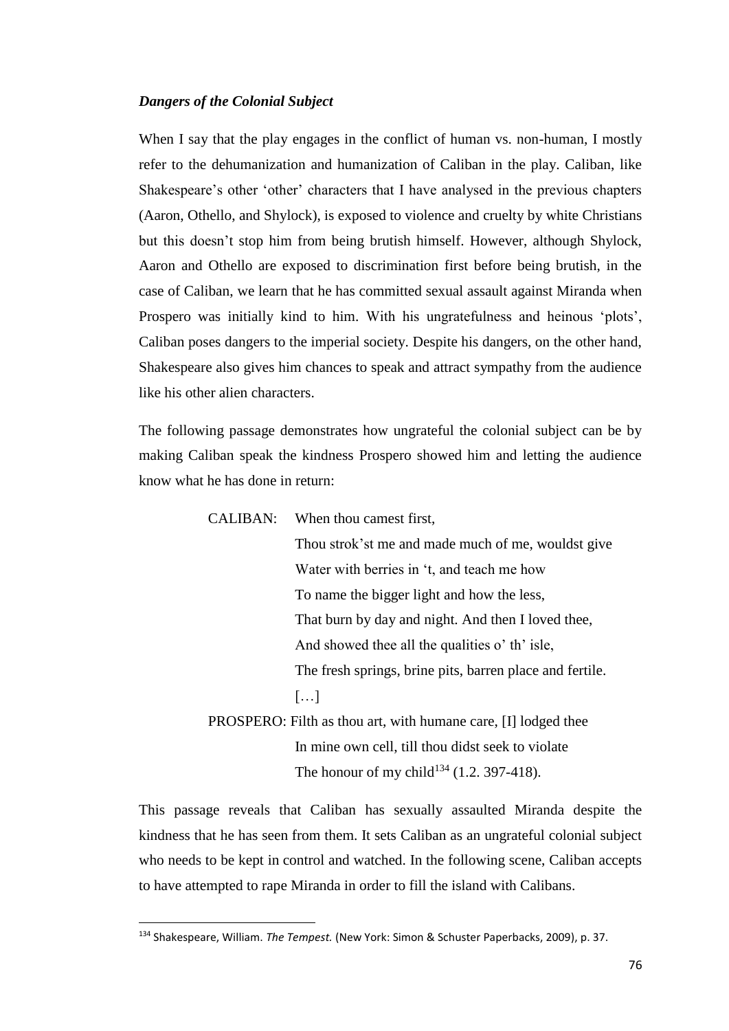## *Dangers of the Colonial Subject*

When I say that the play engages in the conflict of human vs. non-human, I mostly refer to the dehumanization and humanization of Caliban in the play. Caliban, like Shakespeare's other 'other' characters that I have analysed in the previous chapters (Aaron, Othello, and Shylock), is exposed to violence and cruelty by white Christians but this doesn't stop him from being brutish himself. However, although Shylock, Aaron and Othello are exposed to discrimination first before being brutish, in the case of Caliban, we learn that he has committed sexual assault against Miranda when Prospero was initially kind to him. With his ungratefulness and heinous 'plots', Caliban poses dangers to the imperial society. Despite his dangers, on the other hand, Shakespeare also gives him chances to speak and attract sympathy from the audience like his other alien characters.

The following passage demonstrates how ungrateful the colonial subject can be by making Caliban speak the kindness Prospero showed him and letting the audience know what he has done in return:

CALIBAN: When thou camest first,

Thou strok'st me and made much of me, wouldst give Water with berries in 't, and teach me how To name the bigger light and how the less, That burn by day and night. And then I loved thee, And showed thee all the qualities o' th' isle, The fresh springs, brine pits, barren place and fertile. […] PROSPERO: Filth as thou art, with humane care, [I] lodged thee

In mine own cell, till thou didst seek to violate The honour of my child<sup>134</sup> (1.2. 397-418).

This passage reveals that Caliban has sexually assaulted Miranda despite the kindness that he has seen from them. It sets Caliban as an ungrateful colonial subject who needs to be kept in control and watched. In the following scene, Caliban accepts to have attempted to rape Miranda in order to fill the island with Calibans.

<sup>134</sup> Shakespeare, William. *The Tempest.* (New York: Simon & Schuster Paperbacks, 2009), p. 37.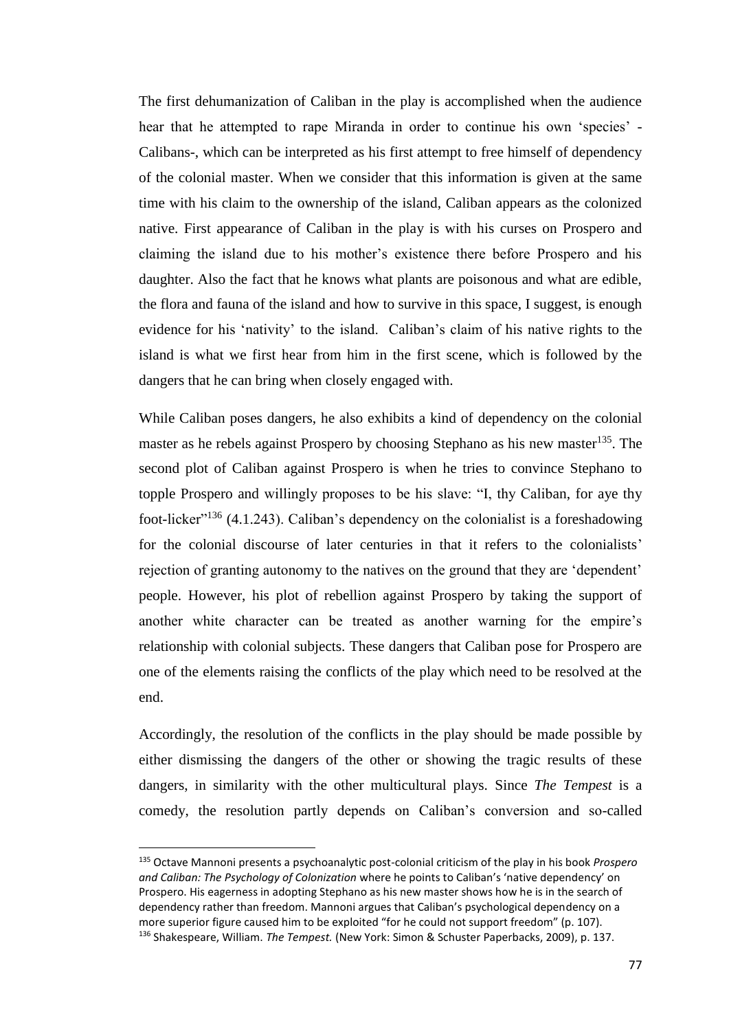The first dehumanization of Caliban in the play is accomplished when the audience hear that he attempted to rape Miranda in order to continue his own 'species' - Calibans-, which can be interpreted as his first attempt to free himself of dependency of the colonial master. When we consider that this information is given at the same time with his claim to the ownership of the island, Caliban appears as the colonized native. First appearance of Caliban in the play is with his curses on Prospero and claiming the island due to his mother's existence there before Prospero and his daughter. Also the fact that he knows what plants are poisonous and what are edible, the flora and fauna of the island and how to survive in this space, I suggest, is enough evidence for his 'nativity' to the island. Caliban's claim of his native rights to the island is what we first hear from him in the first scene, which is followed by the dangers that he can bring when closely engaged with.

While Caliban poses dangers, he also exhibits a kind of dependency on the colonial master as he rebels against Prospero by choosing Stephano as his new master<sup>135</sup>. The second plot of Caliban against Prospero is when he tries to convince Stephano to topple Prospero and willingly proposes to be his slave: "I, thy Caliban, for aye thy foot-licker<sup> $136$ </sup> (4.1.243). Caliban's dependency on the colonialist is a foreshadowing for the colonial discourse of later centuries in that it refers to the colonialists' rejection of granting autonomy to the natives on the ground that they are 'dependent' people. However, his plot of rebellion against Prospero by taking the support of another white character can be treated as another warning for the empire's relationship with colonial subjects. These dangers that Caliban pose for Prospero are one of the elements raising the conflicts of the play which need to be resolved at the end.

Accordingly, the resolution of the conflicts in the play should be made possible by either dismissing the dangers of the other or showing the tragic results of these dangers, in similarity with the other multicultural plays. Since *The Tempest* is a comedy, the resolution partly depends on Caliban's conversion and so-called

 $\overline{a}$ 

<sup>135</sup> Octave Mannoni presents a psychoanalytic post-colonial criticism of the play in his book *Prospero and Caliban: The Psychology of Colonization* where he points to Caliban's 'native dependency' on Prospero. His eagerness in adopting Stephano as his new master shows how he is in the search of dependency rather than freedom. Mannoni argues that Caliban's psychological dependency on a more superior figure caused him to be exploited "for he could not support freedom" (p. 107). <sup>136</sup> Shakespeare, William. *The Tempest.* (New York: Simon & Schuster Paperbacks, 2009), p. 137.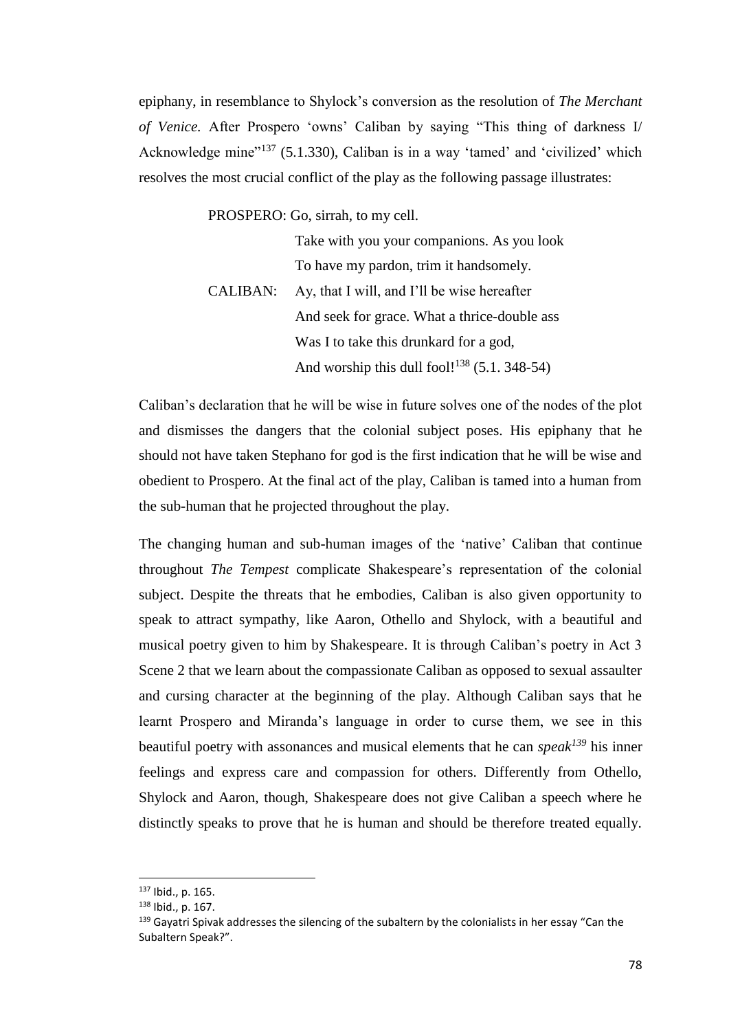epiphany, in resemblance to Shylock's conversion as the resolution of *The Merchant of Venice.* After Prospero 'owns' Caliban by saying "This thing of darkness I/ Acknowledge mine<sup>"137</sup> (5.1.330), Caliban is in a way 'tamed' and 'civilized' which resolves the most crucial conflict of the play as the following passage illustrates:

PROSPERO: Go, sirrah, to my cell.

|                 | Take with you your companions. As you look               |
|-----------------|----------------------------------------------------------|
|                 | To have my pardon, trim it handsomely.                   |
| <b>CALIBAN:</b> | Ay, that I will, and I'll be wise hereafter              |
|                 | And seek for grace. What a thrice-double ass             |
|                 | Was I to take this drunkard for a god,                   |
|                 | And worship this dull fool! <sup>138</sup> (5.1, 348-54) |

Caliban's declaration that he will be wise in future solves one of the nodes of the plot and dismisses the dangers that the colonial subject poses. His epiphany that he should not have taken Stephano for god is the first indication that he will be wise and obedient to Prospero. At the final act of the play, Caliban is tamed into a human from the sub-human that he projected throughout the play.

The changing human and sub-human images of the 'native' Caliban that continue throughout *The Tempest* complicate Shakespeare's representation of the colonial subject. Despite the threats that he embodies, Caliban is also given opportunity to speak to attract sympathy, like Aaron, Othello and Shylock, with a beautiful and musical poetry given to him by Shakespeare. It is through Caliban's poetry in Act 3 Scene 2 that we learn about the compassionate Caliban as opposed to sexual assaulter and cursing character at the beginning of the play. Although Caliban says that he learnt Prospero and Miranda's language in order to curse them, we see in this beautiful poetry with assonances and musical elements that he can *speak<sup>139</sup>* his inner feelings and express care and compassion for others. Differently from Othello, Shylock and Aaron, though, Shakespeare does not give Caliban a speech where he distinctly speaks to prove that he is human and should be therefore treated equally.

 $\overline{a}$ 

<sup>137</sup> Ibid., p. 165.

<sup>138</sup> Ibid., p. 167.

<sup>139</sup> Gayatri Spivak addresses the silencing of the subaltern by the colonialists in her essay "Can the Subaltern Speak?".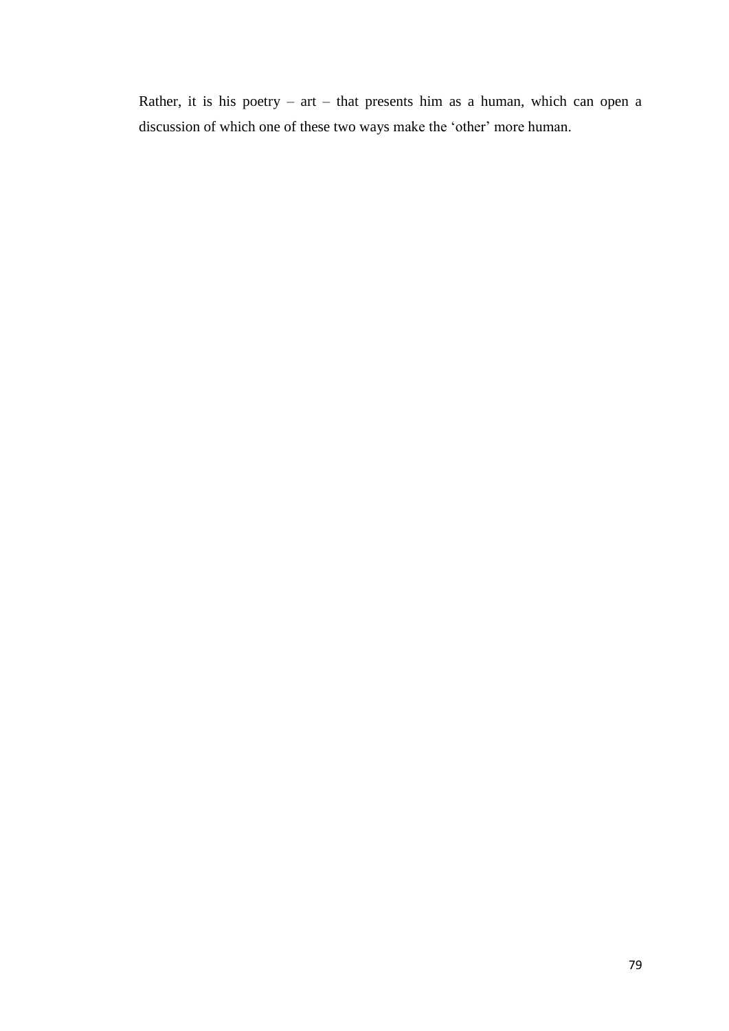Rather, it is his poetry – art – that presents him as a human, which can open a discussion of which one of these two ways make the 'other' more human.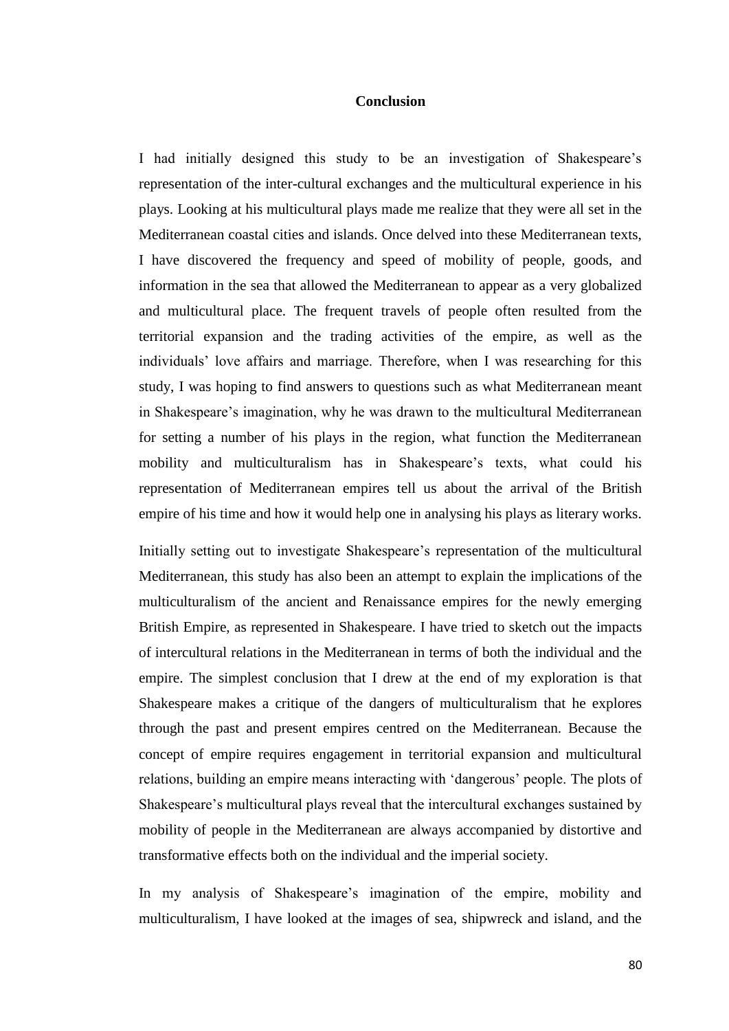# **Conclusion**

I had initially designed this study to be an investigation of Shakespeare's representation of the inter-cultural exchanges and the multicultural experience in his plays. Looking at his multicultural plays made me realize that they were all set in the Mediterranean coastal cities and islands. Once delved into these Mediterranean texts, I have discovered the frequency and speed of mobility of people, goods, and information in the sea that allowed the Mediterranean to appear as a very globalized and multicultural place. The frequent travels of people often resulted from the territorial expansion and the trading activities of the empire, as well as the individuals' love affairs and marriage. Therefore, when I was researching for this study, I was hoping to find answers to questions such as what Mediterranean meant in Shakespeare's imagination, why he was drawn to the multicultural Mediterranean for setting a number of his plays in the region, what function the Mediterranean mobility and multiculturalism has in Shakespeare's texts, what could his representation of Mediterranean empires tell us about the arrival of the British empire of his time and how it would help one in analysing his plays as literary works.

Initially setting out to investigate Shakespeare's representation of the multicultural Mediterranean, this study has also been an attempt to explain the implications of the multiculturalism of the ancient and Renaissance empires for the newly emerging British Empire, as represented in Shakespeare. I have tried to sketch out the impacts of intercultural relations in the Mediterranean in terms of both the individual and the empire. The simplest conclusion that I drew at the end of my exploration is that Shakespeare makes a critique of the dangers of multiculturalism that he explores through the past and present empires centred on the Mediterranean. Because the concept of empire requires engagement in territorial expansion and multicultural relations, building an empire means interacting with 'dangerous' people. The plots of Shakespeare's multicultural plays reveal that the intercultural exchanges sustained by mobility of people in the Mediterranean are always accompanied by distortive and transformative effects both on the individual and the imperial society.

In my analysis of Shakespeare's imagination of the empire, mobility and multiculturalism, I have looked at the images of sea, shipwreck and island, and the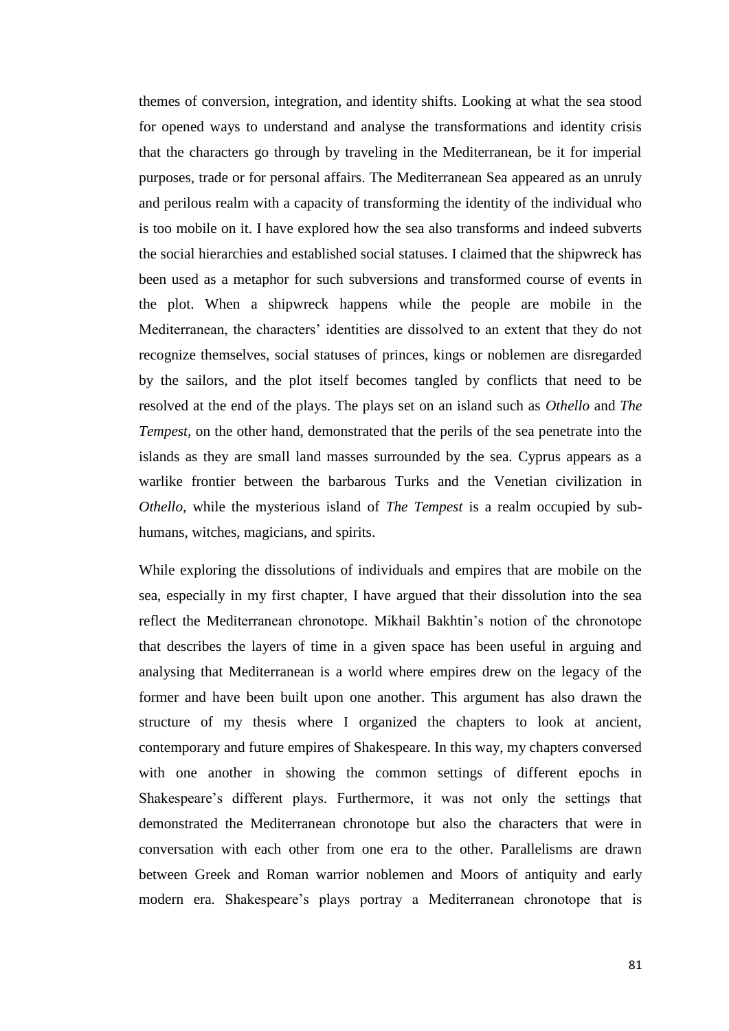themes of conversion, integration, and identity shifts. Looking at what the sea stood for opened ways to understand and analyse the transformations and identity crisis that the characters go through by traveling in the Mediterranean, be it for imperial purposes, trade or for personal affairs. The Mediterranean Sea appeared as an unruly and perilous realm with a capacity of transforming the identity of the individual who is too mobile on it. I have explored how the sea also transforms and indeed subverts the social hierarchies and established social statuses. I claimed that the shipwreck has been used as a metaphor for such subversions and transformed course of events in the plot. When a shipwreck happens while the people are mobile in the Mediterranean, the characters' identities are dissolved to an extent that they do not recognize themselves, social statuses of princes, kings or noblemen are disregarded by the sailors, and the plot itself becomes tangled by conflicts that need to be resolved at the end of the plays. The plays set on an island such as *Othello* and *The Tempest,* on the other hand, demonstrated that the perils of the sea penetrate into the islands as they are small land masses surrounded by the sea. Cyprus appears as a warlike frontier between the barbarous Turks and the Venetian civilization in *Othello,* while the mysterious island of *The Tempest* is a realm occupied by subhumans, witches, magicians, and spirits.

While exploring the dissolutions of individuals and empires that are mobile on the sea, especially in my first chapter, I have argued that their dissolution into the sea reflect the Mediterranean chronotope. Mikhail Bakhtin's notion of the chronotope that describes the layers of time in a given space has been useful in arguing and analysing that Mediterranean is a world where empires drew on the legacy of the former and have been built upon one another. This argument has also drawn the structure of my thesis where I organized the chapters to look at ancient, contemporary and future empires of Shakespeare. In this way, my chapters conversed with one another in showing the common settings of different epochs in Shakespeare's different plays. Furthermore, it was not only the settings that demonstrated the Mediterranean chronotope but also the characters that were in conversation with each other from one era to the other. Parallelisms are drawn between Greek and Roman warrior noblemen and Moors of antiquity and early modern era. Shakespeare's plays portray a Mediterranean chronotope that is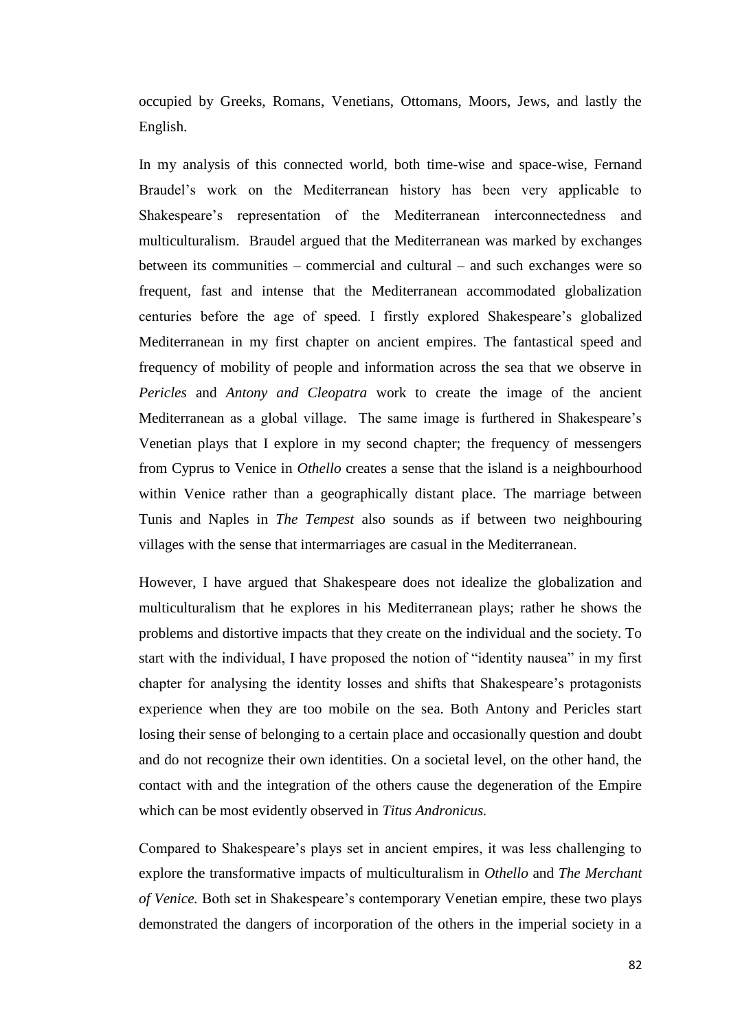occupied by Greeks, Romans, Venetians, Ottomans, Moors, Jews, and lastly the English.

In my analysis of this connected world, both time-wise and space-wise, Fernand Braudel's work on the Mediterranean history has been very applicable to Shakespeare's representation of the Mediterranean interconnectedness and multiculturalism. Braudel argued that the Mediterranean was marked by exchanges between its communities – commercial and cultural – and such exchanges were so frequent, fast and intense that the Mediterranean accommodated globalization centuries before the age of speed. I firstly explored Shakespeare's globalized Mediterranean in my first chapter on ancient empires. The fantastical speed and frequency of mobility of people and information across the sea that we observe in *Pericles* and *Antony and Cleopatra* work to create the image of the ancient Mediterranean as a global village. The same image is furthered in Shakespeare's Venetian plays that I explore in my second chapter; the frequency of messengers from Cyprus to Venice in *Othello* creates a sense that the island is a neighbourhood within Venice rather than a geographically distant place. The marriage between Tunis and Naples in *The Tempest* also sounds as if between two neighbouring villages with the sense that intermarriages are casual in the Mediterranean.

However, I have argued that Shakespeare does not idealize the globalization and multiculturalism that he explores in his Mediterranean plays; rather he shows the problems and distortive impacts that they create on the individual and the society. To start with the individual, I have proposed the notion of "identity nausea" in my first chapter for analysing the identity losses and shifts that Shakespeare's protagonists experience when they are too mobile on the sea. Both Antony and Pericles start losing their sense of belonging to a certain place and occasionally question and doubt and do not recognize their own identities. On a societal level, on the other hand, the contact with and the integration of the others cause the degeneration of the Empire which can be most evidently observed in *Titus Andronicus.* 

Compared to Shakespeare's plays set in ancient empires, it was less challenging to explore the transformative impacts of multiculturalism in *Othello* and *The Merchant of Venice.* Both set in Shakespeare's contemporary Venetian empire, these two plays demonstrated the dangers of incorporation of the others in the imperial society in a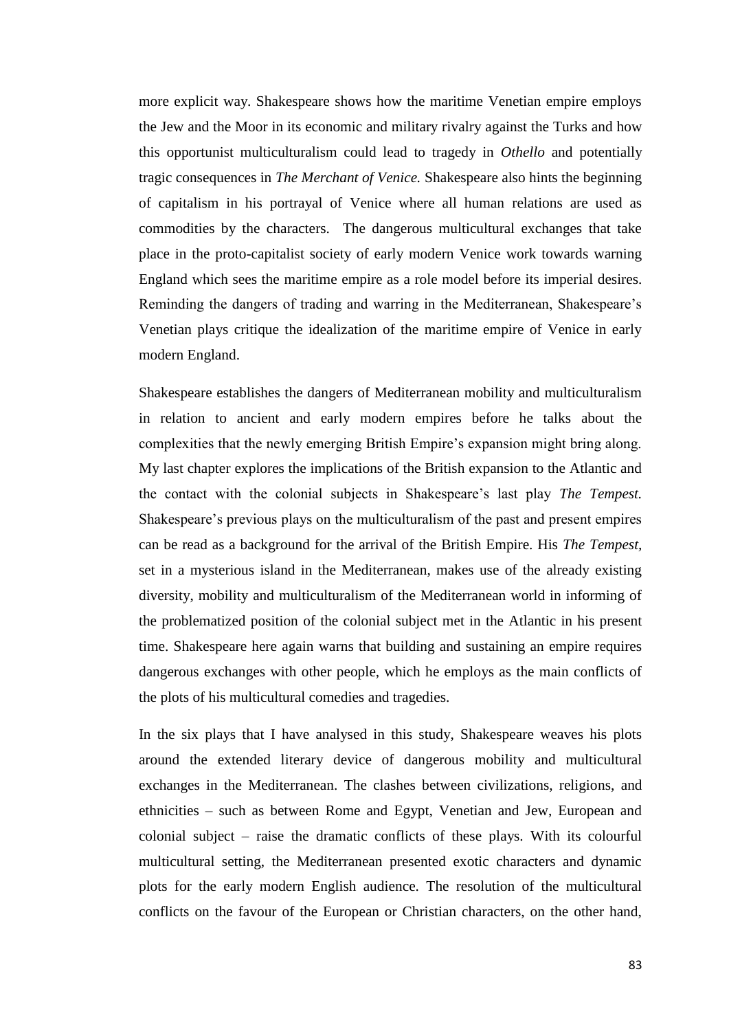more explicit way. Shakespeare shows how the maritime Venetian empire employs the Jew and the Moor in its economic and military rivalry against the Turks and how this opportunist multiculturalism could lead to tragedy in *Othello* and potentially tragic consequences in *The Merchant of Venice.* Shakespeare also hints the beginning of capitalism in his portrayal of Venice where all human relations are used as commodities by the characters. The dangerous multicultural exchanges that take place in the proto-capitalist society of early modern Venice work towards warning England which sees the maritime empire as a role model before its imperial desires. Reminding the dangers of trading and warring in the Mediterranean, Shakespeare's Venetian plays critique the idealization of the maritime empire of Venice in early modern England.

Shakespeare establishes the dangers of Mediterranean mobility and multiculturalism in relation to ancient and early modern empires before he talks about the complexities that the newly emerging British Empire's expansion might bring along. My last chapter explores the implications of the British expansion to the Atlantic and the contact with the colonial subjects in Shakespeare's last play *The Tempest.*  Shakespeare's previous plays on the multiculturalism of the past and present empires can be read as a background for the arrival of the British Empire. His *The Tempest,*  set in a mysterious island in the Mediterranean, makes use of the already existing diversity, mobility and multiculturalism of the Mediterranean world in informing of the problematized position of the colonial subject met in the Atlantic in his present time. Shakespeare here again warns that building and sustaining an empire requires dangerous exchanges with other people, which he employs as the main conflicts of the plots of his multicultural comedies and tragedies.

In the six plays that I have analysed in this study, Shakespeare weaves his plots around the extended literary device of dangerous mobility and multicultural exchanges in the Mediterranean. The clashes between civilizations, religions, and ethnicities – such as between Rome and Egypt, Venetian and Jew, European and colonial subject – raise the dramatic conflicts of these plays. With its colourful multicultural setting, the Mediterranean presented exotic characters and dynamic plots for the early modern English audience. The resolution of the multicultural conflicts on the favour of the European or Christian characters, on the other hand,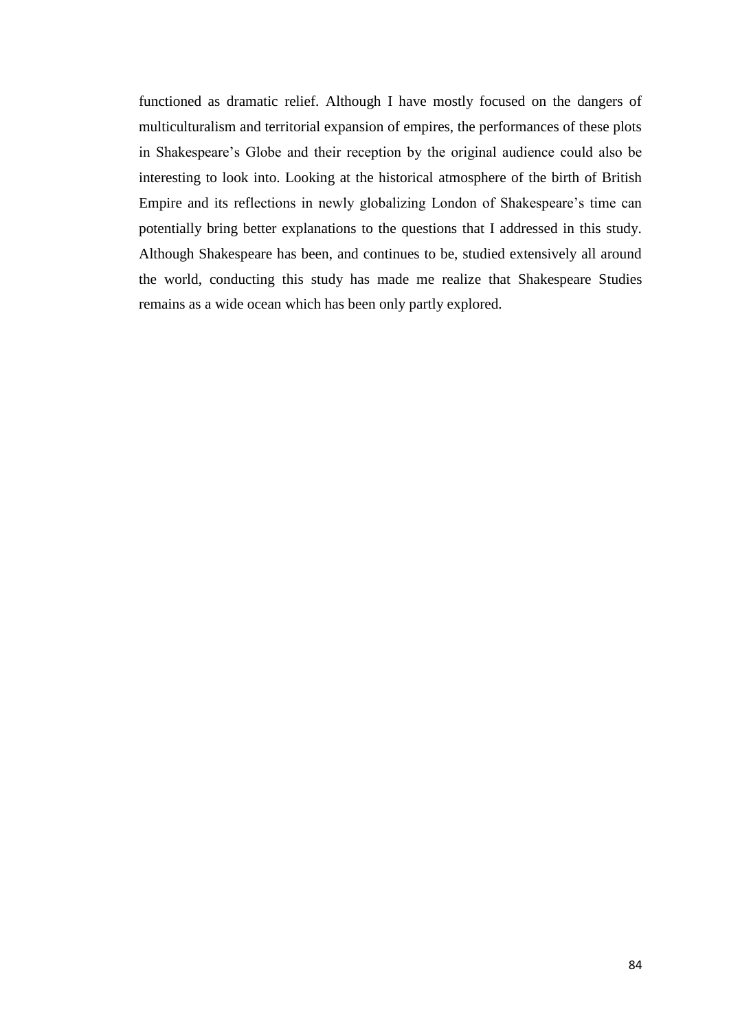functioned as dramatic relief. Although I have mostly focused on the dangers of multiculturalism and territorial expansion of empires, the performances of these plots in Shakespeare's Globe and their reception by the original audience could also be interesting to look into. Looking at the historical atmosphere of the birth of British Empire and its reflections in newly globalizing London of Shakespeare's time can potentially bring better explanations to the questions that I addressed in this study. Although Shakespeare has been, and continues to be, studied extensively all around the world, conducting this study has made me realize that Shakespeare Studies remains as a wide ocean which has been only partly explored.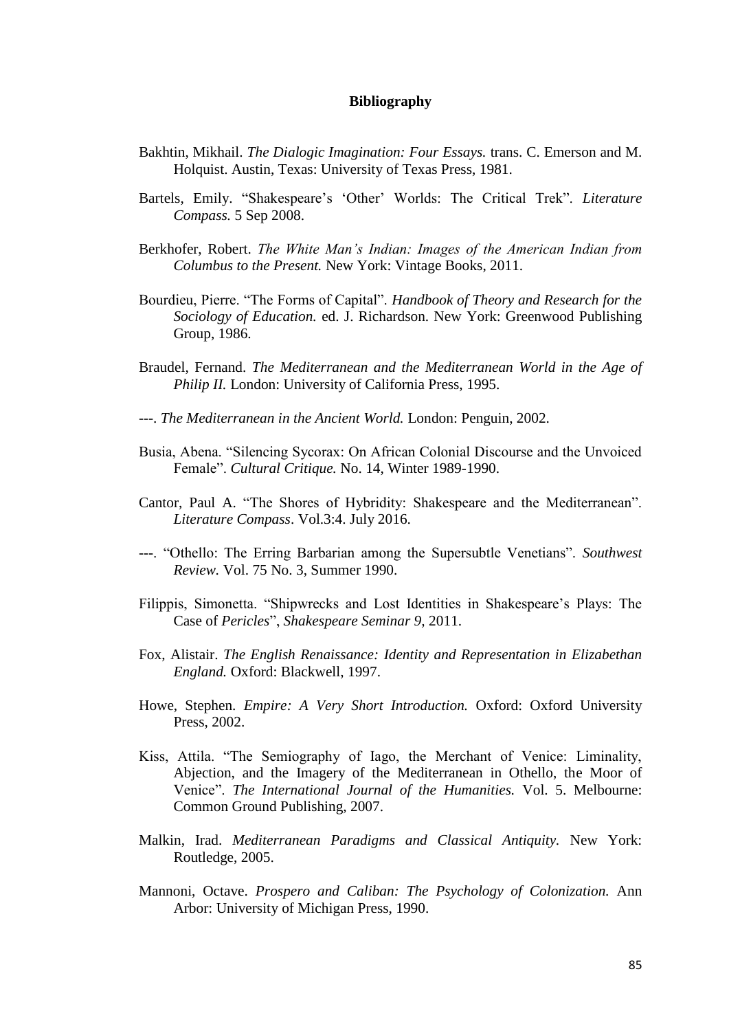#### **Bibliography**

- Bakhtin, Mikhail. *The Dialogic Imagination: Four Essays.* trans. C. Emerson and M. Holquist. Austin, Texas: University of Texas Press, 1981.
- Bartels, Emily. "Shakespeare's 'Other' Worlds: The Critical Trek". *Literature Compass.* 5 Sep 2008.
- Berkhofer, Robert. *The White Man's Indian: Images of the American Indian from Columbus to the Present.* New York: Vintage Books, 2011.
- Bourdieu, Pierre. "The Forms of Capital". *Handbook of Theory and Research for the Sociology of Education.* ed. J. Richardson. New York: Greenwood Publishing Group, 1986.
- Braudel, Fernand. *The Mediterranean and the Mediterranean World in the Age of Philip II. London: University of California Press, 1995.*
- ---. *The Mediterranean in the Ancient World.* London: Penguin, 2002.
- Busia, Abena. "Silencing Sycorax: On African Colonial Discourse and the Unvoiced Female". *Cultural Critique.* No. 14, Winter 1989-1990.
- Cantor, Paul A. "The Shores of Hybridity: Shakespeare and the Mediterranean". *Literature Compass*. Vol.3:4. July 2016.
- ---. "Othello: The Erring Barbarian among the Supersubtle Venetians". *Southwest Review.* Vol. 75 No. 3, Summer 1990.
- Filippis, Simonetta. "Shipwrecks and Lost Identities in Shakespeare's Plays: The Case of *Pericles*", *Shakespeare Seminar 9,* 2011.
- Fox, Alistair. *The English Renaissance: Identity and Representation in Elizabethan England.* Oxford: Blackwell, 1997.
- Howe, Stephen. *Empire: A Very Short Introduction.* Oxford: Oxford University Press, 2002.
- Kiss, Attila. "The Semiography of Iago, the Merchant of Venice: Liminality, Abjection, and the Imagery of the Mediterranean in Othello, the Moor of Venice". *The International Journal of the Humanities.* Vol. 5. Melbourne: Common Ground Publishing, 2007.
- Malkin, Irad. *Mediterranean Paradigms and Classical Antiquity.* New York: Routledge, 2005.
- Mannoni, Octave. *Prospero and Caliban: The Psychology of Colonization.* Ann Arbor: University of Michigan Press, 1990.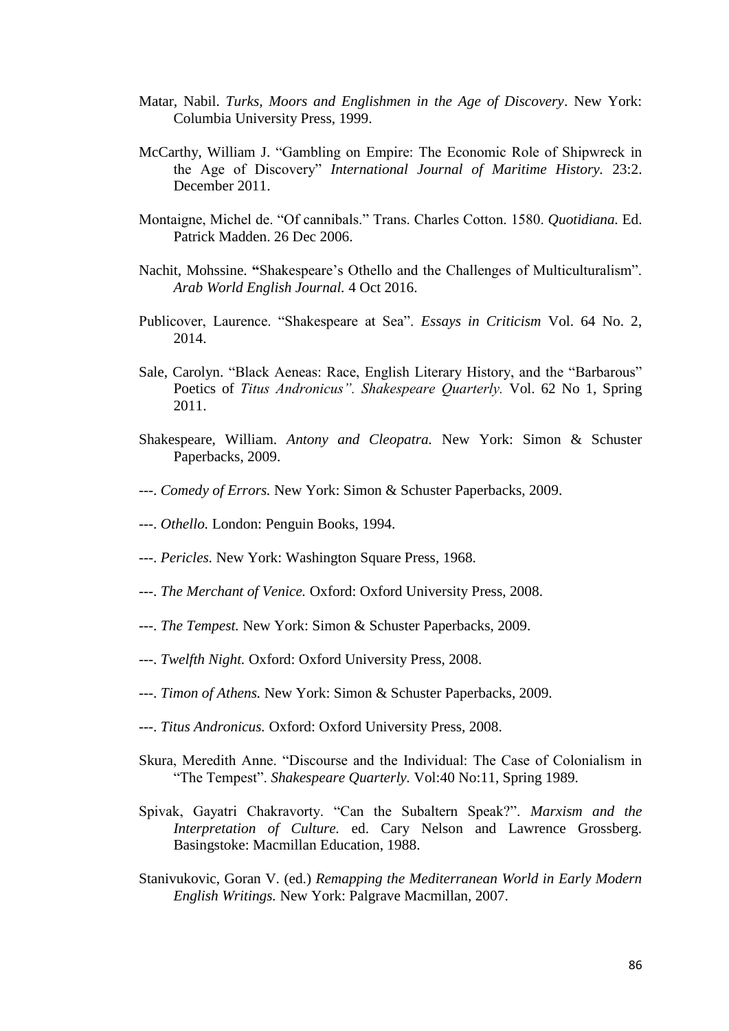- Matar, Nabil. *Turks, Moors and Englishmen in the Age of Discovery*. New York: Columbia University Press, 1999.
- McCarthy, William J. "Gambling on Empire: The Economic Role of Shipwreck in the Age of Discovery" *International Journal of Maritime History.* 23:2. December 2011.
- Montaigne, Michel de. "Of cannibals." Trans. Charles Cotton. 1580. *Quotidiana.* Ed. Patrick Madden. 26 Dec 2006.
- Nachit, Mohssine. **"**Shakespeare's Othello and the Challenges of Multiculturalism". *Arab World English Journal.* 4 Oct 2016.
- Publicover, Laurence. "Shakespeare at Sea". *Essays in Criticism* Vol. 64 No. 2, 2014.
- Sale, Carolyn. "Black Aeneas: Race, English Literary History, and the "Barbarous" Poetics of *Titus Andronicus". Shakespeare Quarterly.* Vol. 62 No 1, Spring 2011.
- Shakespeare, William. *Antony and Cleopatra.* New York: Simon & Schuster Paperbacks, 2009.
- ---. *Comedy of Errors.* New York: Simon & Schuster Paperbacks, 2009.
- ---. *Othello.* London: Penguin Books, 1994.
- ---. *Pericles.* New York: Washington Square Press, 1968.
- ---. *The Merchant of Venice.* Oxford: Oxford University Press, 2008.
- ---. *The Tempest.* New York: Simon & Schuster Paperbacks, 2009.
- ---. *Twelfth Night.* Oxford: Oxford University Press, 2008.
- ---. *Timon of Athens.* New York: Simon & Schuster Paperbacks, 2009.
- ---. *Titus Andronicus.* Oxford: Oxford University Press, 2008.
- Skura, Meredith Anne. "Discourse and the Individual: The Case of Colonialism in "The Tempest". *Shakespeare Quarterly.* Vol:40 No:11, Spring 1989.
- Spivak, Gayatri Chakravorty. "Can the Subaltern Speak?". *Marxism and the Interpretation of Culture.* ed. Cary Nelson and Lawrence Grossberg. Basingstoke: Macmillan Education, 1988.
- Stanivukovic, Goran V. (ed.) *Remapping the Mediterranean World in Early Modern English Writings.* New York: Palgrave Macmillan, 2007.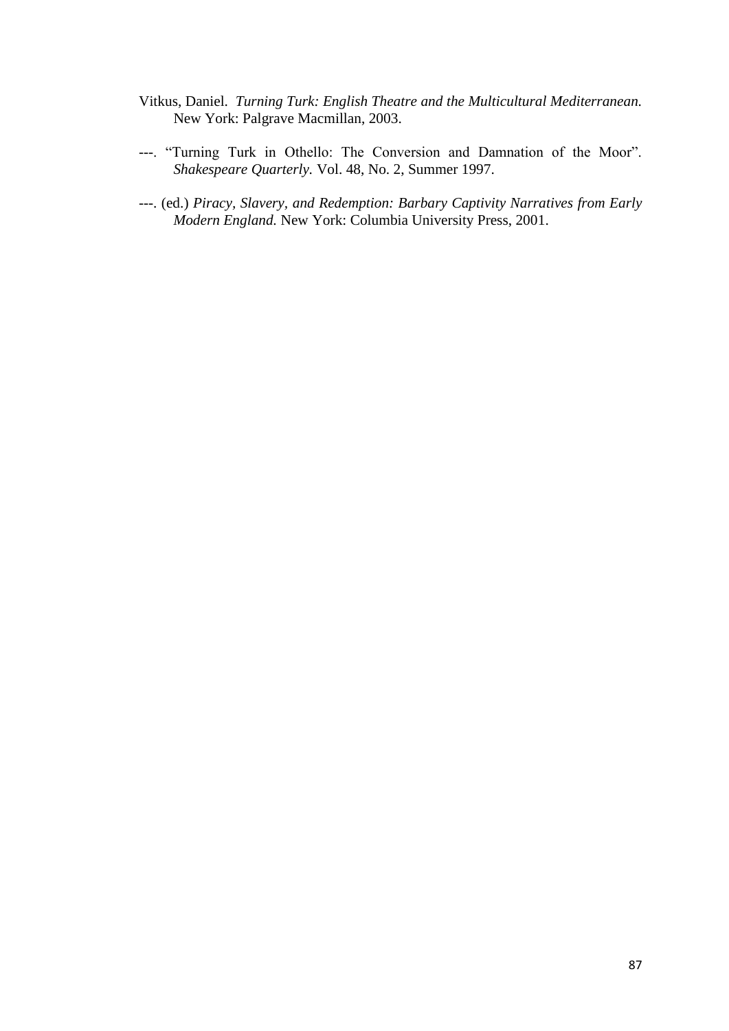- Vitkus, Daniel. *Turning Turk: English Theatre and the Multicultural Mediterranean.*  New York: Palgrave Macmillan, 2003.
- ---. "Turning Turk in Othello: The Conversion and Damnation of the Moor". *Shakespeare Quarterly.* Vol. 48, No. 2, Summer 1997.
- ---. (ed.) *Piracy, Slavery, and Redemption: Barbary Captivity Narratives from Early Modern England.* New York: Columbia University Press, 2001.